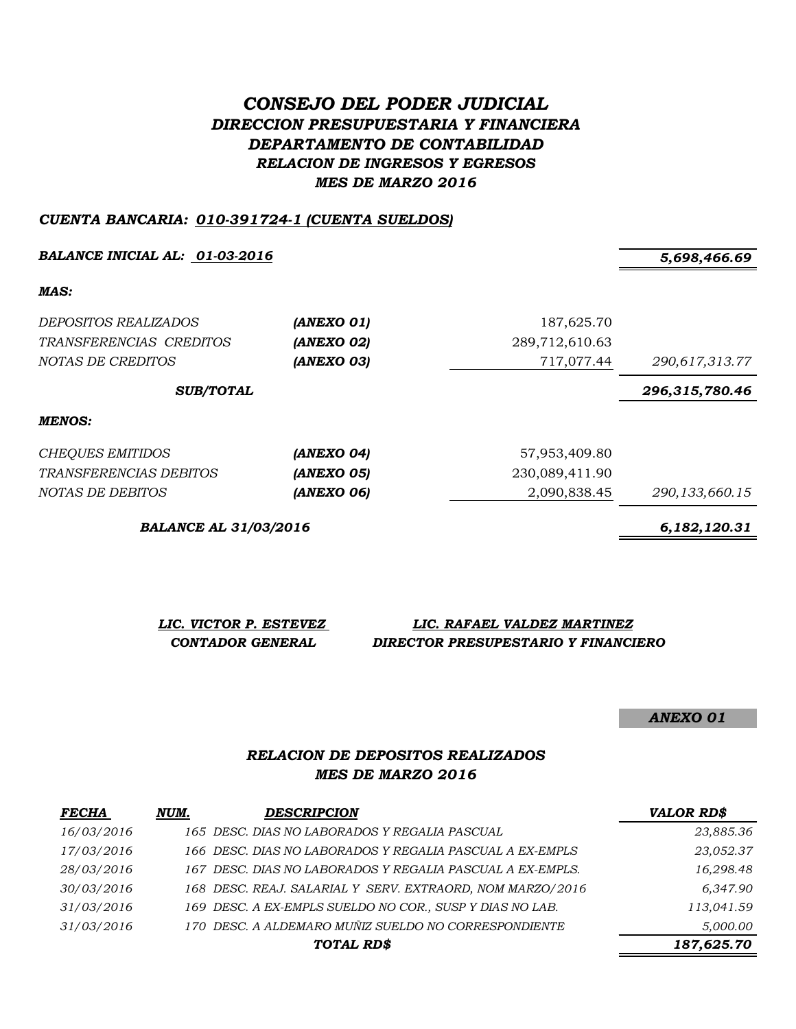# *CONSEJO DEL PODER JUDICIAL DIRECCION PRESUPUESTARIA Y FINANCIERA DEPARTAMENTO DE CONTABILIDAD RELACION DE INGRESOS Y EGRESOS MES DE MARZO 2016*

#### *CUENTA BANCARIA: 010-391724-1 (CUENTA SUELDOS)*

*BALANCE INICIAL AL: 01-03-2016 5,698,466.69*

*MAS:*

| <i>DEPOSITOS REALIZADOS</i><br>TRANSFERENCIAS CREDITOS<br>NOTAS DE CREDITOS | (ANEXO 01)<br>(ANEXO 02)<br>(ANEXO 03) | 187,625.70<br>289,712,610.63<br>717,077.44 | 290,617,313.77    |
|-----------------------------------------------------------------------------|----------------------------------------|--------------------------------------------|-------------------|
| <b>SUB/TOTAL</b>                                                            |                                        |                                            | 296,315,780.46    |
| MENOS:                                                                      |                                        |                                            |                   |
| <b>CHEQUES EMITIDOS</b>                                                     | (ANEXO 04)                             | 57,953,409.80                              |                   |
| <i>TRANSFERENCIAS DEBITOS</i>                                               | (ANEXO 05)                             | 230,089,411.90                             |                   |
| NOTAS DE DEBITOS                                                            | (ANEXO 06)                             | 2,090,838.45                               | 290, 133, 660. 15 |

*BALANCE AL 31/03/2016 6,182,120.31*

*LIC. VICTOR P. ESTEVEZ LIC. RAFAEL VALDEZ MARTINEZ CONTADOR GENERAL DIRECTOR PRESUPESTARIO Y FINANCIERO*

*ANEXO 01*

### *RELACION DE DEPOSITOS REALIZADOS MES DE MARZO 2016*

| <b>FECHA</b> | NUM. | <b>DESCRIPCION</b>                                        | <b>VALOR RD\$</b> |
|--------------|------|-----------------------------------------------------------|-------------------|
| 16/03/2016   |      | 165 DESC. DIAS NO LABORADOS Y REGALIA PASCUAL             | 23,885.36         |
| 17/03/2016   |      | 166 DESC. DIAS NO LABORADOS Y REGALIA PASCUAL A EX-EMPLS  | 23,052.37         |
| 28/03/2016   |      | 167 DESC. DIAS NO LABORADOS Y REGALIA PASCUAL A EX-EMPLS. | 16,298.48         |
| 30/03/2016   |      | 168 DESC. REAJ. SALARIAL Y SERV. EXTRAORD, NOM MARZO/2016 | 6,347.90          |
| 31/03/2016   |      | 169 DESC. A EX-EMPLS SUELDO NO COR., SUSP Y DIAS NO LAB.  | 113,041.59        |
| 31/03/2016   |      | 170 DESC. A ALDEMARO MUÑIZ SUELDO NO CORRESPONDIENTE      | 5,000.00          |
|              |      | TOTAL RD\$                                                | 187,625.70        |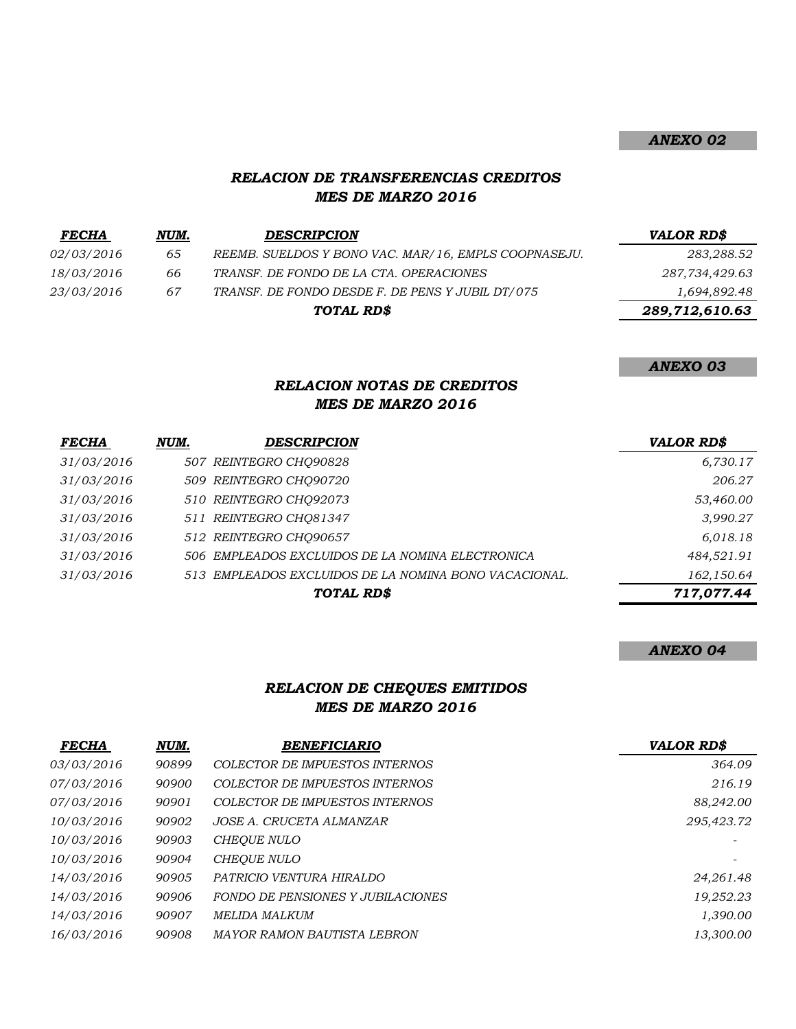### *ANEXO 02*

### *RELACION DE TRANSFERENCIAS CREDITOS MES DE MARZO 2016*

| <b>FECHA</b>      | NUM. | <b>DESCRIPCION</b>                                   | <b>VALOR RD\$</b> |
|-------------------|------|------------------------------------------------------|-------------------|
| <i>02/03/2016</i> | 65   | REEMB. SUELDOS Y BONO VAC. MAR/16, EMPLS COOPNASEJU. | 283,288.52        |
| 18/03/2016        | 66   | TRANSF. DE FONDO DE LA CTA. OPERACIONES              | 287,734,429.63    |
| <i>23/03/2016</i> | 67   | TRANSF. DE FONDO DESDE F. DE PENS Y JUBIL DT/075     | 1,694,892.48      |
|                   |      | TOTAL RD\$                                           | 289,712,610.63    |

*ANEXO 03*

### *RELACION NOTAS DE CREDITOS MES DE MARZO 2016*

| <b>FECHA</b> | NUM. | <b>DESCRIPCION</b>                                    | <b>VALOR RD\$</b> |
|--------------|------|-------------------------------------------------------|-------------------|
| 31/03/2016   |      | 507 REINTEGRO CHO90828                                | 6,730.17          |
| 31/03/2016   |      | 509 REINTEGRO CHQ90720                                | 206.27            |
| 31/03/2016   |      | 510 REINTEGRO CHO92073                                | 53,460.00         |
| 31/03/2016   |      | 511 REINTEGRO CHO81347                                | 3,990.27          |
| 31/03/2016   |      | 512 REINTEGRO CHQ90657                                | 6,018.18          |
| 31/03/2016   |      | 506 EMPLEADOS EXCLUIDOS DE LA NOMINA ELECTRONICA      | 484,521.91        |
| 31/03/2016   |      | 513 EMPLEADOS EXCLUIDOS DE LA NOMINA BONO VACACIONAL. | 162,150.64        |
|              |      | TOTAL RD\$                                            | 717,077.44        |

#### *ANEXO 04*

## *RELACION DE CHEQUES EMITIDOS MES DE MARZO 2016*

| <b>FECHA</b> | NUM.  | <b>BENEFICIARIO</b>                      | <b>VALOR RD\$</b> |
|--------------|-------|------------------------------------------|-------------------|
| 03/03/2016   | 90899 | COLECTOR DE IMPUESTOS INTERNOS           | 364.09            |
| 07/03/2016   | 90900 | COLECTOR DE IMPUESTOS INTERNOS           | 216.19            |
| 07/03/2016   | 90901 | COLECTOR DE IMPUESTOS INTERNOS           | 88,242.00         |
| 10/03/2016   | 90902 | JOSE A. CRUCETA ALMANZAR                 | 295,423.72        |
| 10/03/2016   | 90903 | <b>CHEOUE NULO</b>                       |                   |
| 10/03/2016   | 90904 | <b>CHEOUE NULO</b>                       |                   |
| 14/03/2016   | 90905 | PATRICIO VENTURA HIRALDO                 | 24,261.48         |
| 14/03/2016   | 90906 | <b>FONDO DE PENSIONES Y JUBILACIONES</b> | 19,252.23         |
| 14/03/2016   | 90907 | MELIDA MALKUM                            | 1,390.00          |
| 16/03/2016   | 90908 | <i>MAYOR RAMON BAUTISTA LEBRON</i>       | 13,300.00         |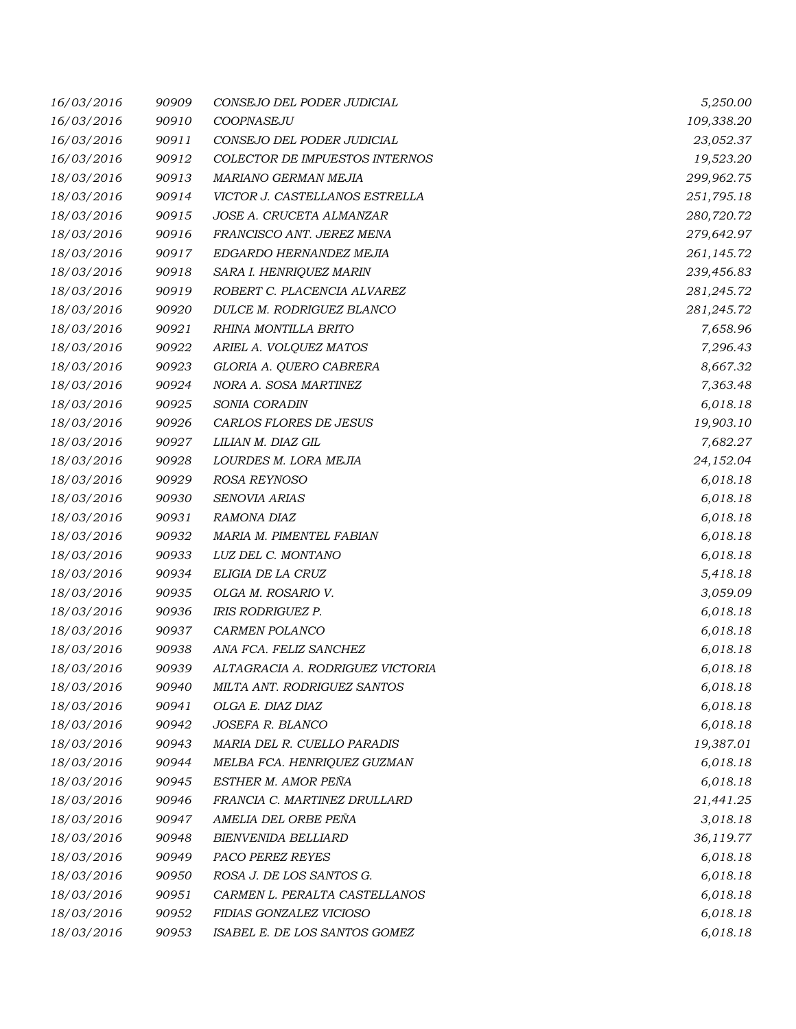| 16/03/2016 | 90909 | CONSEJO DEL PODER JUDICIAL       | 5,250.00   |
|------------|-------|----------------------------------|------------|
| 16/03/2016 | 90910 | COOPNASEJU                       | 109,338.20 |
| 16/03/2016 | 90911 | CONSEJO DEL PODER JUDICIAL       | 23,052.37  |
| 16/03/2016 | 90912 | COLECTOR DE IMPUESTOS INTERNOS   | 19,523.20  |
| 18/03/2016 | 90913 | MARIANO GERMAN MEJIA             | 299,962.75 |
| 18/03/2016 | 90914 | VICTOR J. CASTELLANOS ESTRELLA   | 251,795.18 |
| 18/03/2016 | 90915 | JOSE A. CRUCETA ALMANZAR         | 280,720.72 |
| 18/03/2016 | 90916 | FRANCISCO ANT. JEREZ MENA        | 279,642.97 |
| 18/03/2016 | 90917 | EDGARDO HERNANDEZ MEJIA          | 261,145.72 |
| 18/03/2016 | 90918 | SARA I. HENRIQUEZ MARIN          | 239,456.83 |
| 18/03/2016 | 90919 | ROBERT C. PLACENCIA ALVAREZ      | 281,245.72 |
| 18/03/2016 | 90920 | DULCE M. RODRIGUEZ BLANCO        | 281,245.72 |
| 18/03/2016 | 90921 | RHINA MONTILLA BRITO             | 7,658.96   |
| 18/03/2016 | 90922 | ARIEL A. VOLQUEZ MATOS           | 7,296.43   |
| 18/03/2016 | 90923 | GLORIA A. QUERO CABRERA          | 8,667.32   |
| 18/03/2016 | 90924 | NORA A. SOSA MARTINEZ            | 7,363.48   |
| 18/03/2016 | 90925 | SONIA CORADIN                    | 6,018.18   |
| 18/03/2016 | 90926 | CARLOS FLORES DE JESUS           | 19,903.10  |
| 18/03/2016 | 90927 | LILIAN M. DIAZ GIL               | 7,682.27   |
| 18/03/2016 | 90928 | LOURDES M. LORA MEJIA            | 24,152.04  |
| 18/03/2016 | 90929 | ROSA REYNOSO                     | 6,018.18   |
| 18/03/2016 | 90930 | SENOVIA ARIAS                    | 6,018.18   |
| 18/03/2016 | 90931 | RAMONA DIAZ                      | 6,018.18   |
| 18/03/2016 | 90932 | MARIA M. PIMENTEL FABIAN         | 6,018.18   |
| 18/03/2016 | 90933 | LUZ DEL C. MONTANO               | 6,018.18   |
| 18/03/2016 | 90934 | ELIGIA DE LA CRUZ                | 5,418.18   |
| 18/03/2016 | 90935 | OLGA M. ROSARIO V.               | 3,059.09   |
| 18/03/2016 | 90936 | <b>IRIS RODRIGUEZ P.</b>         | 6,018.18   |
| 18/03/2016 | 90937 | CARMEN POLANCO                   | 6,018.18   |
| 18/03/2016 | 90938 | ANA FCA. FELIZ SANCHEZ           | 6,018.18   |
| 18/03/2016 | 90939 | ALTAGRACIA A. RODRIGUEZ VICTORIA | 6,018.18   |
| 18/03/2016 | 90940 | MILTA ANT. RODRIGUEZ SANTOS      | 6,018.18   |
| 18/03/2016 | 90941 | OLGA E. DIAZ DIAZ                | 6,018.18   |
| 18/03/2016 | 90942 | JOSEFA R. BLANCO                 | 6,018.18   |
| 18/03/2016 | 90943 | MARIA DEL R. CUELLO PARADIS      | 19,387.01  |
| 18/03/2016 | 90944 | MELBA FCA. HENRIQUEZ GUZMAN      | 6,018.18   |
| 18/03/2016 | 90945 | ESTHER M. AMOR PEÑA              | 6,018.18   |
| 18/03/2016 | 90946 | FRANCIA C. MARTINEZ DRULLARD     | 21,441.25  |
| 18/03/2016 | 90947 | AMELIA DEL ORBE PEÑA             | 3,018.18   |
| 18/03/2016 | 90948 | <b>BIENVENIDA BELLIARD</b>       | 36,119.77  |
| 18/03/2016 | 90949 | PACO PEREZ REYES                 | 6,018.18   |
| 18/03/2016 | 90950 | ROSA J. DE LOS SANTOS G.         | 6,018.18   |
| 18/03/2016 | 90951 | CARMEN L. PERALTA CASTELLANOS    | 6,018.18   |
| 18/03/2016 | 90952 | FIDIAS GONZALEZ VICIOSO          | 6,018.18   |
| 18/03/2016 | 90953 | ISABEL E. DE LOS SANTOS GOMEZ    | 6,018.18   |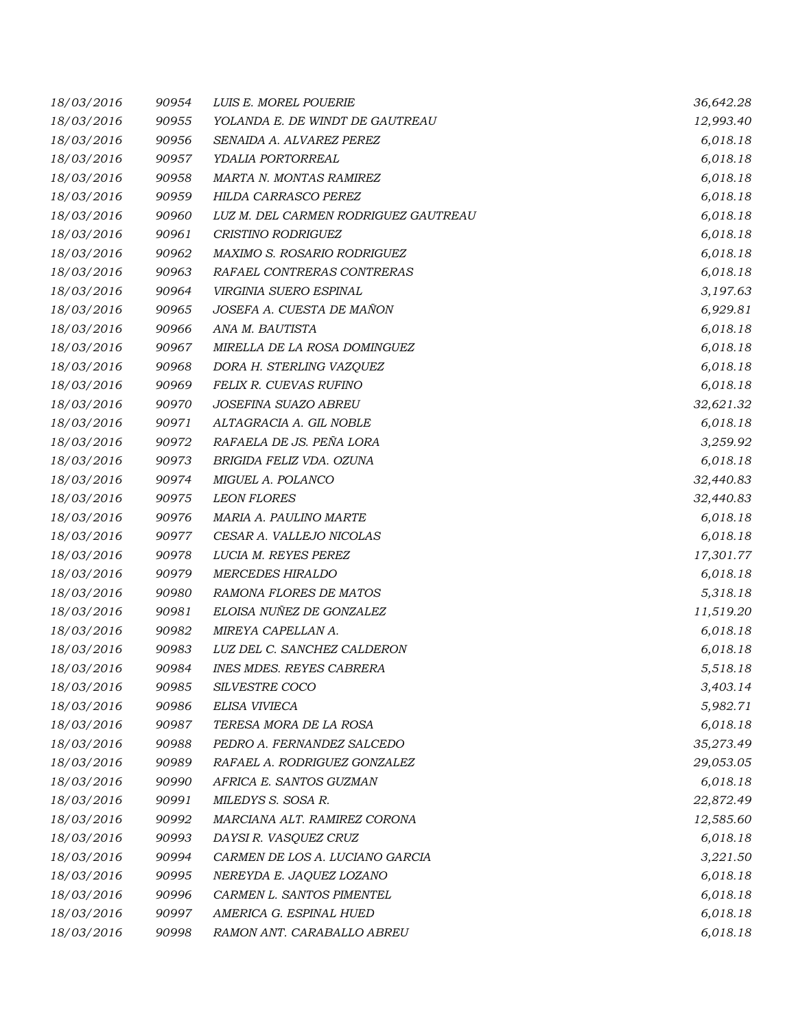| 18/03/2016 | 90954 | LUIS E. MOREL POUERIE                | 36,642.28 |
|------------|-------|--------------------------------------|-----------|
| 18/03/2016 | 90955 | YOLANDA E. DE WINDT DE GAUTREAU      | 12,993.40 |
| 18/03/2016 | 90956 | SENAIDA A. ALVAREZ PEREZ             | 6,018.18  |
| 18/03/2016 | 90957 | YDALIA PORTORREAL                    | 6,018.18  |
| 18/03/2016 | 90958 | MARTA N. MONTAS RAMIREZ              | 6,018.18  |
| 18/03/2016 | 90959 | HILDA CARRASCO PEREZ                 | 6,018.18  |
| 18/03/2016 | 90960 | LUZ M. DEL CARMEN RODRIGUEZ GAUTREAU | 6,018.18  |
| 18/03/2016 | 90961 | CRISTINO RODRIGUEZ                   | 6,018.18  |
| 18/03/2016 | 90962 | MAXIMO S. ROSARIO RODRIGUEZ          | 6,018.18  |
| 18/03/2016 | 90963 | RAFAEL CONTRERAS CONTRERAS           | 6,018.18  |
| 18/03/2016 | 90964 | VIRGINIA SUERO ESPINAL               | 3,197.63  |
| 18/03/2016 | 90965 | JOSEFA A. CUESTA DE MAÑON            | 6,929.81  |
| 18/03/2016 | 90966 | ANA M. BAUTISTA                      | 6,018.18  |
| 18/03/2016 | 90967 | MIRELLA DE LA ROSA DOMINGUEZ         | 6,018.18  |
| 18/03/2016 | 90968 | DORA H. STERLING VAZOUEZ             | 6,018.18  |
| 18/03/2016 | 90969 | FELIX R. CUEVAS RUFINO               | 6,018.18  |
| 18/03/2016 | 90970 | JOSEFINA SUAZO ABREU                 | 32,621.32 |
| 18/03/2016 | 90971 | ALTAGRACIA A. GIL NOBLE              | 6,018.18  |
| 18/03/2016 | 90972 | RAFAELA DE JS. PEÑA LORA             | 3,259.92  |
| 18/03/2016 | 90973 | BRIGIDA FELIZ VDA. OZUNA             | 6,018.18  |
| 18/03/2016 | 90974 | MIGUEL A. POLANCO                    | 32,440.83 |
| 18/03/2016 | 90975 | <b>LEON FLORES</b>                   | 32,440.83 |
| 18/03/2016 | 90976 | MARIA A. PAULINO MARTE               | 6,018.18  |
| 18/03/2016 | 90977 | CESAR A. VALLEJO NICOLAS             | 6,018.18  |
| 18/03/2016 | 90978 | LUCIA M. REYES PEREZ                 | 17,301.77 |
| 18/03/2016 | 90979 | <b>MERCEDES HIRALDO</b>              | 6,018.18  |
| 18/03/2016 | 90980 | RAMONA FLORES DE MATOS               | 5,318.18  |
| 18/03/2016 | 90981 | ELOISA NUÑEZ DE GONZALEZ             | 11,519.20 |
| 18/03/2016 | 90982 | MIREYA CAPELLAN A.                   | 6,018.18  |
| 18/03/2016 | 90983 | LUZ DEL C. SANCHEZ CALDERON          | 6,018.18  |
| 18/03/2016 | 90984 | <b>INES MDES. REYES CABRERA</b>      | 5,518.18  |
| 18/03/2016 | 90985 | SILVESTRE COCO                       | 3,403.14  |
| 18/03/2016 | 90986 | ELISA VIVIECA                        | 5,982.71  |
| 18/03/2016 | 90987 | TERESA MORA DE LA ROSA               | 6,018.18  |
| 18/03/2016 | 90988 | PEDRO A. FERNANDEZ SALCEDO           | 35,273.49 |
| 18/03/2016 | 90989 | RAFAEL A. RODRIGUEZ GONZALEZ         | 29,053.05 |
| 18/03/2016 | 90990 | AFRICA E. SANTOS GUZMAN              | 6,018.18  |
| 18/03/2016 | 90991 | MILEDYS S. SOSA R.                   | 22,872.49 |
| 18/03/2016 | 90992 | MARCIANA ALT. RAMIREZ CORONA         | 12,585.60 |
| 18/03/2016 | 90993 | DAYSI R. VASQUEZ CRUZ                | 6,018.18  |
| 18/03/2016 | 90994 | CARMEN DE LOS A. LUCIANO GARCIA      | 3,221.50  |
| 18/03/2016 | 90995 | NEREYDA E. JAQUEZ LOZANO             | 6,018.18  |
| 18/03/2016 | 90996 | CARMEN L. SANTOS PIMENTEL            | 6,018.18  |
| 18/03/2016 | 90997 | AMERICA G. ESPINAL HUED              | 6,018.18  |
| 18/03/2016 | 90998 | RAMON ANT. CARABALLO ABREU           | 6,018.18  |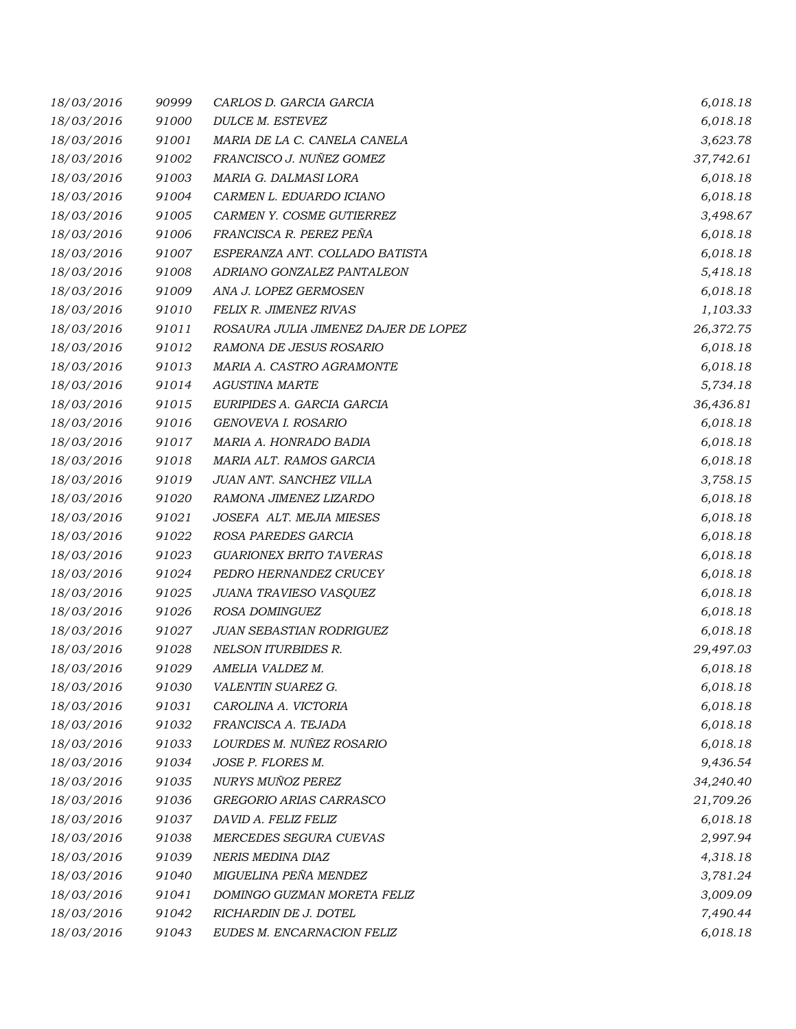| 18/03/2016 | 90999 | CARLOS D. GARCIA GARCIA              | 6,018.18  |
|------------|-------|--------------------------------------|-----------|
| 18/03/2016 | 91000 | DULCE M. ESTEVEZ                     | 6,018.18  |
| 18/03/2016 | 91001 | MARIA DE LA C. CANELA CANELA         | 3,623.78  |
| 18/03/2016 | 91002 | FRANCISCO J. NUÑEZ GOMEZ             | 37,742.61 |
| 18/03/2016 | 91003 | MARIA G. DALMASI LORA                | 6,018.18  |
| 18/03/2016 | 91004 | CARMEN L. EDUARDO ICIANO             | 6,018.18  |
| 18/03/2016 | 91005 | CARMEN Y. COSME GUTIERREZ            | 3,498.67  |
| 18/03/2016 | 91006 | FRANCISCA R. PEREZ PEÑA              | 6,018.18  |
| 18/03/2016 | 91007 | ESPERANZA ANT. COLLADO BATISTA       | 6,018.18  |
| 18/03/2016 | 91008 | ADRIANO GONZALEZ PANTALEON           | 5,418.18  |
| 18/03/2016 | 91009 | ANA J. LOPEZ GERMOSEN                | 6,018.18  |
| 18/03/2016 | 91010 | FELIX R. JIMENEZ RIVAS               | 1,103.33  |
| 18/03/2016 | 91011 | ROSAURA JULIA JIMENEZ DAJER DE LOPEZ | 26,372.75 |
| 18/03/2016 | 91012 | RAMONA DE JESUS ROSARIO              | 6,018.18  |
| 18/03/2016 | 91013 | MARIA A. CASTRO AGRAMONTE            | 6,018.18  |
| 18/03/2016 | 91014 | <b>AGUSTINA MARTE</b>                | 5,734.18  |
| 18/03/2016 | 91015 | EURIPIDES A. GARCIA GARCIA           | 36,436.81 |
| 18/03/2016 | 91016 | GENOVEVA I. ROSARIO                  | 6,018.18  |
| 18/03/2016 | 91017 | MARIA A. HONRADO BADIA               | 6,018.18  |
| 18/03/2016 | 91018 | MARIA ALT. RAMOS GARCIA              | 6,018.18  |
| 18/03/2016 | 91019 | JUAN ANT. SANCHEZ VILLA              | 3,758.15  |
| 18/03/2016 | 91020 | RAMONA JIMENEZ LIZARDO               | 6,018.18  |
| 18/03/2016 | 91021 | JOSEFA ALT. MEJIA MIESES             | 6,018.18  |
| 18/03/2016 | 91022 | ROSA PAREDES GARCIA                  | 6,018.18  |
| 18/03/2016 | 91023 | <b>GUARIONEX BRITO TAVERAS</b>       | 6,018.18  |
| 18/03/2016 | 91024 | PEDRO HERNANDEZ CRUCEY               | 6,018.18  |
| 18/03/2016 | 91025 | JUANA TRAVIESO VASQUEZ               | 6,018.18  |
| 18/03/2016 | 91026 | ROSA DOMINGUEZ                       | 6,018.18  |
| 18/03/2016 | 91027 | JUAN SEBASTIAN RODRIGUEZ             | 6,018.18  |
| 18/03/2016 | 91028 | <b>NELSON ITURBIDES R.</b>           | 29,497.03 |
| 18/03/2016 | 91029 | AMELIA VALDEZ M.                     | 6,018.18  |
| 18/03/2016 | 91030 | VALENTIN SUAREZ G.                   | 6,018.18  |
| 18/03/2016 | 91031 | CAROLINA A. VICTORIA                 | 6,018.18  |
| 18/03/2016 | 91032 | FRANCISCA A. TEJADA                  | 6,018.18  |
| 18/03/2016 | 91033 | LOURDES M. NUÑEZ ROSARIO             | 6,018.18  |
| 18/03/2016 | 91034 | JOSE P. FLORES M.                    | 9,436.54  |
| 18/03/2016 | 91035 | <b>NURYS MUÑOZ PEREZ</b>             | 34,240.40 |
| 18/03/2016 | 91036 | GREGORIO ARIAS CARRASCO              | 21,709.26 |
| 18/03/2016 | 91037 | DAVID A. FELIZ FELIZ                 | 6,018.18  |
| 18/03/2016 | 91038 | MERCEDES SEGURA CUEVAS               | 2,997.94  |
| 18/03/2016 | 91039 | NERIS MEDINA DIAZ                    | 4,318.18  |
| 18/03/2016 | 91040 | MIGUELINA PEÑA MENDEZ                | 3,781.24  |
| 18/03/2016 | 91041 | DOMINGO GUZMAN MORETA FELIZ          | 3,009.09  |
| 18/03/2016 | 91042 | RICHARDIN DE J. DOTEL                | 7,490.44  |
| 18/03/2016 | 91043 | EUDES M. ENCARNACION FELIZ           | 6,018.18  |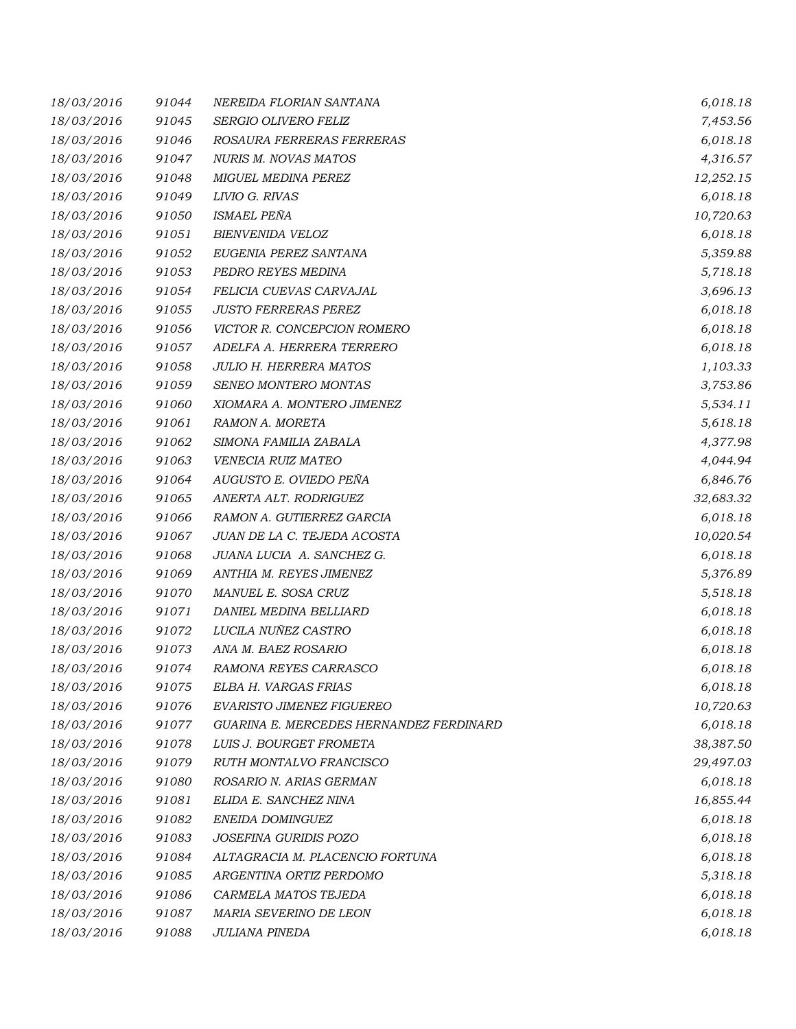| 18/03/2016 | 91044 | NEREIDA FLORIAN SANTANA                 | 6,018.18  |
|------------|-------|-----------------------------------------|-----------|
| 18/03/2016 | 91045 | SERGIO OLIVERO FELIZ                    | 7,453.56  |
| 18/03/2016 | 91046 | ROSAURA FERRERAS FERRERAS               | 6,018.18  |
| 18/03/2016 | 91047 | NURIS M. NOVAS MATOS                    | 4,316.57  |
| 18/03/2016 | 91048 | MIGUEL MEDINA PEREZ                     | 12,252.15 |
| 18/03/2016 | 91049 | LIVIO G. RIVAS                          | 6,018.18  |
| 18/03/2016 | 91050 | <b>ISMAEL PEÑA</b>                      | 10,720.63 |
| 18/03/2016 | 91051 | BIENVENIDA VELOZ                        | 6,018.18  |
| 18/03/2016 | 91052 | EUGENIA PEREZ SANTANA                   | 5,359.88  |
| 18/03/2016 | 91053 | PEDRO REYES MEDINA                      | 5,718.18  |
| 18/03/2016 | 91054 | FELICIA CUEVAS CARVAJAL                 | 3,696.13  |
| 18/03/2016 | 91055 | <b>JUSTO FERRERAS PEREZ</b>             | 6,018.18  |
| 18/03/2016 | 91056 | VICTOR R. CONCEPCION ROMERO             | 6,018.18  |
| 18/03/2016 | 91057 | ADELFA A. HERRERA TERRERO               | 6,018.18  |
| 18/03/2016 | 91058 | <b>JULIO H. HERRERA MATOS</b>           | 1,103.33  |
| 18/03/2016 | 91059 | SENEO MONTERO MONTAS                    | 3,753.86  |
| 18/03/2016 | 91060 | XIOMARA A. MONTERO JIMENEZ              | 5,534.11  |
| 18/03/2016 | 91061 | RAMON A. MORETA                         | 5,618.18  |
| 18/03/2016 | 91062 | SIMONA FAMILIA ZABALA                   | 4,377.98  |
| 18/03/2016 | 91063 | VENECIA RUIZ MATEO                      | 4,044.94  |
| 18/03/2016 | 91064 | AUGUSTO E. OVIEDO PEÑA                  | 6,846.76  |
| 18/03/2016 | 91065 | ANERTA ALT. RODRIGUEZ                   | 32,683.32 |
| 18/03/2016 | 91066 | RAMON A. GUTIERREZ GARCIA               | 6,018.18  |
| 18/03/2016 | 91067 | JUAN DE LA C. TEJEDA ACOSTA             | 10,020.54 |
| 18/03/2016 | 91068 | JUANA LUCIA A. SANCHEZ G.               | 6,018.18  |
| 18/03/2016 | 91069 | ANTHIA M. REYES JIMENEZ                 | 5,376.89  |
| 18/03/2016 | 91070 | MANUEL E. SOSA CRUZ                     | 5,518.18  |
| 18/03/2016 | 91071 | DANIEL MEDINA BELLIARD                  | 6,018.18  |
| 18/03/2016 | 91072 | LUCILA NUÑEZ CASTRO                     | 6,018.18  |
| 18/03/2016 | 91073 | ANA M. BAEZ ROSARIO                     | 6,018.18  |
| 18/03/2016 | 91074 | RAMONA REYES CARRASCO                   | 6,018.18  |
| 18/03/2016 | 91075 | ELBA H. VARGAS FRIAS                    | 6,018.18  |
| 18/03/2016 | 91076 | EVARISTO JIMENEZ FIGUEREO               | 10,720.63 |
| 18/03/2016 | 91077 | GUARINA E. MERCEDES HERNANDEZ FERDINARD | 6,018.18  |
| 18/03/2016 | 91078 | LUIS J. BOURGET FROMETA                 | 38,387.50 |
| 18/03/2016 | 91079 | RUTH MONTALVO FRANCISCO                 | 29,497.03 |
| 18/03/2016 | 91080 | ROSARIO N. ARIAS GERMAN                 | 6,018.18  |
| 18/03/2016 | 91081 | ELIDA E. SANCHEZ NINA                   | 16,855.44 |
| 18/03/2016 | 91082 | ENEIDA DOMINGUEZ                        | 6,018.18  |
| 18/03/2016 | 91083 | JOSEFINA GURIDIS POZO                   | 6,018.18  |
| 18/03/2016 | 91084 | ALTAGRACIA M. PLACENCIO FORTUNA         | 6,018.18  |
| 18/03/2016 | 91085 | ARGENTINA ORTIZ PERDOMO                 | 5,318.18  |
| 18/03/2016 | 91086 | CARMELA MATOS TEJEDA                    | 6,018.18  |
| 18/03/2016 | 91087 | MARIA SEVERINO DE LEON                  | 6,018.18  |
| 18/03/2016 | 91088 | JULIANA PINEDA                          | 6,018.18  |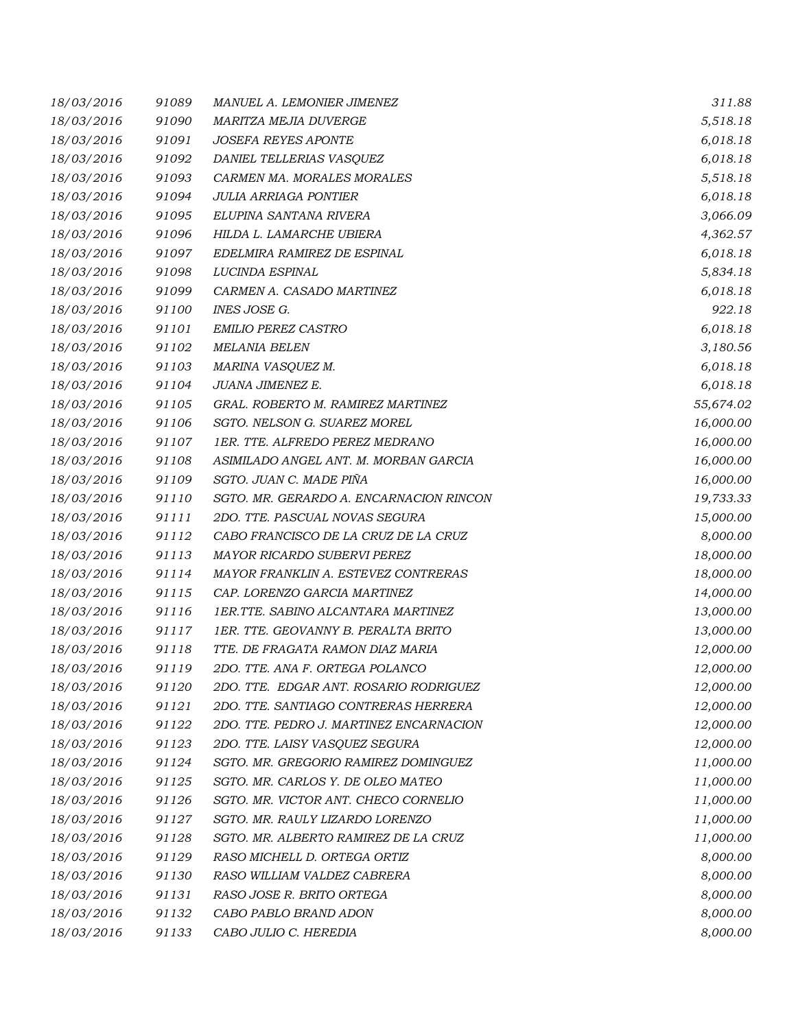| 18/03/2016 | 91089 | MANUEL A. LEMONIER JIMENEZ              | 311.88    |
|------------|-------|-----------------------------------------|-----------|
| 18/03/2016 | 91090 | MARITZA MEJIA DUVERGE                   | 5,518.18  |
| 18/03/2016 | 91091 | <b>JOSEFA REYES APONTE</b>              | 6,018.18  |
| 18/03/2016 | 91092 | DANIEL TELLERIAS VASQUEZ                | 6,018.18  |
| 18/03/2016 | 91093 | CARMEN MA. MORALES MORALES              | 5,518.18  |
| 18/03/2016 | 91094 | <b>JULIA ARRIAGA PONTIER</b>            | 6,018.18  |
| 18/03/2016 | 91095 | ELUPINA SANTANA RIVERA                  | 3,066.09  |
| 18/03/2016 | 91096 | HILDA L. LAMARCHE UBIERA                | 4,362.57  |
| 18/03/2016 | 91097 | EDELMIRA RAMIREZ DE ESPINAL             | 6,018.18  |
| 18/03/2016 | 91098 | LUCINDA ESPINAL                         | 5,834.18  |
| 18/03/2016 | 91099 | CARMEN A. CASADO MARTINEZ               | 6,018.18  |
| 18/03/2016 | 91100 | INES JOSE G.                            | 922.18    |
| 18/03/2016 | 91101 | <b>EMILIO PEREZ CASTRO</b>              | 6,018.18  |
| 18/03/2016 | 91102 | <b>MELANIA BELEN</b>                    | 3,180.56  |
| 18/03/2016 | 91103 | MARINA VASQUEZ M.                       | 6,018.18  |
| 18/03/2016 | 91104 | JUANA JIMENEZ E.                        | 6,018.18  |
| 18/03/2016 | 91105 | GRAL. ROBERTO M. RAMIREZ MARTINEZ       | 55,674.02 |
| 18/03/2016 | 91106 | SGTO. NELSON G. SUAREZ MOREL            | 16,000.00 |
| 18/03/2016 | 91107 | 1ER. TTE. ALFREDO PEREZ MEDRANO         | 16,000.00 |
| 18/03/2016 | 91108 | ASIMILADO ANGEL ANT. M. MORBAN GARCIA   | 16,000.00 |
| 18/03/2016 | 91109 | SGTO. JUAN C. MADE PIÑA                 | 16,000.00 |
| 18/03/2016 | 91110 | SGTO. MR. GERARDO A. ENCARNACION RINCON | 19,733.33 |
| 18/03/2016 | 91111 | 2DO. TTE. PASCUAL NOVAS SEGURA          | 15,000.00 |
| 18/03/2016 | 91112 | CABO FRANCISCO DE LA CRUZ DE LA CRUZ    | 8,000.00  |
| 18/03/2016 | 91113 | MAYOR RICARDO SUBERVI PEREZ             | 18,000.00 |
| 18/03/2016 | 91114 | MAYOR FRANKLIN A. ESTEVEZ CONTRERAS     | 18,000.00 |
| 18/03/2016 | 91115 | CAP. LORENZO GARCIA MARTINEZ            | 14,000.00 |
| 18/03/2016 | 91116 | 1ER.TTE. SABINO ALCANTARA MARTINEZ      | 13,000.00 |
| 18/03/2016 | 91117 | 1ER. TTE. GEOVANNY B. PERALTA BRITO     | 13,000.00 |
| 18/03/2016 | 91118 | TTE. DE FRAGATA RAMON DIAZ MARIA        | 12,000.00 |
| 18/03/2016 | 91119 | 2DO. TTE. ANA F. ORTEGA POLANCO         | 12,000.00 |
| 18/03/2016 | 91120 | 2DO. TTE. EDGAR ANT. ROSARIO RODRIGUEZ  | 12,000.00 |
| 18/03/2016 | 91121 | 2DO. TTE. SANTIAGO CONTRERAS HERRERA    | 12,000.00 |
| 18/03/2016 | 91122 | 2DO. TTE. PEDRO J. MARTINEZ ENCARNACION | 12,000.00 |
| 18/03/2016 | 91123 | 2DO. TTE. LAISY VASQUEZ SEGURA          | 12,000.00 |
| 18/03/2016 | 91124 | SGTO. MR. GREGORIO RAMIREZ DOMINGUEZ    | 11,000.00 |
| 18/03/2016 | 91125 | SGTO. MR. CARLOS Y. DE OLEO MATEO       | 11,000.00 |
| 18/03/2016 | 91126 | SGTO. MR. VICTOR ANT. CHECO CORNELIO    | 11,000.00 |
| 18/03/2016 | 91127 | SGTO. MR. RAULY LIZARDO LORENZO         | 11,000.00 |
| 18/03/2016 | 91128 | SGTO. MR. ALBERTO RAMIREZ DE LA CRUZ    | 11,000.00 |
| 18/03/2016 | 91129 | RASO MICHELL D. ORTEGA ORTIZ            | 8,000.00  |
| 18/03/2016 | 91130 | RASO WILLIAM VALDEZ CABRERA             | 8,000.00  |
| 18/03/2016 | 91131 | RASO JOSE R. BRITO ORTEGA               | 8,000.00  |
| 18/03/2016 | 91132 | CABO PABLO BRAND ADON                   | 8,000.00  |
| 18/03/2016 | 91133 | CABO JULIO C. HEREDIA                   | 8,000.00  |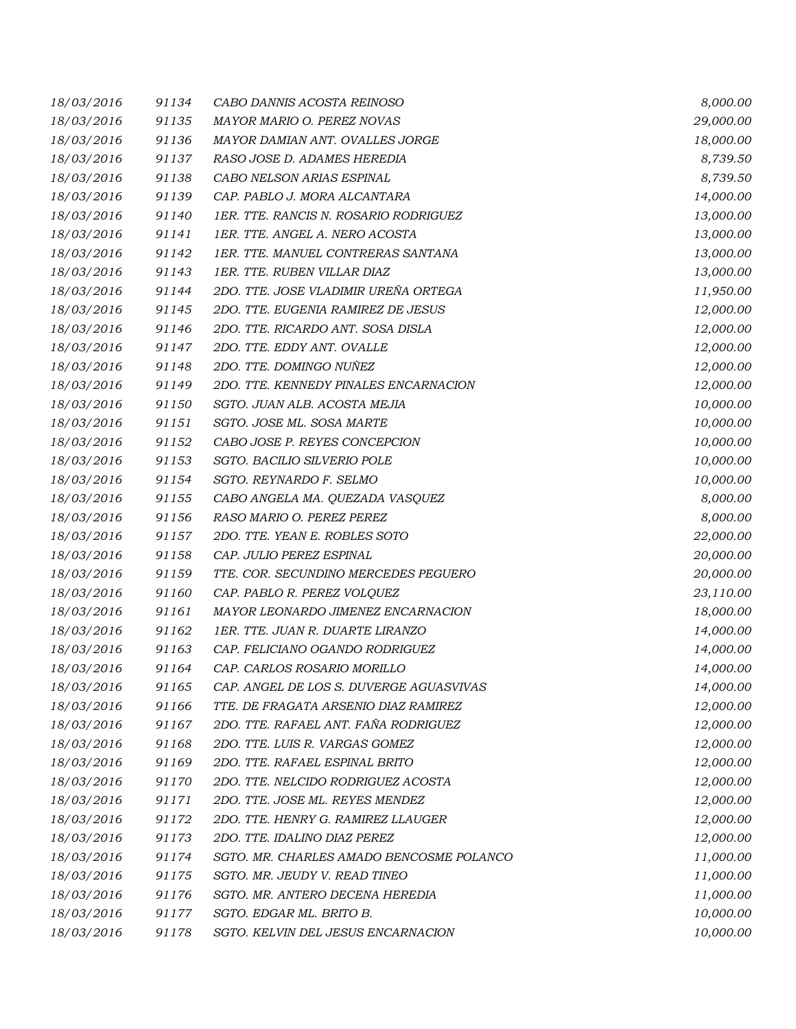| 18/03/2016 | 91134 | CABO DANNIS ACOSTA REINOSO               | 8,000.00  |
|------------|-------|------------------------------------------|-----------|
| 18/03/2016 | 91135 | MAYOR MARIO O. PEREZ NOVAS               | 29,000.00 |
| 18/03/2016 | 91136 | MAYOR DAMIAN ANT. OVALLES JORGE          | 18,000.00 |
| 18/03/2016 | 91137 | RASO JOSE D. ADAMES HEREDIA              | 8,739.50  |
| 18/03/2016 | 91138 | CABO NELSON ARIAS ESPINAL                | 8,739.50  |
| 18/03/2016 | 91139 | CAP. PABLO J. MORA ALCANTARA             | 14,000.00 |
| 18/03/2016 | 91140 | 1ER. TTE. RANCIS N. ROSARIO RODRIGUEZ    | 13,000.00 |
| 18/03/2016 | 91141 | 1ER. TTE. ANGEL A. NERO ACOSTA           | 13,000.00 |
| 18/03/2016 | 91142 | 1ER. TTE. MANUEL CONTRERAS SANTANA       | 13,000.00 |
| 18/03/2016 | 91143 | 1ER. TTE. RUBEN VILLAR DIAZ              | 13,000.00 |
| 18/03/2016 | 91144 | 2DO. TTE. JOSE VLADIMIR UREÑA ORTEGA     | 11,950.00 |
| 18/03/2016 | 91145 | 2DO. TTE. EUGENIA RAMIREZ DE JESUS       | 12,000.00 |
| 18/03/2016 | 91146 | 2DO. TTE. RICARDO ANT. SOSA DISLA        | 12,000.00 |
| 18/03/2016 | 91147 | 2DO. TTE. EDDY ANT. OVALLE               | 12,000.00 |
| 18/03/2016 | 91148 | 2DO. TTE. DOMINGO NUÑEZ                  | 12,000.00 |
| 18/03/2016 | 91149 | 2DO. TTE. KENNEDY PINALES ENCARNACION    | 12,000.00 |
| 18/03/2016 | 91150 | SGTO. JUAN ALB. ACOSTA MEJIA             | 10,000.00 |
| 18/03/2016 | 91151 | SGTO. JOSE ML. SOSA MARTE                | 10,000.00 |
| 18/03/2016 | 91152 | CABO JOSE P. REYES CONCEPCION            | 10,000.00 |
| 18/03/2016 | 91153 | SGTO. BACILIO SILVERIO POLE              | 10,000.00 |
| 18/03/2016 | 91154 | SGTO. REYNARDO F. SELMO                  | 10,000.00 |
| 18/03/2016 | 91155 | CABO ANGELA MA. QUEZADA VASQUEZ          | 8,000.00  |
| 18/03/2016 | 91156 | RASO MARIO O. PEREZ PEREZ                | 8,000.00  |
| 18/03/2016 | 91157 | 2DO. TTE. YEAN E. ROBLES SOTO            | 22,000.00 |
| 18/03/2016 | 91158 | CAP. JULIO PEREZ ESPINAL                 | 20,000.00 |
| 18/03/2016 | 91159 | TTE. COR. SECUNDINO MERCEDES PEGUERO     | 20,000.00 |
| 18/03/2016 | 91160 | CAP. PABLO R. PEREZ VOLQUEZ              | 23,110.00 |
| 18/03/2016 | 91161 | MAYOR LEONARDO JIMENEZ ENCARNACION       | 18,000.00 |
| 18/03/2016 | 91162 | 1ER. TTE. JUAN R. DUARTE LIRANZO         | 14,000.00 |
| 18/03/2016 | 91163 | CAP. FELICIANO OGANDO RODRIGUEZ          | 14,000.00 |
| 18/03/2016 | 91164 | CAP. CARLOS ROSARIO MORILLO              | 14,000.00 |
| 18/03/2016 | 91165 | CAP. ANGEL DE LOS S. DUVERGE AGUASVIVAS  | 14,000.00 |
| 18/03/2016 | 91166 | TTE. DE FRAGATA ARSENIO DIAZ RAMIREZ     | 12,000.00 |
| 18/03/2016 | 91167 | 2DO. TTE. RAFAEL ANT. FAÑA RODRIGUEZ     | 12,000.00 |
| 18/03/2016 | 91168 | 2DO. TTE. LUIS R. VARGAS GOMEZ           | 12,000.00 |
| 18/03/2016 | 91169 | 2DO. TTE. RAFAEL ESPINAL BRITO           | 12,000.00 |
| 18/03/2016 | 91170 | 2DO. TTE. NELCIDO RODRIGUEZ ACOSTA       | 12,000.00 |
| 18/03/2016 | 91171 | 2DO. TTE. JOSE ML. REYES MENDEZ          | 12,000.00 |
| 18/03/2016 | 91172 | 2DO. TTE. HENRY G. RAMIREZ LLAUGER       | 12,000.00 |
| 18/03/2016 | 91173 | 2DO. TTE. IDALINO DIAZ PEREZ             | 12,000.00 |
| 18/03/2016 | 91174 | SGTO. MR. CHARLES AMADO BENCOSME POLANCO | 11,000.00 |
| 18/03/2016 | 91175 | SGTO. MR. JEUDY V. READ TINEO            | 11,000.00 |
| 18/03/2016 | 91176 | SGTO. MR. ANTERO DECENA HEREDIA          | 11,000.00 |
| 18/03/2016 | 91177 | SGTO. EDGAR ML. BRITO B.                 | 10,000.00 |
| 18/03/2016 | 91178 | SGTO. KELVIN DEL JESUS ENCARNACION       | 10,000.00 |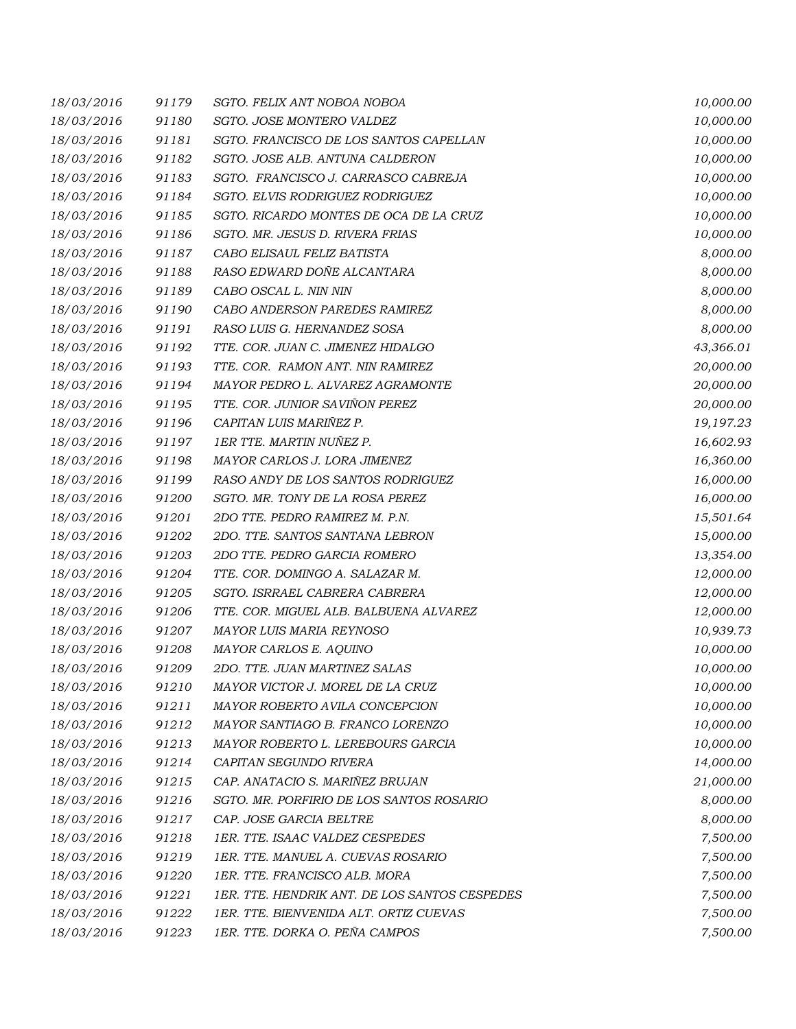| 18/03/2016 | 91179 | SGTO. FELIX ANT NOBOA NOBOA                   | 10,000.00 |
|------------|-------|-----------------------------------------------|-----------|
| 18/03/2016 | 91180 | SGTO. JOSE MONTERO VALDEZ                     | 10,000.00 |
| 18/03/2016 | 91181 | SGTO. FRANCISCO DE LOS SANTOS CAPELLAN        | 10,000.00 |
| 18/03/2016 | 91182 | SGTO. JOSE ALB. ANTUNA CALDERON               | 10,000.00 |
| 18/03/2016 | 91183 | SGTO. FRANCISCO J. CARRASCO CABREJA           | 10,000.00 |
| 18/03/2016 | 91184 | SGTO. ELVIS RODRIGUEZ RODRIGUEZ               | 10,000.00 |
| 18/03/2016 | 91185 | SGTO. RICARDO MONTES DE OCA DE LA CRUZ        | 10,000.00 |
| 18/03/2016 | 91186 | SGTO. MR. JESUS D. RIVERA FRIAS               | 10,000.00 |
| 18/03/2016 | 91187 | CABO ELISAUL FELIZ BATISTA                    | 8,000.00  |
| 18/03/2016 | 91188 | RASO EDWARD DOÑE ALCANTARA                    | 8,000.00  |
| 18/03/2016 | 91189 | CABO OSCAL L. NIN NIN                         | 8,000.00  |
| 18/03/2016 | 91190 | CABO ANDERSON PAREDES RAMIREZ                 | 8,000.00  |
| 18/03/2016 | 91191 | RASO LUIS G. HERNANDEZ SOSA                   | 8,000.00  |
| 18/03/2016 | 91192 | TTE. COR. JUAN C. JIMENEZ HIDALGO             | 43,366.01 |
| 18/03/2016 | 91193 | TTE. COR. RAMON ANT. NIN RAMIREZ              | 20,000.00 |
| 18/03/2016 | 91194 | MAYOR PEDRO L. ALVAREZ AGRAMONTE              | 20,000.00 |
| 18/03/2016 | 91195 | TTE. COR. JUNIOR SAVIÑON PEREZ                | 20,000.00 |
| 18/03/2016 | 91196 | CAPITAN LUIS MARIÑEZ P.                       | 19,197.23 |
| 18/03/2016 | 91197 | 1ER TTE. MARTIN NUÑEZ P.                      | 16,602.93 |
| 18/03/2016 | 91198 | MAYOR CARLOS J. LORA JIMENEZ                  | 16,360.00 |
| 18/03/2016 | 91199 | RASO ANDY DE LOS SANTOS RODRIGUEZ             | 16,000.00 |
| 18/03/2016 | 91200 | SGTO. MR. TONY DE LA ROSA PEREZ               | 16,000.00 |
| 18/03/2016 | 91201 | 2DO TTE. PEDRO RAMIREZ M. P.N.                | 15,501.64 |
| 18/03/2016 | 91202 | 2DO. TTE. SANTOS SANTANA LEBRON               | 15,000.00 |
| 18/03/2016 | 91203 | 2DO TTE. PEDRO GARCIA ROMERO                  | 13,354.00 |
| 18/03/2016 | 91204 | TTE. COR. DOMINGO A. SALAZAR M.               | 12,000.00 |
| 18/03/2016 | 91205 | SGTO. ISRRAEL CABRERA CABRERA                 | 12,000.00 |
| 18/03/2016 | 91206 | TTE. COR. MIGUEL ALB. BALBUENA ALVAREZ        | 12,000.00 |
| 18/03/2016 | 91207 | MAYOR LUIS MARIA REYNOSO                      | 10,939.73 |
| 18/03/2016 | 91208 | MAYOR CARLOS E. AQUINO                        | 10,000.00 |
| 18/03/2016 | 91209 | 2DO. TTE. JUAN MARTINEZ SALAS                 | 10,000.00 |
| 18/03/2016 | 91210 | MAYOR VICTOR J. MOREL DE LA CRUZ              | 10,000.00 |
| 18/03/2016 | 91211 | MAYOR ROBERTO AVILA CONCEPCION                | 10,000.00 |
| 18/03/2016 | 91212 | MAYOR SANTIAGO B. FRANCO LORENZO              | 10,000.00 |
| 18/03/2016 | 91213 | MAYOR ROBERTO L. LEREBOURS GARCIA             | 10,000.00 |
| 18/03/2016 | 91214 | CAPITAN SEGUNDO RIVERA                        | 14,000.00 |
| 18/03/2016 | 91215 | CAP. ANATACIO S. MARIÑEZ BRUJAN               | 21,000.00 |
| 18/03/2016 | 91216 | SGTO. MR. PORFIRIO DE LOS SANTOS ROSARIO      | 8,000.00  |
| 18/03/2016 | 91217 | CAP. JOSE GARCIA BELTRE                       | 8,000.00  |
| 18/03/2016 | 91218 | 1ER. TTE. ISAAC VALDEZ CESPEDES               | 7,500.00  |
| 18/03/2016 | 91219 | 1ER. TTE. MANUEL A. CUEVAS ROSARIO            | 7,500.00  |
| 18/03/2016 | 91220 | 1ER. TTE. FRANCISCO ALB. MORA                 | 7,500.00  |
| 18/03/2016 | 91221 | 1ER. TTE. HENDRIK ANT. DE LOS SANTOS CESPEDES | 7,500.00  |
| 18/03/2016 | 91222 | 1ER. TTE. BIENVENIDA ALT. ORTIZ CUEVAS        | 7,500.00  |
| 18/03/2016 | 91223 | 1ER. TTE. DORKA O. PEÑA CAMPOS                | 7,500.00  |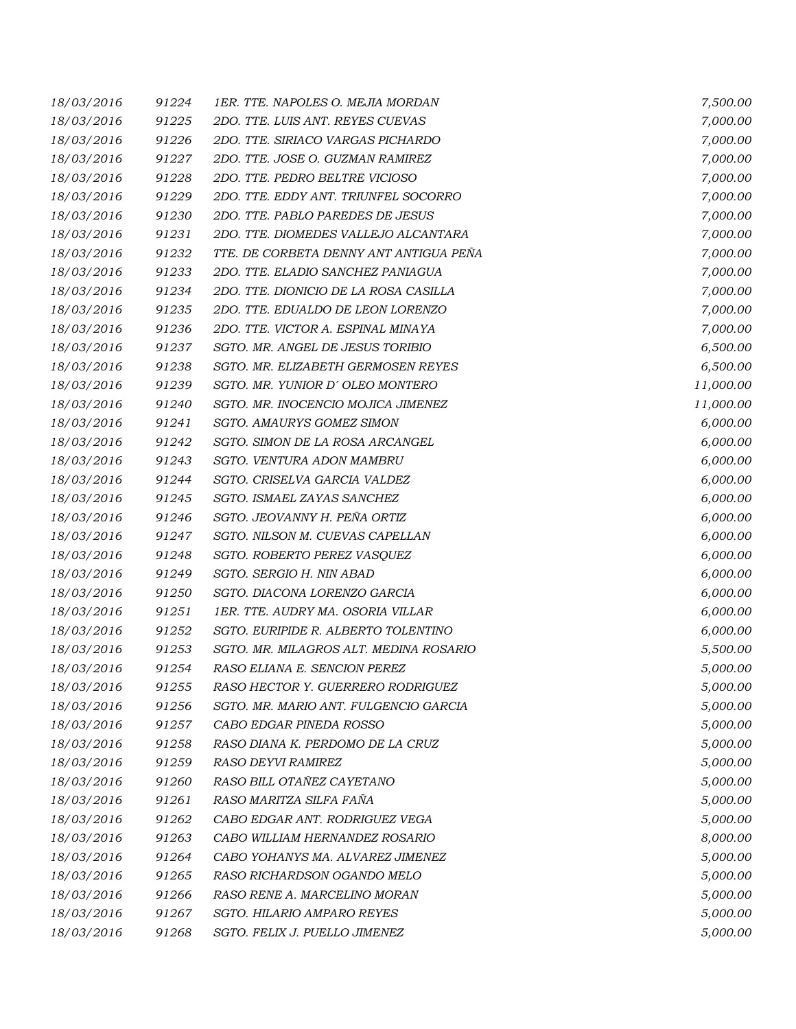| 18/03/2016 | 91224 | 1ER. TTE. NAPOLES O. MEJIA MORDAN      | 7,500.00  |
|------------|-------|----------------------------------------|-----------|
| 18/03/2016 | 91225 | 2DO. TTE. LUIS ANT. REYES CUEVAS       | 7,000.00  |
| 18/03/2016 | 91226 | 2DO. TTE. SIRIACO VARGAS PICHARDO      | 7,000.00  |
| 18/03/2016 | 91227 | 2DO. TTE. JOSE O. GUZMAN RAMIREZ       | 7,000.00  |
| 18/03/2016 | 91228 | 2DO. TTE. PEDRO BELTRE VICIOSO         | 7,000.00  |
| 18/03/2016 | 91229 | 2DO. TTE. EDDY ANT. TRIUNFEL SOCORRO   | 7,000.00  |
| 18/03/2016 | 91230 | 2DO. TTE. PABLO PAREDES DE JESUS       | 7,000.00  |
| 18/03/2016 | 91231 | 2DO. TTE. DIOMEDES VALLEJO ALCANTARA   | 7,000.00  |
| 18/03/2016 | 91232 | TTE. DE CORBETA DENNY ANT ANTIGUA PEÑA | 7,000.00  |
| 18/03/2016 | 91233 | 2DO. TTE. ELADIO SANCHEZ PANIAGUA      | 7,000.00  |
| 18/03/2016 | 91234 | 2DO. TTE. DIONICIO DE LA ROSA CASILLA  | 7,000.00  |
| 18/03/2016 | 91235 | 2DO. TTE. EDUALDO DE LEON LORENZO      | 7,000.00  |
| 18/03/2016 | 91236 | 2DO. TTE. VICTOR A. ESPINAL MINAYA     | 7,000.00  |
| 18/03/2016 | 91237 | SGTO. MR. ANGEL DE JESUS TORIBIO       | 6,500.00  |
| 18/03/2016 | 91238 | SGTO. MR. ELIZABETH GERMOSEN REYES     | 6,500.00  |
| 18/03/2016 | 91239 | SGTO. MR. YUNIOR D' OLEO MONTERO       | 11,000.00 |
| 18/03/2016 | 91240 | SGTO. MR. INOCENCIO MOJICA JIMENEZ     | 11,000.00 |
| 18/03/2016 | 91241 | SGTO. AMAURYS GOMEZ SIMON              | 6,000.00  |
| 18/03/2016 | 91242 | SGTO. SIMON DE LA ROSA ARCANGEL        | 6,000.00  |
| 18/03/2016 | 91243 | SGTO. VENTURA ADON MAMBRU              | 6,000.00  |
| 18/03/2016 | 91244 | SGTO. CRISELVA GARCIA VALDEZ           | 6,000.00  |
| 18/03/2016 | 91245 | SGTO. ISMAEL ZAYAS SANCHEZ             | 6,000.00  |
| 18/03/2016 | 91246 | SGTO. JEOVANNY H. PEÑA ORTIZ           | 6,000.00  |
| 18/03/2016 | 91247 | SGTO. NILSON M. CUEVAS CAPELLAN        | 6,000.00  |
| 18/03/2016 | 91248 | SGTO. ROBERTO PEREZ VASQUEZ            | 6,000.00  |
| 18/03/2016 | 91249 | SGTO. SERGIO H. NIN ABAD               | 6,000.00  |
| 18/03/2016 | 91250 | SGTO. DIACONA LORENZO GARCIA           | 6,000.00  |
| 18/03/2016 | 91251 | 1ER. TTE. AUDRY MA. OSORIA VILLAR      | 6,000.00  |
| 18/03/2016 | 91252 | SGTO. EURIPIDE R. ALBERTO TOLENTINO    | 6,000.00  |
| 18/03/2016 | 91253 | SGTO. MR. MILAGROS ALT. MEDINA ROSARIO | 5,500.00  |
| 18/03/2016 | 91254 | RASO ELIANA E. SENCION PEREZ           | 5,000.00  |
| 18/03/2016 | 91255 | RASO HECTOR Y. GUERRERO RODRIGUEZ      | 5,000.00  |
| 18/03/2016 | 91256 | SGTO. MR. MARIO ANT. FULGENCIO GARCIA  | 5,000.00  |
| 18/03/2016 | 91257 | CABO EDGAR PINEDA ROSSO                | 5,000.00  |
| 18/03/2016 | 91258 | RASO DIANA K. PERDOMO DE LA CRUZ       | 5,000.00  |
| 18/03/2016 | 91259 | RASO DEYVI RAMIREZ                     | 5,000.00  |
| 18/03/2016 | 91260 | RASO BILL OTAÑEZ CAYETANO              | 5,000.00  |
| 18/03/2016 | 91261 | RASO MARITZA SILFA FAÑA                | 5,000.00  |
| 18/03/2016 | 91262 | CABO EDGAR ANT. RODRIGUEZ VEGA         | 5,000.00  |
| 18/03/2016 | 91263 | CABO WILLIAM HERNANDEZ ROSARIO         | 8,000.00  |
| 18/03/2016 | 91264 | CABO YOHANYS MA. ALVAREZ JIMENEZ       | 5,000.00  |
| 18/03/2016 | 91265 | RASO RICHARDSON OGANDO MELO            | 5,000.00  |
| 18/03/2016 | 91266 | RASO RENE A. MARCELINO MORAN           | 5,000.00  |
| 18/03/2016 | 91267 | SGTO. HILARIO AMPARO REYES             | 5,000.00  |
| 18/03/2016 | 91268 | SGTO. FELIX J. PUELLO JIMENEZ          | 5,000.00  |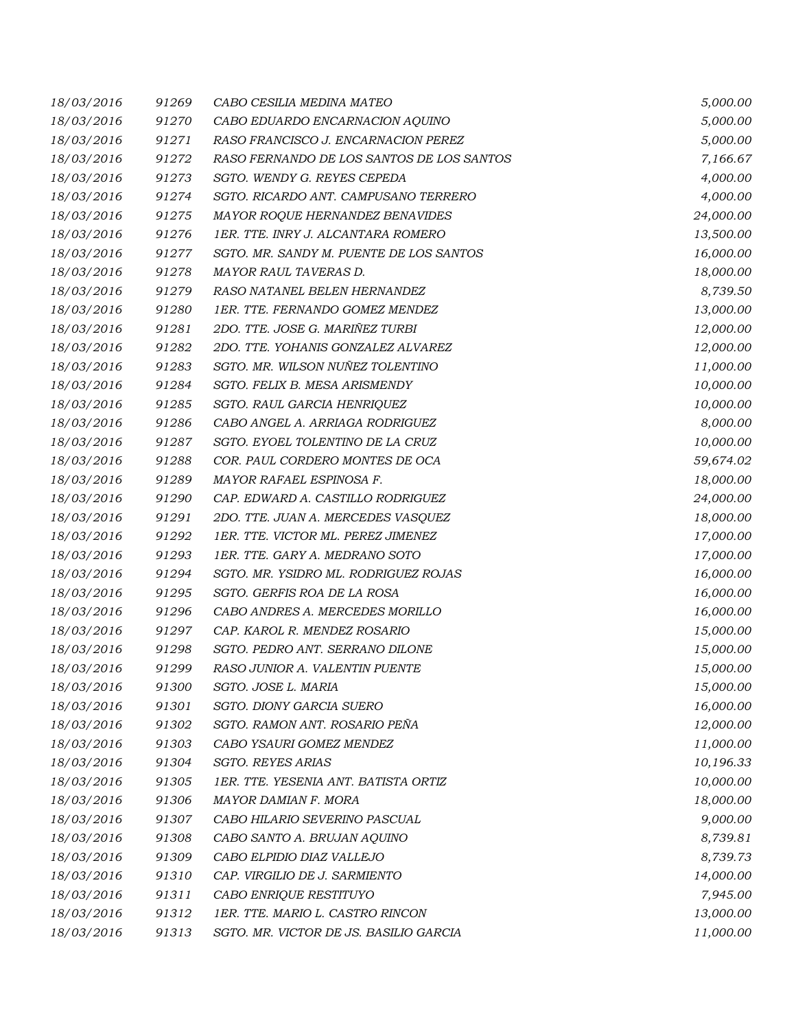| 18/03/2016 | 91269 | CABO CESILIA MEDINA MATEO                 | 5,000.00  |
|------------|-------|-------------------------------------------|-----------|
| 18/03/2016 | 91270 | CABO EDUARDO ENCARNACION AQUINO           | 5,000.00  |
| 18/03/2016 | 91271 | RASO FRANCISCO J. ENCARNACION PEREZ       | 5,000.00  |
| 18/03/2016 | 91272 | RASO FERNANDO DE LOS SANTOS DE LOS SANTOS | 7,166.67  |
| 18/03/2016 | 91273 | SGTO. WENDY G. REYES CEPEDA               | 4,000.00  |
| 18/03/2016 | 91274 | SGTO. RICARDO ANT. CAMPUSANO TERRERO      | 4,000.00  |
| 18/03/2016 | 91275 | MAYOR ROQUE HERNANDEZ BENAVIDES           | 24,000.00 |
| 18/03/2016 | 91276 | 1ER. TTE. INRY J. ALCANTARA ROMERO        | 13,500.00 |
| 18/03/2016 | 91277 | SGTO. MR. SANDY M. PUENTE DE LOS SANTOS   | 16,000.00 |
| 18/03/2016 | 91278 | MAYOR RAUL TAVERAS D.                     | 18,000.00 |
| 18/03/2016 | 91279 | RASO NATANEL BELEN HERNANDEZ              | 8,739.50  |
| 18/03/2016 | 91280 | 1ER. TTE. FERNANDO GOMEZ MENDEZ           | 13,000.00 |
| 18/03/2016 | 91281 | 2DO. TTE. JOSE G. MARIÑEZ TURBI           | 12,000.00 |
| 18/03/2016 | 91282 | 2DO. TTE. YOHANIS GONZALEZ ALVAREZ        | 12,000.00 |
| 18/03/2016 | 91283 | SGTO. MR. WILSON NUÑEZ TOLENTINO          | 11,000.00 |
| 18/03/2016 | 91284 | SGTO. FELIX B. MESA ARISMENDY             | 10,000.00 |
| 18/03/2016 | 91285 | SGTO. RAUL GARCIA HENRIQUEZ               | 10,000.00 |
| 18/03/2016 | 91286 | CABO ANGEL A. ARRIAGA RODRIGUEZ           | 8,000.00  |
| 18/03/2016 | 91287 | SGTO. EYOEL TOLENTINO DE LA CRUZ          | 10,000.00 |
| 18/03/2016 | 91288 | COR. PAUL CORDERO MONTES DE OCA           | 59,674.02 |
| 18/03/2016 | 91289 | MAYOR RAFAEL ESPINOSA F.                  | 18,000.00 |
| 18/03/2016 | 91290 | CAP. EDWARD A. CASTILLO RODRIGUEZ         | 24,000.00 |
| 18/03/2016 | 91291 | 2DO. TTE. JUAN A. MERCEDES VASQUEZ        | 18,000.00 |
| 18/03/2016 | 91292 | 1ER. TTE. VICTOR ML. PEREZ JIMENEZ        | 17,000.00 |
| 18/03/2016 | 91293 | 1ER. TTE. GARY A. MEDRANO SOTO            | 17,000.00 |
| 18/03/2016 | 91294 | SGTO. MR. YSIDRO ML. RODRIGUEZ ROJAS      | 16,000.00 |
| 18/03/2016 | 91295 | SGTO. GERFIS ROA DE LA ROSA               | 16,000.00 |
| 18/03/2016 | 91296 | CABO ANDRES A. MERCEDES MORILLO           | 16,000.00 |
| 18/03/2016 | 91297 | CAP. KAROL R. MENDEZ ROSARIO              | 15,000.00 |
| 18/03/2016 | 91298 | SGTO. PEDRO ANT. SERRANO DILONE           | 15,000.00 |
| 18/03/2016 | 91299 | RASO JUNIOR A. VALENTIN PUENTE            | 15,000.00 |
| 18/03/2016 | 91300 | SGTO. JOSE L. MARIA                       | 15,000.00 |
| 18/03/2016 | 91301 | SGTO. DIONY GARCIA SUERO                  | 16,000.00 |
| 18/03/2016 | 91302 | SGTO. RAMON ANT. ROSARIO PEÑA             | 12,000.00 |
| 18/03/2016 | 91303 | CABO YSAURI GOMEZ MENDEZ                  | 11,000.00 |
| 18/03/2016 | 91304 | SGTO. REYES ARIAS                         | 10,196.33 |
| 18/03/2016 | 91305 | 1ER. TTE. YESENIA ANT. BATISTA ORTIZ      | 10,000.00 |
| 18/03/2016 | 91306 | MAYOR DAMIAN F. MORA                      | 18,000.00 |
| 18/03/2016 | 91307 | CABO HILARIO SEVERINO PASCUAL             | 9,000.00  |
| 18/03/2016 | 91308 | CABO SANTO A. BRUJAN AQUINO               | 8,739.81  |
| 18/03/2016 | 91309 | CABO ELPIDIO DIAZ VALLEJO                 | 8,739.73  |
| 18/03/2016 | 91310 | CAP. VIRGILIO DE J. SARMIENTO             | 14,000.00 |
| 18/03/2016 | 91311 | CABO ENRIQUE RESTITUYO                    | 7,945.00  |
| 18/03/2016 | 91312 | 1ER. TTE. MARIO L. CASTRO RINCON          | 13,000.00 |
| 18/03/2016 | 91313 | SGTO. MR. VICTOR DE JS. BASILIO GARCIA    | 11,000.00 |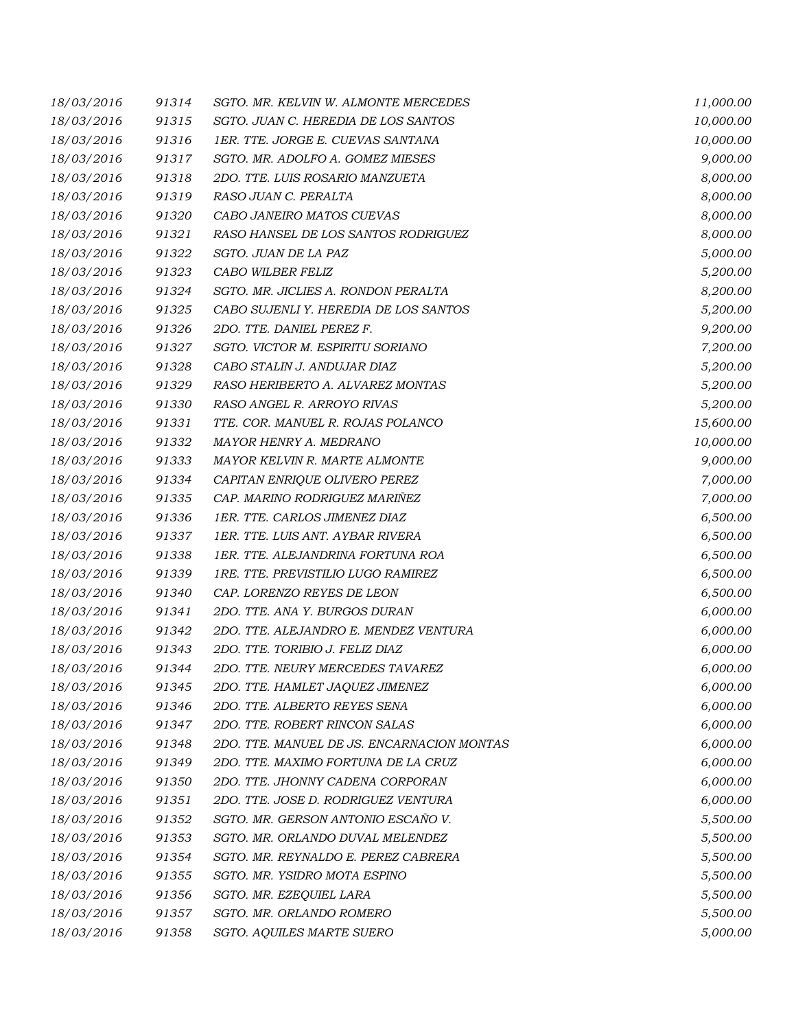| 18/03/2016 | 91314 | SGTO. MR. KELVIN W. ALMONTE MERCEDES       | 11,000.00 |
|------------|-------|--------------------------------------------|-----------|
| 18/03/2016 | 91315 | SGTO. JUAN C. HEREDIA DE LOS SANTOS        | 10,000.00 |
| 18/03/2016 | 91316 | 1ER. TTE. JORGE E. CUEVAS SANTANA          | 10,000.00 |
| 18/03/2016 | 91317 | SGTO. MR. ADOLFO A. GOMEZ MIESES           | 9,000.00  |
| 18/03/2016 | 91318 | 2DO. TTE. LUIS ROSARIO MANZUETA            | 8,000.00  |
| 18/03/2016 | 91319 | RASO JUAN C. PERALTA                       | 8,000.00  |
| 18/03/2016 | 91320 | CABO JANEIRO MATOS CUEVAS                  | 8,000.00  |
| 18/03/2016 | 91321 | RASO HANSEL DE LOS SANTOS RODRIGUEZ        | 8,000.00  |
| 18/03/2016 | 91322 | SGTO. JUAN DE LA PAZ                       | 5,000.00  |
| 18/03/2016 | 91323 | CABO WILBER FELIZ                          | 5,200.00  |
| 18/03/2016 | 91324 | SGTO. MR. JICLIES A. RONDON PERALTA        | 8,200.00  |
| 18/03/2016 | 91325 | CABO SUJENLI Y. HEREDIA DE LOS SANTOS      | 5,200.00  |
| 18/03/2016 | 91326 | 2DO. TTE. DANIEL PEREZ F.                  | 9,200.00  |
| 18/03/2016 | 91327 | SGTO. VICTOR M. ESPIRITU SORIANO           | 7,200.00  |
| 18/03/2016 | 91328 | CABO STALIN J. ANDUJAR DIAZ                | 5,200.00  |
| 18/03/2016 | 91329 | RASO HERIBERTO A. ALVAREZ MONTAS           | 5,200.00  |
| 18/03/2016 | 91330 | RASO ANGEL R. ARROYO RIVAS                 | 5,200.00  |
| 18/03/2016 | 91331 | TTE. COR. MANUEL R. ROJAS POLANCO          | 15,600.00 |
| 18/03/2016 | 91332 | MAYOR HENRY A. MEDRANO                     | 10,000.00 |
| 18/03/2016 | 91333 | MAYOR KELVIN R. MARTE ALMONTE              | 9,000.00  |
| 18/03/2016 | 91334 | CAPITAN ENRIQUE OLIVERO PEREZ              | 7,000.00  |
| 18/03/2016 | 91335 | CAP. MARINO RODRIGUEZ MARIÑEZ              | 7,000.00  |
| 18/03/2016 | 91336 | 1ER. TTE. CARLOS JIMENEZ DIAZ              | 6,500.00  |
| 18/03/2016 | 91337 | 1ER. TTE. LUIS ANT. AYBAR RIVERA           | 6,500.00  |
| 18/03/2016 | 91338 | 1ER. TTE. ALEJANDRINA FORTUNA ROA          | 6,500.00  |
| 18/03/2016 | 91339 | 1RE. TTE. PREVISTILIO LUGO RAMIREZ         | 6,500.00  |
| 18/03/2016 | 91340 | CAP. LORENZO REYES DE LEON                 | 6,500.00  |
| 18/03/2016 | 91341 | 2DO. TTE. ANA Y. BURGOS DURAN              | 6,000.00  |
| 18/03/2016 | 91342 | 2DO. TTE. ALEJANDRO E. MENDEZ VENTURA      | 6,000.00  |
| 18/03/2016 | 91343 | 2DO. TTE. TORIBIO J. FELIZ DIAZ            | 6,000.00  |
| 18/03/2016 | 91344 | 2DO. TTE. NEURY MERCEDES TAVAREZ           | 6,000.00  |
| 18/03/2016 | 91345 | 2DO. TTE. HAMLET JAQUEZ JIMENEZ            | 6,000.00  |
| 18/03/2016 | 91346 | 2DO. TTE. ALBERTO REYES SENA               | 6,000.00  |
| 18/03/2016 | 91347 | 2DO. TTE. ROBERT RINCON SALAS              | 6,000.00  |
| 18/03/2016 | 91348 | 2DO. TTE. MANUEL DE JS. ENCARNACION MONTAS | 6,000.00  |
| 18/03/2016 | 91349 | 2DO. TTE. MAXIMO FORTUNA DE LA CRUZ        | 6,000.00  |
| 18/03/2016 | 91350 | 2DO. TTE. JHONNY CADENA CORPORAN           | 6,000.00  |
| 18/03/2016 | 91351 | 2DO. TTE. JOSE D. RODRIGUEZ VENTURA        | 6,000.00  |
| 18/03/2016 | 91352 | SGTO. MR. GERSON ANTONIO ESCAÑO V.         | 5,500.00  |
| 18/03/2016 | 91353 | SGTO. MR. ORLANDO DUVAL MELENDEZ           | 5,500.00  |
| 18/03/2016 | 91354 | SGTO. MR. REYNALDO E. PEREZ CABRERA        | 5,500.00  |
| 18/03/2016 | 91355 | SGTO. MR. YSIDRO MOTA ESPINO               | 5,500.00  |
| 18/03/2016 | 91356 | SGTO. MR. EZEQUIEL LARA                    | 5,500.00  |
| 18/03/2016 | 91357 | SGTO. MR. ORLANDO ROMERO                   | 5,500.00  |
| 18/03/2016 | 91358 | SGTO. AQUILES MARTE SUERO                  | 5,000.00  |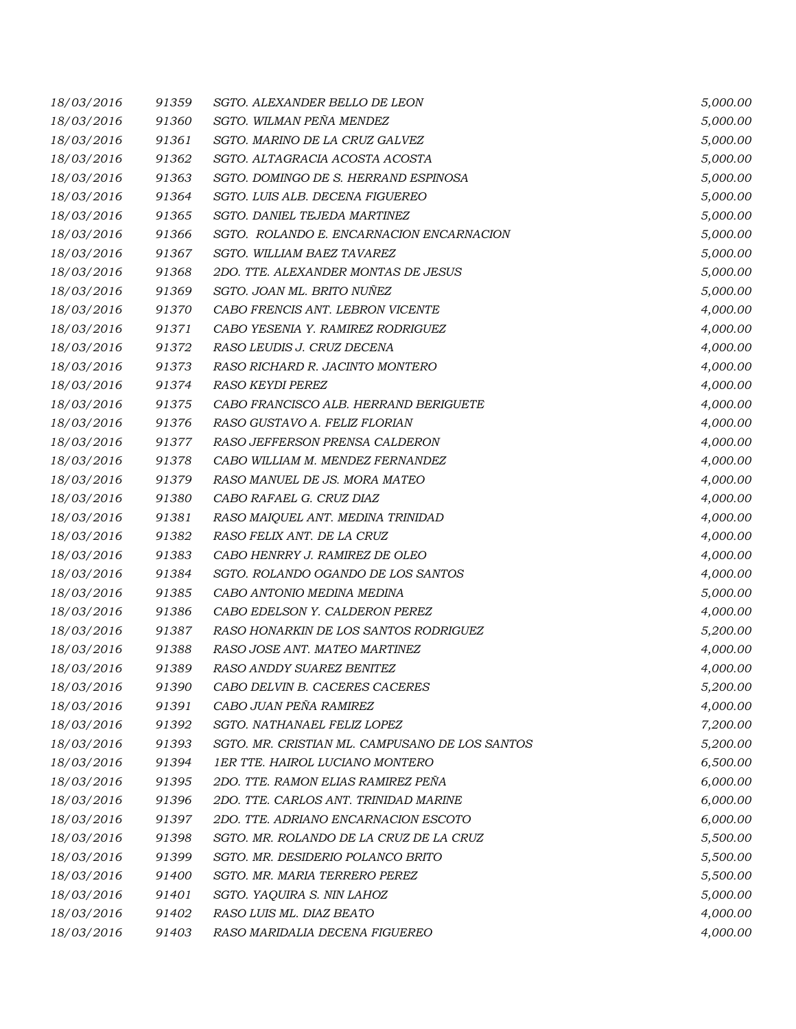| 18/03/2016 | 91359 | SGTO. ALEXANDER BELLO DE LEON                  | 5,000.00 |
|------------|-------|------------------------------------------------|----------|
| 18/03/2016 | 91360 | SGTO. WILMAN PEÑA MENDEZ                       | 5,000.00 |
| 18/03/2016 | 91361 | SGTO. MARINO DE LA CRUZ GALVEZ                 | 5,000.00 |
| 18/03/2016 | 91362 | SGTO. ALTAGRACIA ACOSTA ACOSTA                 | 5,000.00 |
| 18/03/2016 | 91363 | SGTO. DOMINGO DE S. HERRAND ESPINOSA           | 5,000.00 |
| 18/03/2016 | 91364 | SGTO. LUIS ALB. DECENA FIGUEREO                | 5,000.00 |
| 18/03/2016 | 91365 | SGTO. DANIEL TEJEDA MARTINEZ                   | 5,000.00 |
| 18/03/2016 | 91366 | SGTO. ROLANDO E. ENCARNACION ENCARNACION       | 5,000.00 |
| 18/03/2016 | 91367 | SGTO. WILLIAM BAEZ TAVAREZ                     | 5,000.00 |
| 18/03/2016 | 91368 | 2DO. TTE. ALEXANDER MONTAS DE JESUS            | 5,000.00 |
| 18/03/2016 | 91369 | SGTO. JOAN ML. BRITO NUÑEZ                     | 5,000.00 |
| 18/03/2016 | 91370 | CABO FRENCIS ANT. LEBRON VICENTE               | 4,000.00 |
| 18/03/2016 | 91371 | CABO YESENIA Y. RAMIREZ RODRIGUEZ              | 4,000.00 |
| 18/03/2016 | 91372 | RASO LEUDIS J. CRUZ DECENA                     | 4,000.00 |
| 18/03/2016 | 91373 | RASO RICHARD R. JACINTO MONTERO                | 4,000.00 |
| 18/03/2016 | 91374 | <b>RASO KEYDI PEREZ</b>                        | 4,000.00 |
| 18/03/2016 | 91375 | CABO FRANCISCO ALB. HERRAND BERIGUETE          | 4,000.00 |
| 18/03/2016 | 91376 | RASO GUSTAVO A. FELIZ FLORIAN                  | 4,000.00 |
| 18/03/2016 | 91377 | RASO JEFFERSON PRENSA CALDERON                 | 4,000.00 |
| 18/03/2016 | 91378 | CABO WILLIAM M. MENDEZ FERNANDEZ               | 4,000.00 |
| 18/03/2016 | 91379 | RASO MANUEL DE JS. MORA MATEO                  | 4,000.00 |
| 18/03/2016 | 91380 | CABO RAFAEL G. CRUZ DIAZ                       | 4,000.00 |
| 18/03/2016 | 91381 | RASO MAIQUEL ANT. MEDINA TRINIDAD              | 4,000.00 |
| 18/03/2016 | 91382 | RASO FELIX ANT. DE LA CRUZ                     | 4,000.00 |
| 18/03/2016 | 91383 | CABO HENRRY J. RAMIREZ DE OLEO                 | 4,000.00 |
| 18/03/2016 | 91384 | SGTO. ROLANDO OGANDO DE LOS SANTOS             | 4,000.00 |
| 18/03/2016 | 91385 | CABO ANTONIO MEDINA MEDINA                     | 5,000.00 |
| 18/03/2016 | 91386 | CABO EDELSON Y. CALDERON PEREZ                 | 4,000.00 |
| 18/03/2016 | 91387 | RASO HONARKIN DE LOS SANTOS RODRIGUEZ          | 5,200.00 |
| 18/03/2016 | 91388 | RASO JOSE ANT. MATEO MARTINEZ                  | 4,000.00 |
| 18/03/2016 | 91389 | RASO ANDDY SUAREZ BENITEZ                      | 4,000.00 |
| 18/03/2016 | 91390 | CABO DELVIN B. CACERES CACERES                 | 5,200.00 |
| 18/03/2016 | 91391 | CABO JUAN PEÑA RAMIREZ                         | 4,000.00 |
| 18/03/2016 | 91392 | SGTO. NATHANAEL FELIZ LOPEZ                    | 7,200.00 |
| 18/03/2016 | 91393 | SGTO. MR. CRISTIAN ML. CAMPUSANO DE LOS SANTOS | 5,200.00 |
| 18/03/2016 | 91394 | <b>1ER TTE. HAIROL LUCIANO MONTERO</b>         | 6,500.00 |
| 18/03/2016 | 91395 | 2DO. TTE. RAMON ELIAS RAMIREZ PEÑA             | 6,000.00 |
| 18/03/2016 | 91396 | 2DO. TTE. CARLOS ANT. TRINIDAD MARINE          | 6,000.00 |
| 18/03/2016 | 91397 | 2DO. TTE. ADRIANO ENCARNACION ESCOTO           | 6,000.00 |
| 18/03/2016 | 91398 | SGTO. MR. ROLANDO DE LA CRUZ DE LA CRUZ        | 5,500.00 |
| 18/03/2016 | 91399 | SGTO. MR. DESIDERIO POLANCO BRITO              | 5,500.00 |
| 18/03/2016 | 91400 | SGTO. MR. MARIA TERRERO PEREZ                  | 5,500.00 |
| 18/03/2016 | 91401 | SGTO. YAQUIRA S. NIN LAHOZ                     | 5,000.00 |
| 18/03/2016 | 91402 | RASO LUIS ML. DIAZ BEATO                       | 4,000.00 |
| 18/03/2016 | 91403 | RASO MARIDALIA DECENA FIGUEREO                 | 4,000.00 |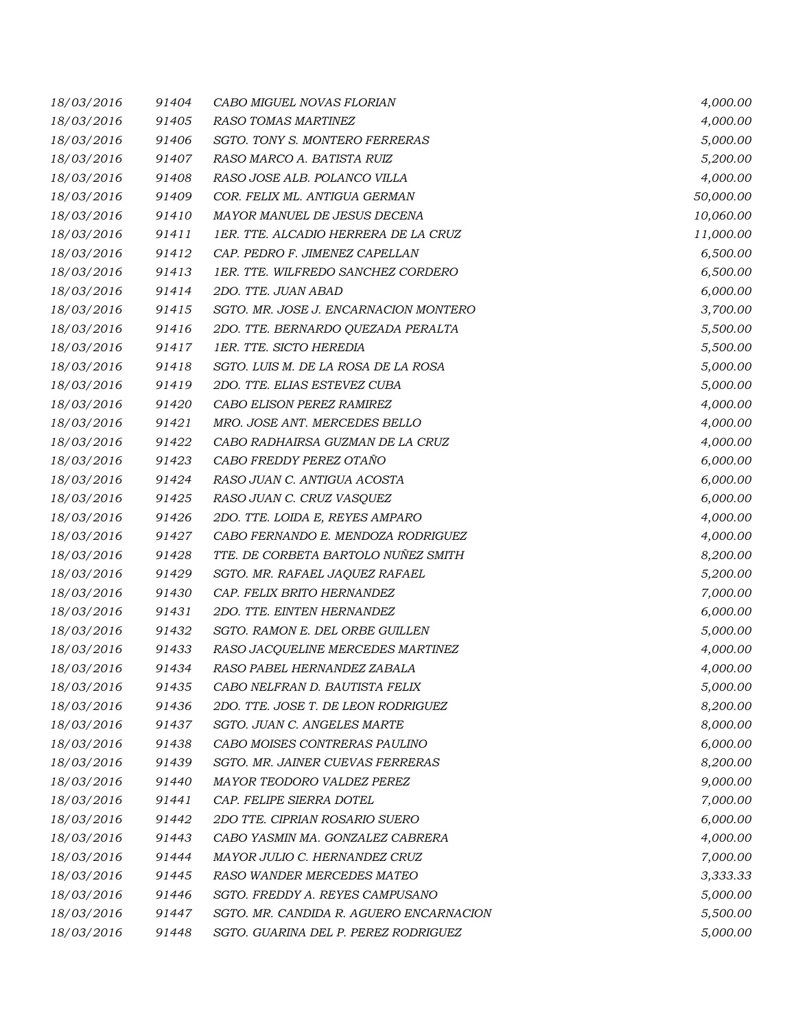| 18/03/2016 | 91404 | CABO MIGUEL NOVAS FLORIAN               | 4,000.00  |
|------------|-------|-----------------------------------------|-----------|
| 18/03/2016 | 91405 | <b>RASO TOMAS MARTINEZ</b>              | 4,000.00  |
| 18/03/2016 | 91406 | SGTO. TONY S. MONTERO FERRERAS          | 5,000.00  |
| 18/03/2016 | 91407 | RASO MARCO A. BATISTA RUIZ              | 5,200.00  |
| 18/03/2016 | 91408 | RASO JOSE ALB. POLANCO VILLA            | 4,000.00  |
| 18/03/2016 | 91409 | COR. FELIX ML. ANTIGUA GERMAN           | 50,000.00 |
| 18/03/2016 | 91410 | MAYOR MANUEL DE JESUS DECENA            | 10,060.00 |
| 18/03/2016 | 91411 | 1ER. TTE. ALCADIO HERRERA DE LA CRUZ    | 11,000.00 |
| 18/03/2016 | 91412 | CAP. PEDRO F. JIMENEZ CAPELLAN          | 6,500.00  |
| 18/03/2016 | 91413 | 1ER. TTE. WILFREDO SANCHEZ CORDERO      | 6,500.00  |
| 18/03/2016 | 91414 | 2DO. TTE. JUAN ABAD                     | 6,000.00  |
| 18/03/2016 | 91415 | SGTO. MR. JOSE J. ENCARNACION MONTERO   | 3,700.00  |
| 18/03/2016 | 91416 | 2DO. TTE. BERNARDO QUEZADA PERALTA      | 5,500.00  |
| 18/03/2016 | 91417 | 1ER. TTE. SICTO HEREDIA                 | 5,500.00  |
| 18/03/2016 | 91418 | SGTO. LUIS M. DE LA ROSA DE LA ROSA     | 5,000.00  |
| 18/03/2016 | 91419 | 2DO. TTE. ELIAS ESTEVEZ CUBA            | 5,000.00  |
| 18/03/2016 | 91420 | CABO ELISON PEREZ RAMIREZ               | 4,000.00  |
| 18/03/2016 | 91421 | MRO. JOSE ANT. MERCEDES BELLO           | 4,000.00  |
| 18/03/2016 | 91422 | CABO RADHAIRSA GUZMAN DE LA CRUZ        | 4,000.00  |
| 18/03/2016 | 91423 | CABO FREDDY PEREZ OTAÑO                 | 6,000.00  |
| 18/03/2016 | 91424 | RASO JUAN C. ANTIGUA ACOSTA             | 6,000.00  |
| 18/03/2016 | 91425 | RASO JUAN C. CRUZ VASQUEZ               | 6,000.00  |
| 18/03/2016 | 91426 | 2DO. TTE. LOIDA E, REYES AMPARO         | 4,000.00  |
| 18/03/2016 | 91427 | CABO FERNANDO E. MENDOZA RODRIGUEZ      | 4,000.00  |
| 18/03/2016 | 91428 | TTE. DE CORBETA BARTOLO NUÑEZ SMITH     | 8,200.00  |
| 18/03/2016 | 91429 | SGTO. MR. RAFAEL JAQUEZ RAFAEL          | 5,200.00  |
| 18/03/2016 | 91430 | CAP. FELIX BRITO HERNANDEZ              | 7,000.00  |
| 18/03/2016 | 91431 | 2DO. TTE. EINTEN HERNANDEZ              | 6,000.00  |
| 18/03/2016 | 91432 | SGTO. RAMON E. DEL ORBE GUILLEN         | 5,000.00  |
| 18/03/2016 | 91433 | RASO JACQUELINE MERCEDES MARTINEZ       | 4,000.00  |
| 18/03/2016 | 91434 | RASO PABEL HERNANDEZ ZABALA             | 4,000.00  |
| 18/03/2016 | 91435 | CABO NELFRAN D. BAUTISTA FELIX          | 5,000.00  |
| 18/03/2016 | 91436 | 2DO. TTE. JOSE T. DE LEON RODRIGUEZ     | 8,200.00  |
| 18/03/2016 | 91437 | SGTO. JUAN C. ANGELES MARTE             | 8,000.00  |
| 18/03/2016 | 91438 | CABO MOISES CONTRERAS PAULINO           | 6,000.00  |
| 18/03/2016 | 91439 | SGTO. MR. JAINER CUEVAS FERRERAS        | 8,200.00  |
| 18/03/2016 | 91440 | MAYOR TEODORO VALDEZ PEREZ              | 9,000.00  |
| 18/03/2016 | 91441 | CAP. FELIPE SIERRA DOTEL                | 7,000.00  |
| 18/03/2016 | 91442 | 2DO TTE. CIPRIAN ROSARIO SUERO          | 6,000.00  |
| 18/03/2016 | 91443 | CABO YASMIN MA. GONZALEZ CABRERA        | 4,000.00  |
| 18/03/2016 | 91444 | MAYOR JULIO C. HERNANDEZ CRUZ           | 7,000.00  |
| 18/03/2016 | 91445 | RASO WANDER MERCEDES MATEO              | 3,333.33  |
| 18/03/2016 | 91446 | SGTO. FREDDY A. REYES CAMPUSANO         | 5,000.00  |
| 18/03/2016 | 91447 | SGTO. MR. CANDIDA R. AGUERO ENCARNACION | 5,500.00  |
| 18/03/2016 | 91448 | SGTO. GUARINA DEL P. PEREZ RODRIGUEZ    | 5,000.00  |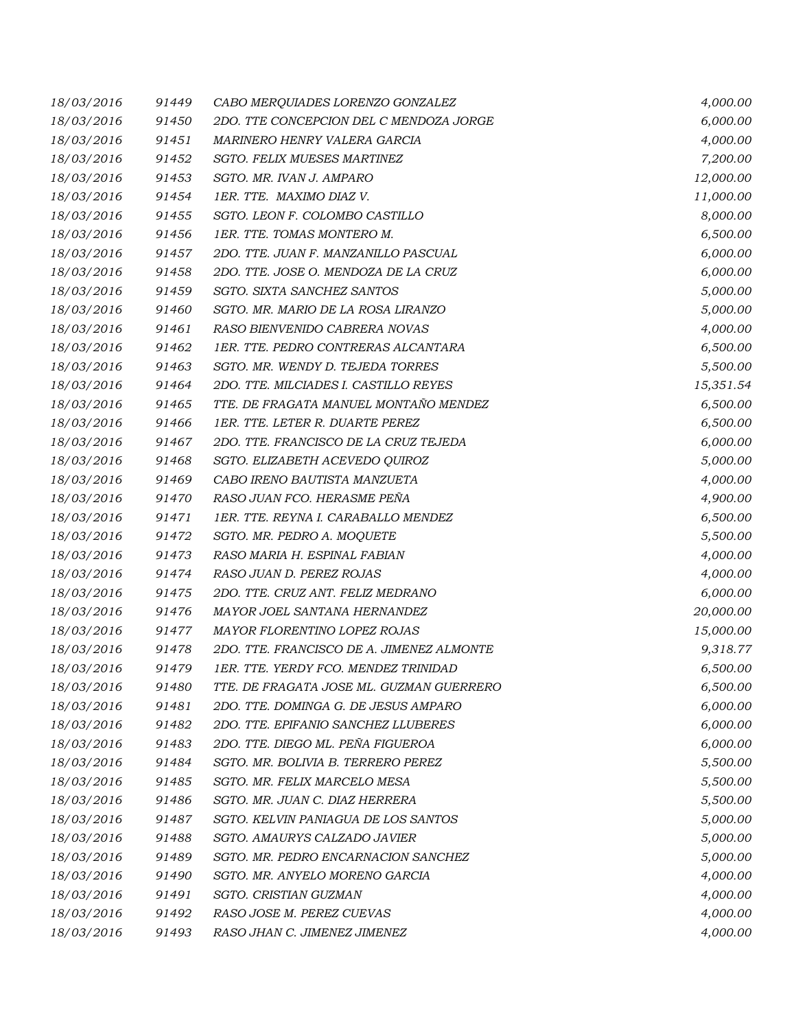| 18/03/2016 | 91449 | CABO MERQUIADES LORENZO GONZALEZ          | 4,000.00  |
|------------|-------|-------------------------------------------|-----------|
| 18/03/2016 | 91450 | 2DO. TTE CONCEPCION DEL C MENDOZA JORGE   | 6,000.00  |
| 18/03/2016 | 91451 | MARINERO HENRY VALERA GARCIA              | 4,000.00  |
| 18/03/2016 | 91452 | SGTO. FELIX MUESES MARTINEZ               | 7,200.00  |
| 18/03/2016 | 91453 | SGTO. MR. IVAN J. AMPARO                  | 12,000.00 |
| 18/03/2016 | 91454 | 1ER. TTE. MAXIMO DIAZ V.                  | 11,000.00 |
| 18/03/2016 | 91455 | SGTO. LEON F. COLOMBO CASTILLO            | 8,000.00  |
| 18/03/2016 | 91456 | 1ER. TTE. TOMAS MONTERO M.                | 6,500.00  |
| 18/03/2016 | 91457 | 2DO. TTE. JUAN F. MANZANILLO PASCUAL      | 6,000.00  |
| 18/03/2016 | 91458 | 2DO. TTE. JOSE O. MENDOZA DE LA CRUZ      | 6,000.00  |
| 18/03/2016 | 91459 | SGTO. SIXTA SANCHEZ SANTOS                | 5,000.00  |
| 18/03/2016 | 91460 | SGTO. MR. MARIO DE LA ROSA LIRANZO        | 5,000.00  |
| 18/03/2016 | 91461 | RASO BIENVENIDO CABRERA NOVAS             | 4,000.00  |
| 18/03/2016 | 91462 | 1ER. TTE. PEDRO CONTRERAS ALCANTARA       | 6,500.00  |
| 18/03/2016 | 91463 | SGTO. MR. WENDY D. TEJEDA TORRES          | 5,500.00  |
| 18/03/2016 | 91464 | 2DO. TTE. MILCIADES I. CASTILLO REYES     | 15,351.54 |
| 18/03/2016 | 91465 | TTE. DE FRAGATA MANUEL MONTAÑO MENDEZ     | 6,500.00  |
| 18/03/2016 | 91466 | <b>1ER. TTE. LETER R. DUARTE PEREZ</b>    | 6,500.00  |
| 18/03/2016 | 91467 | 2DO. TTE. FRANCISCO DE LA CRUZ TEJEDA     | 6,000.00  |
| 18/03/2016 | 91468 | SGTO. ELIZABETH ACEVEDO QUIROZ            | 5,000.00  |
| 18/03/2016 | 91469 | CABO IRENO BAUTISTA MANZUETA              | 4,000.00  |
| 18/03/2016 | 91470 | RASO JUAN FCO. HERASME PEÑA               | 4,900.00  |
| 18/03/2016 | 91471 | 1ER. TTE. REYNA I. CARABALLO MENDEZ       | 6,500.00  |
| 18/03/2016 | 91472 | SGTO. MR. PEDRO A. MOQUETE                | 5,500.00  |
| 18/03/2016 | 91473 | RASO MARIA H. ESPINAL FABIAN              | 4,000.00  |
| 18/03/2016 | 91474 | RASO JUAN D. PEREZ ROJAS                  | 4,000.00  |
| 18/03/2016 | 91475 | 2DO. TTE. CRUZ ANT. FELIZ MEDRANO         | 6,000.00  |
| 18/03/2016 | 91476 | MAYOR JOEL SANTANA HERNANDEZ              | 20,000.00 |
| 18/03/2016 | 91477 | MAYOR FLORENTINO LOPEZ ROJAS              | 15,000.00 |
| 18/03/2016 | 91478 | 2DO. TTE. FRANCISCO DE A. JIMENEZ ALMONTE | 9,318.77  |
| 18/03/2016 | 91479 | 1ER. TTE. YERDY FCO. MENDEZ TRINIDAD      | 6,500.00  |
| 18/03/2016 | 91480 | TTE. DE FRAGATA JOSE ML. GUZMAN GUERRERO  | 6,500.00  |
| 18/03/2016 | 91481 | 2DO. TTE. DOMINGA G. DE JESUS AMPARO      | 6,000.00  |
| 18/03/2016 | 91482 | 2DO. TTE. EPIFANIO SANCHEZ LLUBERES       | 6,000.00  |
| 18/03/2016 | 91483 | 2DO. TTE. DIEGO ML. PEÑA FIGUEROA         | 6,000.00  |
| 18/03/2016 | 91484 | SGTO. MR. BOLIVIA B. TERRERO PEREZ        | 5,500.00  |
| 18/03/2016 | 91485 | SGTO. MR. FELIX MARCELO MESA              | 5,500.00  |
| 18/03/2016 | 91486 | SGTO. MR. JUAN C. DIAZ HERRERA            | 5,500.00  |
| 18/03/2016 | 91487 | SGTO. KELVIN PANIAGUA DE LOS SANTOS       | 5,000.00  |
| 18/03/2016 | 91488 | SGTO. AMAURYS CALZADO JAVIER              | 5,000.00  |
| 18/03/2016 | 91489 | SGTO. MR. PEDRO ENCARNACION SANCHEZ       | 5,000.00  |
| 18/03/2016 | 91490 | SGTO. MR. ANYELO MORENO GARCIA            | 4,000.00  |
| 18/03/2016 | 91491 | SGTO. CRISTIAN GUZMAN                     | 4,000.00  |
| 18/03/2016 | 91492 | RASO JOSE M. PEREZ CUEVAS                 | 4,000.00  |
| 18/03/2016 | 91493 | RASO JHAN C. JIMENEZ JIMENEZ              | 4,000.00  |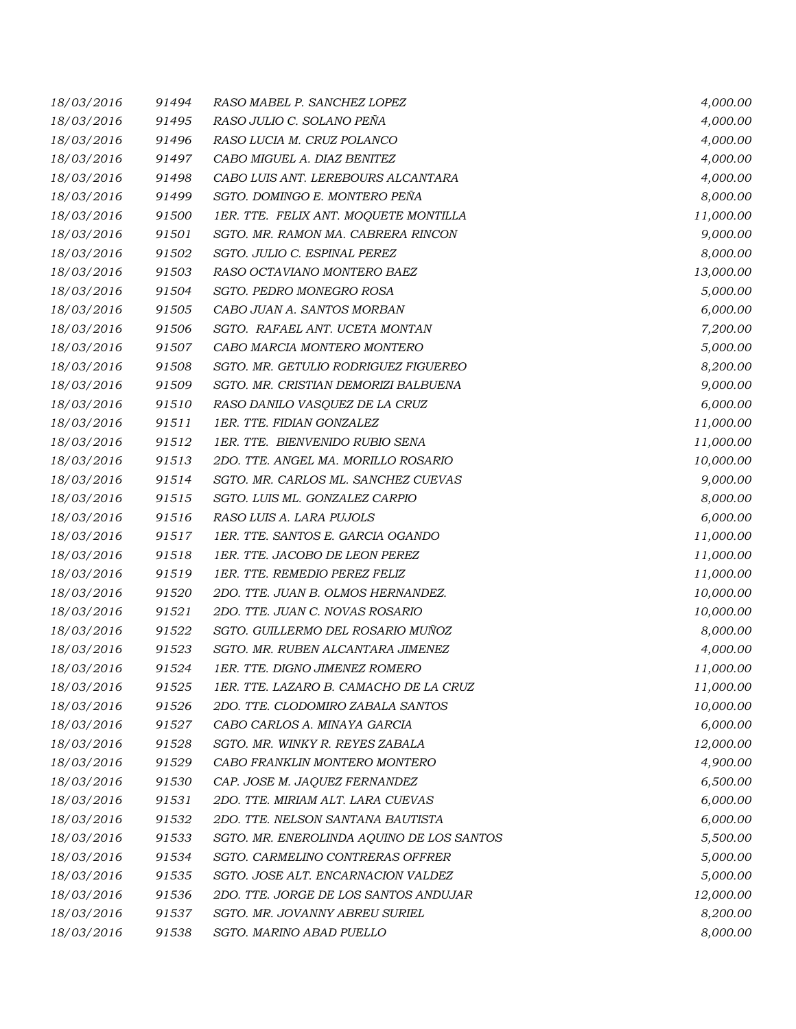| 18/03/2016 | 91494 | RASO MABEL P. SANCHEZ LOPEZ               | 4,000.00  |
|------------|-------|-------------------------------------------|-----------|
| 18/03/2016 | 91495 | RASO JULIO C. SOLANO PEÑA                 | 4,000.00  |
| 18/03/2016 | 91496 | RASO LUCIA M. CRUZ POLANCO                | 4,000.00  |
| 18/03/2016 | 91497 | CABO MIGUEL A. DIAZ BENITEZ               | 4,000.00  |
| 18/03/2016 | 91498 | CABO LUIS ANT. LEREBOURS ALCANTARA        | 4,000.00  |
| 18/03/2016 | 91499 | SGTO. DOMINGO E. MONTERO PEÑA             | 8,000.00  |
| 18/03/2016 | 91500 | 1ER. TTE. FELIX ANT. MOQUETE MONTILLA     | 11,000.00 |
| 18/03/2016 | 91501 | SGTO. MR. RAMON MA. CABRERA RINCON        | 9,000.00  |
| 18/03/2016 | 91502 | SGTO. JULIO C. ESPINAL PEREZ              | 8,000.00  |
| 18/03/2016 | 91503 | RASO OCTAVIANO MONTERO BAEZ               | 13,000.00 |
| 18/03/2016 | 91504 | SGTO. PEDRO MONEGRO ROSA                  | 5,000.00  |
| 18/03/2016 | 91505 | CABO JUAN A. SANTOS MORBAN                | 6,000.00  |
| 18/03/2016 | 91506 | SGTO. RAFAEL ANT. UCETA MONTAN            | 7,200.00  |
| 18/03/2016 | 91507 | CABO MARCIA MONTERO MONTERO               | 5,000.00  |
| 18/03/2016 | 91508 | SGTO. MR. GETULIO RODRIGUEZ FIGUEREO      | 8,200.00  |
| 18/03/2016 | 91509 | SGTO. MR. CRISTIAN DEMORIZI BALBUENA      | 9,000.00  |
| 18/03/2016 | 91510 | RASO DANILO VASQUEZ DE LA CRUZ            | 6,000.00  |
| 18/03/2016 | 91511 | 1ER. TTE. FIDIAN GONZALEZ                 | 11,000.00 |
| 18/03/2016 | 91512 | 1ER. TTE. BIENVENIDO RUBIO SENA           | 11,000.00 |
| 18/03/2016 | 91513 | 2DO. TTE. ANGEL MA. MORILLO ROSARIO       | 10,000.00 |
| 18/03/2016 | 91514 | SGTO. MR. CARLOS ML. SANCHEZ CUEVAS       | 9,000.00  |
| 18/03/2016 | 91515 | SGTO. LUIS ML. GONZALEZ CARPIO            | 8,000.00  |
| 18/03/2016 | 91516 | RASO LUIS A. LARA PUJOLS                  | 6,000.00  |
| 18/03/2016 | 91517 | 1ER. TTE. SANTOS E. GARCIA OGANDO         | 11,000.00 |
| 18/03/2016 | 91518 | 1ER. TTE. JACOBO DE LEON PEREZ            | 11,000.00 |
| 18/03/2016 | 91519 | 1ER. TTE. REMEDIO PEREZ FELIZ             | 11,000.00 |
| 18/03/2016 | 91520 | 2DO. TTE. JUAN B. OLMOS HERNANDEZ.        | 10,000.00 |
| 18/03/2016 | 91521 | 2DO. TTE. JUAN C. NOVAS ROSARIO           | 10,000.00 |
| 18/03/2016 | 91522 | SGTO. GUILLERMO DEL ROSARIO MUÑOZ         | 8,000.00  |
| 18/03/2016 | 91523 | SGTO. MR. RUBEN ALCANTARA JIMENEZ         | 4,000.00  |
| 18/03/2016 | 91524 | 1ER. TTE. DIGNO JIMENEZ ROMERO            | 11,000.00 |
| 18/03/2016 | 91525 | 1ER. TTE. LAZARO B. CAMACHO DE LA CRUZ    | 11,000.00 |
| 18/03/2016 | 91526 | 2DO. TTE. CLODOMIRO ZABALA SANTOS         | 10,000.00 |
| 18/03/2016 | 91527 | CABO CARLOS A. MINAYA GARCIA              | 6,000.00  |
| 18/03/2016 | 91528 | SGTO. MR. WINKY R. REYES ZABALA           | 12,000.00 |
| 18/03/2016 | 91529 | CABO FRANKLIN MONTERO MONTERO             | 4,900.00  |
| 18/03/2016 | 91530 | CAP. JOSE M. JAQUEZ FERNANDEZ             | 6,500.00  |
| 18/03/2016 | 91531 | 2DO. TTE. MIRIAM ALT. LARA CUEVAS         | 6,000.00  |
| 18/03/2016 | 91532 | 2DO. TTE. NELSON SANTANA BAUTISTA         | 6,000.00  |
| 18/03/2016 | 91533 | SGTO. MR. ENEROLINDA AQUINO DE LOS SANTOS | 5,500.00  |
| 18/03/2016 | 91534 | SGTO. CARMELINO CONTRERAS OFFRER          | 5,000.00  |
| 18/03/2016 | 91535 | SGTO. JOSE ALT. ENCARNACION VALDEZ        | 5,000.00  |
| 18/03/2016 | 91536 | 2DO. TTE. JORGE DE LOS SANTOS ANDUJAR     | 12,000.00 |
| 18/03/2016 | 91537 | SGTO. MR. JOVANNY ABREU SURIEL            | 8,200.00  |
| 18/03/2016 | 91538 | SGTO. MARINO ABAD PUELLO                  | 8,000.00  |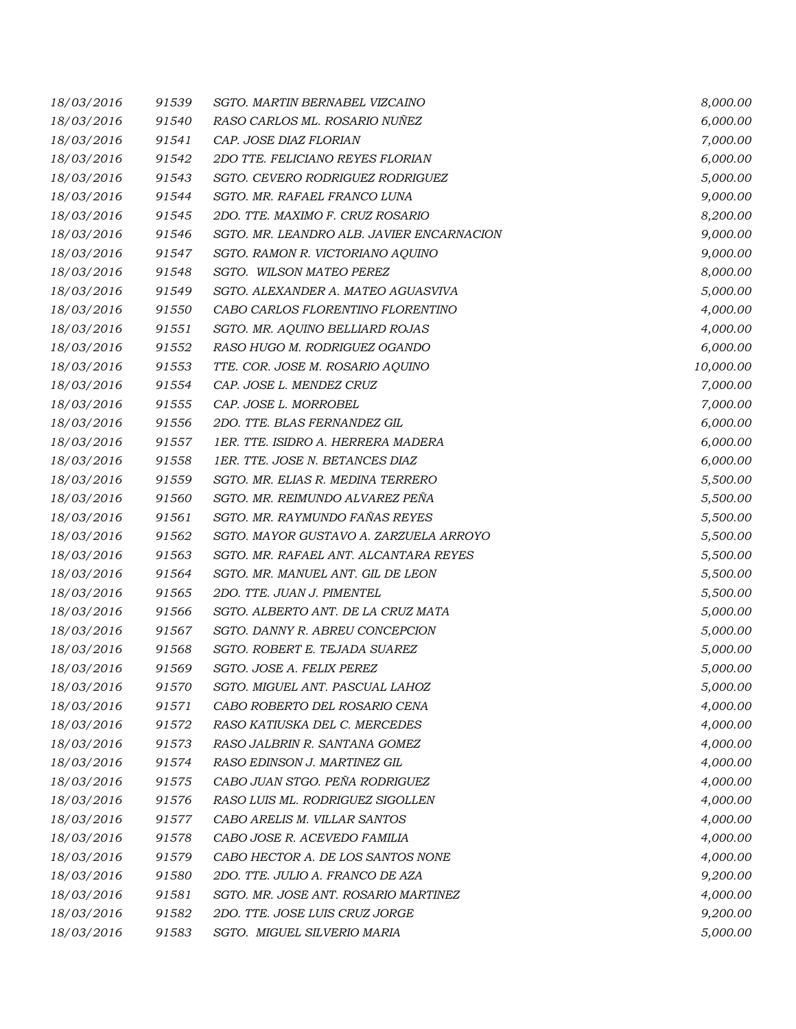| 18/03/2016 | 91539 | SGTO. MARTIN BERNABEL VIZCAINO            | 8,000.00  |
|------------|-------|-------------------------------------------|-----------|
| 18/03/2016 | 91540 | RASO CARLOS ML. ROSARIO NUÑEZ             | 6,000.00  |
| 18/03/2016 | 91541 | CAP. JOSE DIAZ FLORIAN                    | 7,000.00  |
| 18/03/2016 | 91542 | 2DO TTE. FELICIANO REYES FLORIAN          | 6,000.00  |
| 18/03/2016 | 91543 | SGTO. CEVERO RODRIGUEZ RODRIGUEZ          | 5,000.00  |
| 18/03/2016 | 91544 | SGTO. MR. RAFAEL FRANCO LUNA              | 9,000.00  |
| 18/03/2016 | 91545 | 2DO. TTE. MAXIMO F. CRUZ ROSARIO          | 8,200.00  |
| 18/03/2016 | 91546 | SGTO. MR. LEANDRO ALB. JAVIER ENCARNACION | 9,000.00  |
| 18/03/2016 | 91547 | SGTO. RAMON R. VICTORIANO AQUINO          | 9,000.00  |
| 18/03/2016 | 91548 | SGTO. WILSON MATEO PEREZ                  | 8,000.00  |
| 18/03/2016 | 91549 | SGTO. ALEXANDER A. MATEO AGUASVIVA        | 5,000.00  |
| 18/03/2016 | 91550 | CABO CARLOS FLORENTINO FLORENTINO         | 4,000.00  |
| 18/03/2016 | 91551 | SGTO. MR. AQUINO BELLIARD ROJAS           | 4,000.00  |
| 18/03/2016 | 91552 | RASO HUGO M. RODRIGUEZ OGANDO             | 6,000.00  |
| 18/03/2016 | 91553 | TTE. COR. JOSE M. ROSARIO AQUINO          | 10,000.00 |
| 18/03/2016 | 91554 | CAP. JOSE L. MENDEZ CRUZ                  | 7,000.00  |
| 18/03/2016 | 91555 | CAP. JOSE L. MORROBEL                     | 7,000.00  |
| 18/03/2016 | 91556 | 2DO. TTE. BLAS FERNANDEZ GIL              | 6,000.00  |
| 18/03/2016 | 91557 | 1ER. TTE. ISIDRO A. HERRERA MADERA        | 6,000.00  |
| 18/03/2016 | 91558 | 1ER. TTE. JOSE N. BETANCES DIAZ           | 6,000.00  |
| 18/03/2016 | 91559 | SGTO. MR. ELIAS R. MEDINA TERRERO         | 5,500.00  |
| 18/03/2016 | 91560 | SGTO. MR. REIMUNDO ALVAREZ PEÑA           | 5,500.00  |
| 18/03/2016 | 91561 | SGTO. MR. RAYMUNDO FAÑAS REYES            | 5,500.00  |
| 18/03/2016 | 91562 | SGTO. MAYOR GUSTAVO A. ZARZUELA ARROYO    | 5,500.00  |
| 18/03/2016 | 91563 | SGTO. MR. RAFAEL ANT. ALCANTARA REYES     | 5,500.00  |
| 18/03/2016 | 91564 | SGTO. MR. MANUEL ANT. GIL DE LEON         | 5,500.00  |
| 18/03/2016 | 91565 | 2DO. TTE. JUAN J. PIMENTEL                | 5,500.00  |
| 18/03/2016 | 91566 | SGTO. ALBERTO ANT. DE LA CRUZ MATA        | 5,000.00  |
| 18/03/2016 | 91567 | SGTO. DANNY R. ABREU CONCEPCION           | 5,000.00  |
| 18/03/2016 | 91568 | SGTO. ROBERT E. TEJADA SUAREZ             | 5,000.00  |
| 18/03/2016 | 91569 | SGTO. JOSE A. FELIX PEREZ                 | 5,000.00  |
| 18/03/2016 | 91570 | SGTO. MIGUEL ANT. PASCUAL LAHOZ           | 5,000.00  |
| 18/03/2016 | 91571 | CABO ROBERTO DEL ROSARIO CENA             | 4,000.00  |
| 18/03/2016 | 91572 | RASO KATIUSKA DEL C. MERCEDES             | 4,000.00  |
| 18/03/2016 | 91573 | RASO JALBRIN R. SANTANA GOMEZ             | 4,000.00  |
| 18/03/2016 | 91574 | RASO EDINSON J. MARTINEZ GIL              | 4,000.00  |
| 18/03/2016 | 91575 | CABO JUAN STGO. PEÑA RODRIGUEZ            | 4,000.00  |
| 18/03/2016 | 91576 | RASO LUIS ML. RODRIGUEZ SIGOLLEN          | 4,000.00  |
| 18/03/2016 | 91577 | CABO ARELIS M. VILLAR SANTOS              | 4,000.00  |
| 18/03/2016 | 91578 | CABO JOSE R. ACEVEDO FAMILIA              | 4,000.00  |
| 18/03/2016 | 91579 | CABO HECTOR A. DE LOS SANTOS NONE         | 4,000.00  |
| 18/03/2016 | 91580 | 2DO. TTE. JULIO A. FRANCO DE AZA          | 9,200.00  |
| 18/03/2016 | 91581 | SGTO. MR. JOSE ANT. ROSARIO MARTINEZ      | 4,000.00  |
| 18/03/2016 | 91582 | 2DO. TTE. JOSE LUIS CRUZ JORGE            | 9,200.00  |
| 18/03/2016 | 91583 | SGTO. MIGUEL SILVERIO MARIA               | 5,000.00  |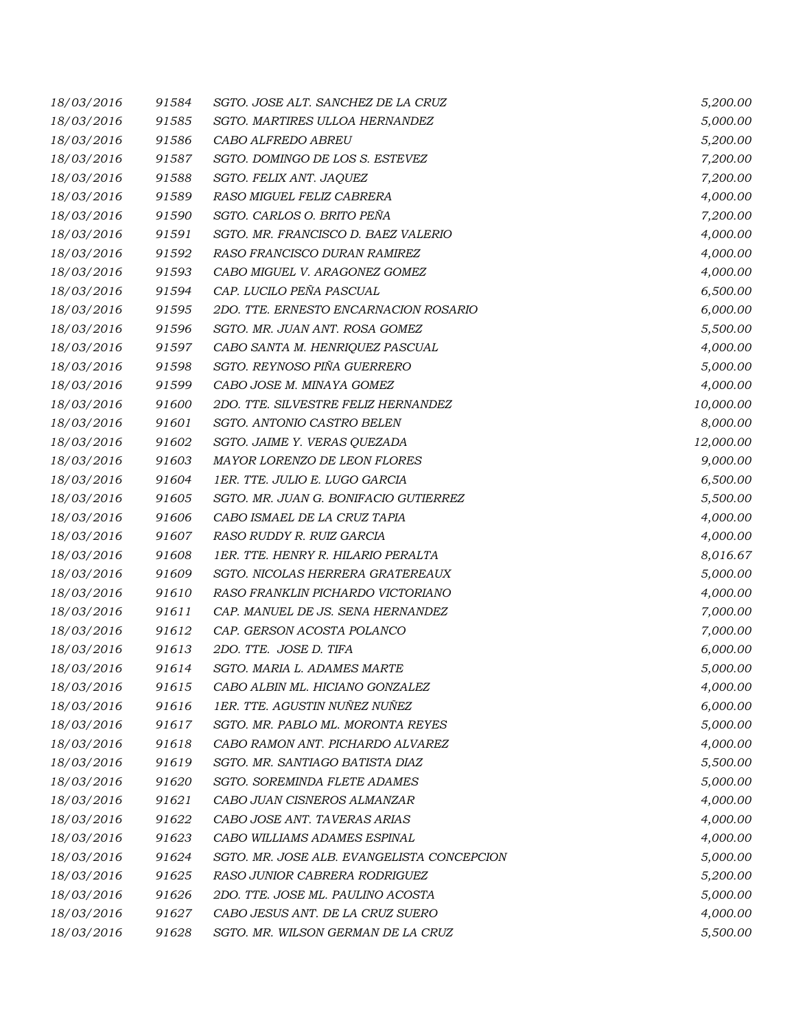| 18/03/2016 | 91584 | SGTO. JOSE ALT. SANCHEZ DE LA CRUZ         | 5,200.00  |
|------------|-------|--------------------------------------------|-----------|
| 18/03/2016 | 91585 | SGTO. MARTIRES ULLOA HERNANDEZ             | 5,000.00  |
| 18/03/2016 | 91586 | CABO ALFREDO ABREU                         | 5,200.00  |
| 18/03/2016 | 91587 | SGTO. DOMINGO DE LOS S. ESTEVEZ            | 7,200.00  |
| 18/03/2016 | 91588 | SGTO. FELIX ANT. JAQUEZ                    | 7,200.00  |
| 18/03/2016 | 91589 | RASO MIGUEL FELIZ CABRERA                  | 4,000.00  |
| 18/03/2016 | 91590 | SGTO. CARLOS O. BRITO PEÑA                 | 7,200.00  |
| 18/03/2016 | 91591 | SGTO. MR. FRANCISCO D. BAEZ VALERIO        | 4,000.00  |
| 18/03/2016 | 91592 | RASO FRANCISCO DURAN RAMIREZ               | 4,000.00  |
| 18/03/2016 | 91593 | CABO MIGUEL V. ARAGONEZ GOMEZ              | 4,000.00  |
| 18/03/2016 | 91594 | CAP. LUCILO PEÑA PASCUAL                   | 6,500.00  |
| 18/03/2016 | 91595 | 2DO. TTE. ERNESTO ENCARNACION ROSARIO      | 6,000.00  |
| 18/03/2016 | 91596 | SGTO. MR. JUAN ANT. ROSA GOMEZ             | 5,500.00  |
| 18/03/2016 | 91597 | CABO SANTA M. HENRIQUEZ PASCUAL            | 4,000.00  |
| 18/03/2016 | 91598 | SGTO. REYNOSO PIÑA GUERRERO                | 5,000.00  |
| 18/03/2016 | 91599 | CABO JOSE M. MINAYA GOMEZ                  | 4,000.00  |
| 18/03/2016 | 91600 | 2DO. TTE. SILVESTRE FELIZ HERNANDEZ        | 10,000.00 |
| 18/03/2016 | 91601 | SGTO. ANTONIO CASTRO BELEN                 | 8,000.00  |
| 18/03/2016 | 91602 | SGTO. JAIME Y. VERAS QUEZADA               | 12,000.00 |
| 18/03/2016 | 91603 | MAYOR LORENZO DE LEON FLORES               | 9,000.00  |
| 18/03/2016 | 91604 | 1ER. TTE. JULIO E. LUGO GARCIA             | 6,500.00  |
| 18/03/2016 | 91605 | SGTO. MR. JUAN G. BONIFACIO GUTIERREZ      | 5,500.00  |
| 18/03/2016 | 91606 | CABO ISMAEL DE LA CRUZ TAPIA               | 4,000.00  |
| 18/03/2016 | 91607 | RASO RUDDY R. RUIZ GARCIA                  | 4,000.00  |
| 18/03/2016 | 91608 | 1ER. TTE. HENRY R. HILARIO PERALTA         | 8,016.67  |
| 18/03/2016 | 91609 | SGTO. NICOLAS HERRERA GRATEREAUX           | 5,000.00  |
| 18/03/2016 | 91610 | RASO FRANKLIN PICHARDO VICTORIANO          | 4,000.00  |
| 18/03/2016 | 91611 | CAP. MANUEL DE JS. SENA HERNANDEZ          | 7,000.00  |
| 18/03/2016 | 91612 | CAP. GERSON ACOSTA POLANCO                 | 7,000.00  |
| 18/03/2016 | 91613 | 2DO. TTE. JOSE D. TIFA                     | 6,000.00  |
| 18/03/2016 | 91614 | SGTO. MARIA L. ADAMES MARTE                | 5,000.00  |
| 18/03/2016 | 91615 | CABO ALBIN ML. HICIANO GONZALEZ            | 4,000.00  |
| 18/03/2016 | 91616 | 1ER. TTE. AGUSTIN NUÑEZ NUÑEZ              | 6,000.00  |
| 18/03/2016 | 91617 | SGTO. MR. PABLO ML. MORONTA REYES          | 5,000.00  |
| 18/03/2016 | 91618 | CABO RAMON ANT. PICHARDO ALVAREZ           | 4,000.00  |
| 18/03/2016 | 91619 | SGTO. MR. SANTIAGO BATISTA DIAZ            | 5,500.00  |
| 18/03/2016 | 91620 | SGTO. SOREMINDA FLETE ADAMES               | 5,000.00  |
| 18/03/2016 | 91621 | CABO JUAN CISNEROS ALMANZAR                | 4,000.00  |
| 18/03/2016 | 91622 | CABO JOSE ANT. TAVERAS ARIAS               | 4,000.00  |
| 18/03/2016 | 91623 | CABO WILLIAMS ADAMES ESPINAL               | 4,000.00  |
| 18/03/2016 | 91624 | SGTO. MR. JOSE ALB. EVANGELISTA CONCEPCION | 5,000.00  |
| 18/03/2016 | 91625 | RASO JUNIOR CABRERA RODRIGUEZ              | 5,200.00  |
| 18/03/2016 | 91626 | 2DO. TTE. JOSE ML. PAULINO ACOSTA          | 5,000.00  |
| 18/03/2016 | 91627 | CABO JESUS ANT. DE LA CRUZ SUERO           | 4,000.00  |
| 18/03/2016 | 91628 | SGTO. MR. WILSON GERMAN DE LA CRUZ         | 5,500.00  |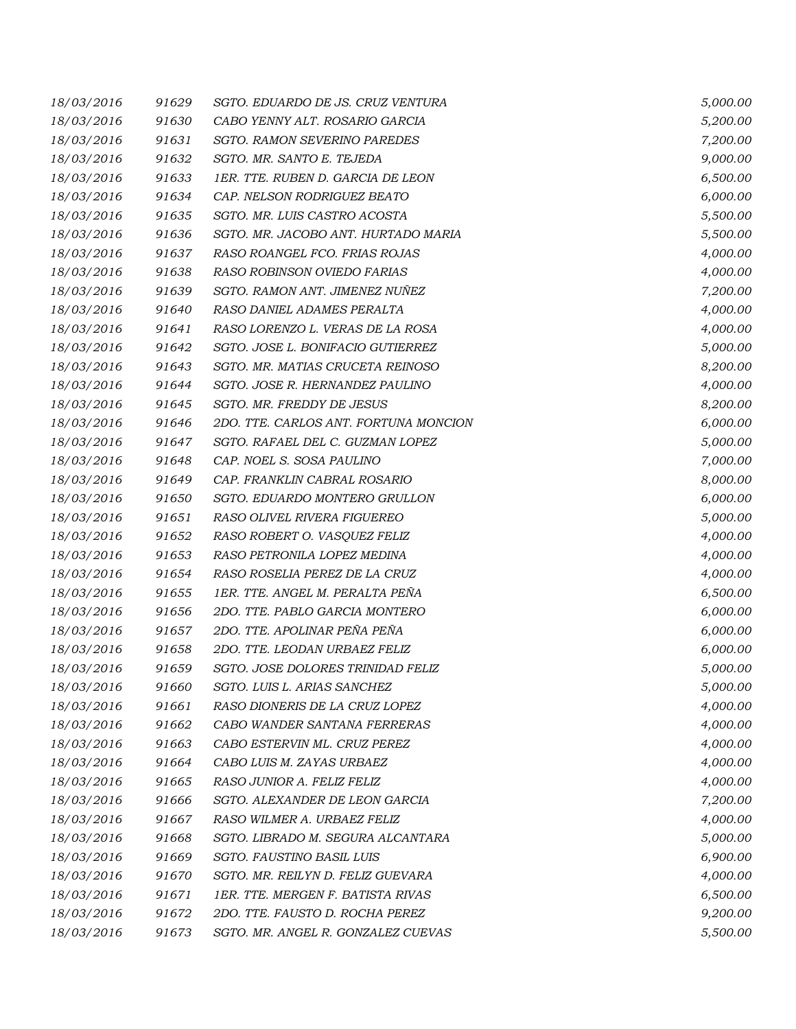| 18/03/2016 | 91629 | SGTO. EDUARDO DE JS. CRUZ VENTURA     | 5,000.00 |
|------------|-------|---------------------------------------|----------|
| 18/03/2016 | 91630 | CABO YENNY ALT. ROSARIO GARCIA        | 5,200.00 |
| 18/03/2016 | 91631 | SGTO. RAMON SEVERINO PAREDES          | 7,200.00 |
| 18/03/2016 | 91632 | SGTO. MR. SANTO E. TEJEDA             | 9,000.00 |
| 18/03/2016 | 91633 | 1ER. TTE. RUBEN D. GARCIA DE LEON     | 6,500.00 |
| 18/03/2016 | 91634 | CAP. NELSON RODRIGUEZ BEATO           | 6,000.00 |
| 18/03/2016 | 91635 | SGTO. MR. LUIS CASTRO ACOSTA          | 5,500.00 |
| 18/03/2016 | 91636 | SGTO. MR. JACOBO ANT. HURTADO MARIA   | 5,500.00 |
| 18/03/2016 | 91637 | RASO ROANGEL FCO. FRIAS ROJAS         | 4,000.00 |
| 18/03/2016 | 91638 | RASO ROBINSON OVIEDO FARIAS           | 4,000.00 |
| 18/03/2016 | 91639 | SGTO. RAMON ANT. JIMENEZ NUÑEZ        | 7,200.00 |
| 18/03/2016 | 91640 | RASO DANIEL ADAMES PERALTA            | 4,000.00 |
| 18/03/2016 | 91641 | RASO LORENZO L. VERAS DE LA ROSA      | 4,000.00 |
| 18/03/2016 | 91642 | SGTO. JOSE L. BONIFACIO GUTIERREZ     | 5,000.00 |
| 18/03/2016 | 91643 | SGTO. MR. MATIAS CRUCETA REINOSO      | 8,200.00 |
| 18/03/2016 | 91644 | SGTO. JOSE R. HERNANDEZ PAULINO       | 4,000.00 |
| 18/03/2016 | 91645 | SGTO. MR. FREDDY DE JESUS             | 8,200.00 |
| 18/03/2016 | 91646 | 2DO. TTE. CARLOS ANT. FORTUNA MONCION | 6,000.00 |
| 18/03/2016 | 91647 | SGTO. RAFAEL DEL C. GUZMAN LOPEZ      | 5,000.00 |
| 18/03/2016 | 91648 | CAP. NOEL S. SOSA PAULINO             | 7,000.00 |
| 18/03/2016 | 91649 | CAP. FRANKLIN CABRAL ROSARIO          | 8,000.00 |
| 18/03/2016 | 91650 | SGTO. EDUARDO MONTERO GRULLON         | 6,000.00 |
| 18/03/2016 | 91651 | RASO OLIVEL RIVERA FIGUEREO           | 5,000.00 |
| 18/03/2016 | 91652 | RASO ROBERT O. VASQUEZ FELIZ          | 4,000.00 |
| 18/03/2016 | 91653 | RASO PETRONILA LOPEZ MEDINA           | 4,000.00 |
| 18/03/2016 | 91654 | RASO ROSELIA PEREZ DE LA CRUZ         | 4,000.00 |
| 18/03/2016 | 91655 | 1ER. TTE. ANGEL M. PERALTA PEÑA       | 6,500.00 |
| 18/03/2016 | 91656 | 2DO. TTE. PABLO GARCIA MONTERO        | 6,000.00 |
| 18/03/2016 | 91657 | 2DO. TTE. APOLINAR PEÑA PEÑA          | 6,000.00 |
| 18/03/2016 | 91658 | 2DO. TTE. LEODAN URBAEZ FELIZ         | 6,000.00 |
| 18/03/2016 | 91659 | SGTO. JOSE DOLORES TRINIDAD FELIZ     | 5,000.00 |
| 18/03/2016 | 91660 | SGTO. LUIS L. ARIAS SANCHEZ           | 5,000.00 |
| 18/03/2016 | 91661 | RASO DIONERIS DE LA CRUZ LOPEZ        | 4,000.00 |
| 18/03/2016 | 91662 | CABO WANDER SANTANA FERRERAS          | 4,000.00 |
| 18/03/2016 | 91663 | CABO ESTERVIN ML. CRUZ PEREZ          | 4,000.00 |
| 18/03/2016 | 91664 | CABO LUIS M. ZAYAS URBAEZ             | 4,000.00 |
| 18/03/2016 | 91665 | RASO JUNIOR A. FELIZ FELIZ            | 4,000.00 |
| 18/03/2016 | 91666 | SGTO. ALEXANDER DE LEON GARCIA        | 7,200.00 |
| 18/03/2016 | 91667 | RASO WILMER A. URBAEZ FELIZ           | 4,000.00 |
| 18/03/2016 | 91668 | SGTO. LIBRADO M. SEGURA ALCANTARA     | 5,000.00 |
| 18/03/2016 | 91669 | SGTO. FAUSTINO BASIL LUIS             | 6,900.00 |
| 18/03/2016 | 91670 | SGTO. MR. REILYN D. FELIZ GUEVARA     | 4,000.00 |
| 18/03/2016 | 91671 | 1ER. TTE. MERGEN F. BATISTA RIVAS     | 6,500.00 |
| 18/03/2016 | 91672 | 2DO. TTE. FAUSTO D. ROCHA PEREZ       | 9,200.00 |
| 18/03/2016 | 91673 | SGTO. MR. ANGEL R. GONZALEZ CUEVAS    | 5,500.00 |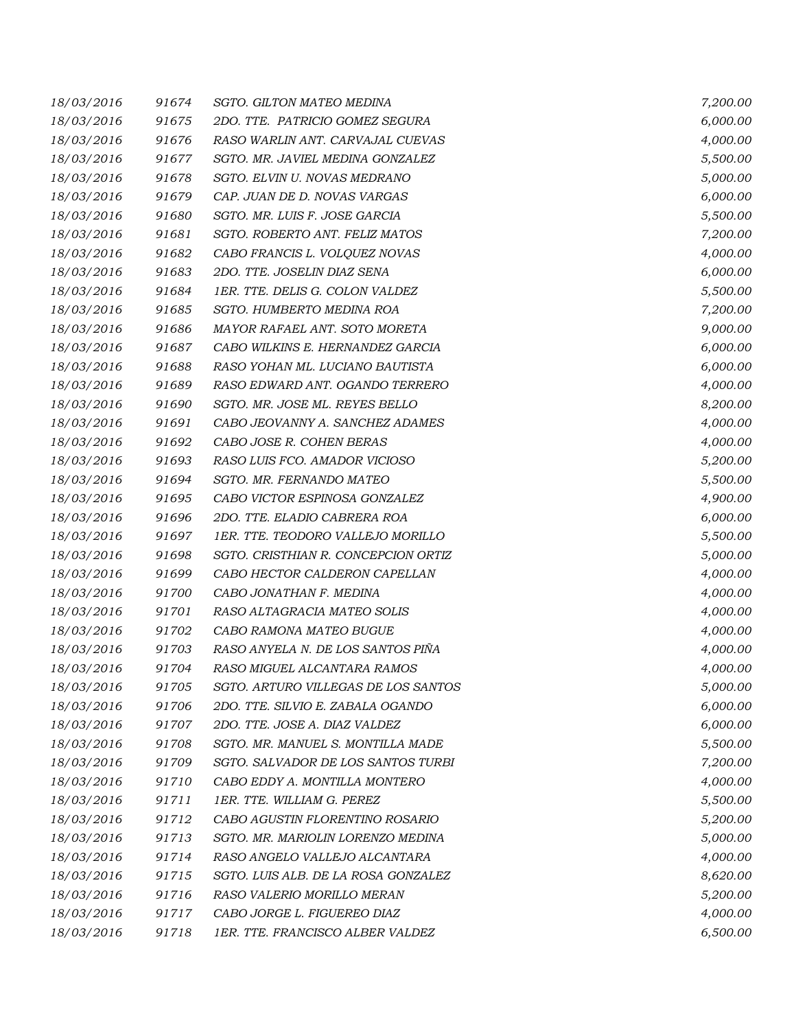| 18/03/2016 | 91674 | <b>SGTO. GILTON MATEO MEDINA</b>    | 7,200.00 |
|------------|-------|-------------------------------------|----------|
| 18/03/2016 | 91675 | 2DO. TTE. PATRICIO GOMEZ SEGURA     | 6,000.00 |
| 18/03/2016 | 91676 | RASO WARLIN ANT. CARVAJAL CUEVAS    | 4,000.00 |
| 18/03/2016 | 91677 | SGTO. MR. JAVIEL MEDINA GONZALEZ    | 5,500.00 |
| 18/03/2016 | 91678 | SGTO. ELVIN U. NOVAS MEDRANO        | 5,000.00 |
| 18/03/2016 | 91679 | CAP. JUAN DE D. NOVAS VARGAS        | 6,000.00 |
| 18/03/2016 | 91680 | SGTO. MR. LUIS F. JOSE GARCIA       | 5,500.00 |
| 18/03/2016 | 91681 | SGTO. ROBERTO ANT. FELIZ MATOS      | 7,200.00 |
| 18/03/2016 | 91682 | CABO FRANCIS L. VOLQUEZ NOVAS       | 4,000.00 |
| 18/03/2016 | 91683 | 2DO. TTE. JOSELIN DIAZ SENA         | 6,000.00 |
| 18/03/2016 | 91684 | 1ER. TTE. DELIS G. COLON VALDEZ     | 5,500.00 |
| 18/03/2016 | 91685 | SGTO. HUMBERTO MEDINA ROA           | 7,200.00 |
| 18/03/2016 | 91686 | MAYOR RAFAEL ANT. SOTO MORETA       | 9,000.00 |
| 18/03/2016 | 91687 | CABO WILKINS E. HERNANDEZ GARCIA    | 6,000.00 |
| 18/03/2016 | 91688 | RASO YOHAN ML. LUCIANO BAUTISTA     | 6,000.00 |
| 18/03/2016 | 91689 | RASO EDWARD ANT. OGANDO TERRERO     | 4,000.00 |
| 18/03/2016 | 91690 | SGTO. MR. JOSE ML. REYES BELLO      | 8,200.00 |
| 18/03/2016 | 91691 | CABO JEOVANNY A. SANCHEZ ADAMES     | 4,000.00 |
| 18/03/2016 | 91692 | CABO JOSE R. COHEN BERAS            | 4,000.00 |
| 18/03/2016 | 91693 | RASO LUIS FCO. AMADOR VICIOSO       | 5,200.00 |
| 18/03/2016 | 91694 | SGTO. MR. FERNANDO MATEO            | 5,500.00 |
| 18/03/2016 | 91695 | CABO VICTOR ESPINOSA GONZALEZ       | 4,900.00 |
| 18/03/2016 | 91696 | 2DO. TTE. ELADIO CABRERA ROA        | 6,000.00 |
| 18/03/2016 | 91697 | 1ER. TTE. TEODORO VALLEJO MORILLO   | 5,500.00 |
| 18/03/2016 | 91698 | SGTO. CRISTHIAN R. CONCEPCION ORTIZ | 5,000.00 |
| 18/03/2016 | 91699 | CABO HECTOR CALDERON CAPELLAN       | 4,000.00 |
| 18/03/2016 | 91700 | CABO JONATHAN F. MEDINA             | 4,000.00 |
| 18/03/2016 | 91701 | RASO ALTAGRACIA MATEO SOLIS         | 4,000.00 |
| 18/03/2016 | 91702 | CABO RAMONA MATEO BUGUE             | 4,000.00 |
| 18/03/2016 | 91703 | RASO ANYELA N. DE LOS SANTOS PIÑA   | 4,000.00 |
| 18/03/2016 | 91704 | RASO MIGUEL ALCANTARA RAMOS         | 4,000.00 |
| 18/03/2016 | 91705 | SGTO. ARTURO VILLEGAS DE LOS SANTOS | 5,000.00 |
| 18/03/2016 | 91706 | 2DO. TTE. SILVIO E. ZABALA OGANDO   | 6,000.00 |
| 18/03/2016 | 91707 | 2DO. TTE. JOSE A. DIAZ VALDEZ       | 6,000.00 |
| 18/03/2016 | 91708 | SGTO. MR. MANUEL S. MONTILLA MADE   | 5,500.00 |
| 18/03/2016 | 91709 | SGTO. SALVADOR DE LOS SANTOS TURBI  | 7,200.00 |
| 18/03/2016 | 91710 | CABO EDDY A. MONTILLA MONTERO       | 4,000.00 |
| 18/03/2016 | 91711 | 1ER. TTE. WILLIAM G. PEREZ          | 5,500.00 |
| 18/03/2016 | 91712 | CABO AGUSTIN FLORENTINO ROSARIO     | 5,200.00 |
| 18/03/2016 | 91713 | SGTO. MR. MARIOLIN LORENZO MEDINA   | 5,000.00 |
| 18/03/2016 | 91714 | RASO ANGELO VALLEJO ALCANTARA       | 4,000.00 |
| 18/03/2016 | 91715 | SGTO. LUIS ALB. DE LA ROSA GONZALEZ | 8,620.00 |
| 18/03/2016 | 91716 | RASO VALERIO MORILLO MERAN          | 5,200.00 |
| 18/03/2016 | 91717 | CABO JORGE L. FIGUEREO DIAZ         | 4,000.00 |
| 18/03/2016 | 91718 | 1ER. TTE. FRANCISCO ALBER VALDEZ    | 6,500.00 |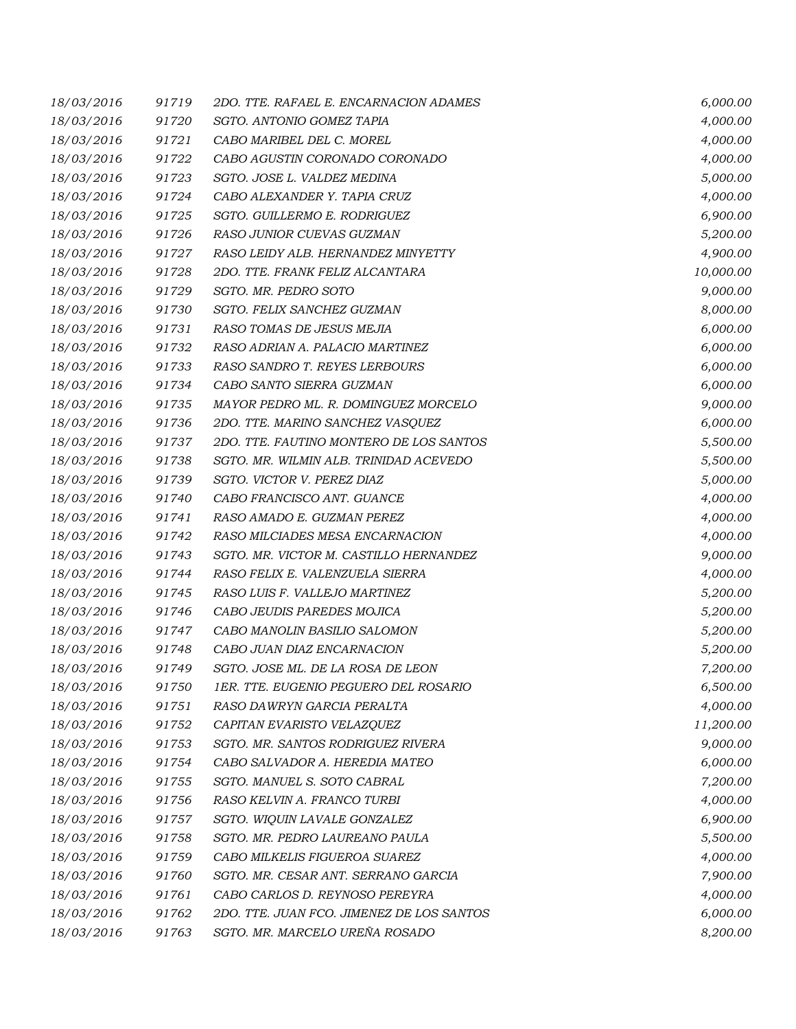| 18/03/2016 | 91719 | 2DO. TTE. RAFAEL E. ENCARNACION ADAMES    | 6,000.00  |
|------------|-------|-------------------------------------------|-----------|
| 18/03/2016 | 91720 | SGTO. ANTONIO GOMEZ TAPIA                 | 4,000.00  |
| 18/03/2016 | 91721 | CABO MARIBEL DEL C. MOREL                 | 4,000.00  |
| 18/03/2016 | 91722 | CABO AGUSTIN CORONADO CORONADO            | 4,000.00  |
| 18/03/2016 | 91723 | SGTO. JOSE L. VALDEZ MEDINA               | 5,000.00  |
| 18/03/2016 | 91724 | CABO ALEXANDER Y. TAPIA CRUZ              | 4,000.00  |
| 18/03/2016 | 91725 | SGTO. GUILLERMO E. RODRIGUEZ              | 6,900.00  |
| 18/03/2016 | 91726 | RASO JUNIOR CUEVAS GUZMAN                 | 5,200.00  |
| 18/03/2016 | 91727 | RASO LEIDY ALB. HERNANDEZ MINYETTY        | 4,900.00  |
| 18/03/2016 | 91728 | 2DO. TTE. FRANK FELIZ ALCANTARA           | 10,000.00 |
| 18/03/2016 | 91729 | SGTO. MR. PEDRO SOTO                      | 9,000.00  |
| 18/03/2016 | 91730 | SGTO. FELIX SANCHEZ GUZMAN                | 8,000.00  |
| 18/03/2016 | 91731 | RASO TOMAS DE JESUS MEJIA                 | 6,000.00  |
| 18/03/2016 | 91732 | RASO ADRIAN A. PALACIO MARTINEZ           | 6,000.00  |
| 18/03/2016 | 91733 | RASO SANDRO T. REYES LERBOURS             | 6,000.00  |
| 18/03/2016 | 91734 | CABO SANTO SIERRA GUZMAN                  | 6,000.00  |
| 18/03/2016 | 91735 | MAYOR PEDRO ML. R. DOMINGUEZ MORCELO      | 9,000.00  |
| 18/03/2016 | 91736 | 2DO. TTE. MARINO SANCHEZ VASQUEZ          | 6,000.00  |
| 18/03/2016 | 91737 | 2DO. TTE. FAUTINO MONTERO DE LOS SANTOS   | 5,500.00  |
| 18/03/2016 | 91738 | SGTO. MR. WILMIN ALB. TRINIDAD ACEVEDO    | 5,500.00  |
| 18/03/2016 | 91739 | SGTO. VICTOR V. PEREZ DIAZ                | 5,000.00  |
| 18/03/2016 | 91740 | CABO FRANCISCO ANT. GUANCE                | 4,000.00  |
| 18/03/2016 | 91741 | RASO AMADO E. GUZMAN PEREZ                | 4,000.00  |
| 18/03/2016 | 91742 | RASO MILCIADES MESA ENCARNACION           | 4,000.00  |
| 18/03/2016 | 91743 | SGTO. MR. VICTOR M. CASTILLO HERNANDEZ    | 9,000.00  |
| 18/03/2016 | 91744 | RASO FELIX E. VALENZUELA SIERRA           | 4,000.00  |
| 18/03/2016 | 91745 | RASO LUIS F. VALLEJO MARTINEZ             | 5,200.00  |
| 18/03/2016 | 91746 | CABO JEUDIS PAREDES MOJICA                | 5,200.00  |
| 18/03/2016 | 91747 | CABO MANOLIN BASILIO SALOMON              | 5,200.00  |
| 18/03/2016 | 91748 | CABO JUAN DIAZ ENCARNACION                | 5,200.00  |
| 18/03/2016 | 91749 | SGTO. JOSE ML. DE LA ROSA DE LEON         | 7,200.00  |
| 18/03/2016 | 91750 | 1ER. TTE. EUGENIO PEGUERO DEL ROSARIO     | 6,500.00  |
| 18/03/2016 | 91751 | RASO DAWRYN GARCIA PERALTA                | 4,000.00  |
| 18/03/2016 | 91752 | CAPITAN EVARISTO VELAZQUEZ                | 11,200.00 |
| 18/03/2016 | 91753 | SGTO. MR. SANTOS RODRIGUEZ RIVERA         | 9,000.00  |
| 18/03/2016 | 91754 | CABO SALVADOR A. HEREDIA MATEO            | 6,000.00  |
| 18/03/2016 | 91755 | SGTO. MANUEL S. SOTO CABRAL               | 7,200.00  |
| 18/03/2016 | 91756 | RASO KELVIN A. FRANCO TURBI               | 4,000.00  |
| 18/03/2016 | 91757 | SGTO. WIQUIN LAVALE GONZALEZ              | 6,900.00  |
| 18/03/2016 | 91758 | SGTO. MR. PEDRO LAUREANO PAULA            | 5,500.00  |
| 18/03/2016 | 91759 | CABO MILKELIS FIGUEROA SUAREZ             | 4,000.00  |
| 18/03/2016 | 91760 | SGTO. MR. CESAR ANT. SERRANO GARCIA       | 7,900.00  |
| 18/03/2016 | 91761 | CABO CARLOS D. REYNOSO PEREYRA            | 4,000.00  |
| 18/03/2016 | 91762 | 2DO. TTE. JUAN FCO. JIMENEZ DE LOS SANTOS | 6,000.00  |
| 18/03/2016 | 91763 | SGTO. MR. MARCELO UREÑA ROSADO            | 8,200.00  |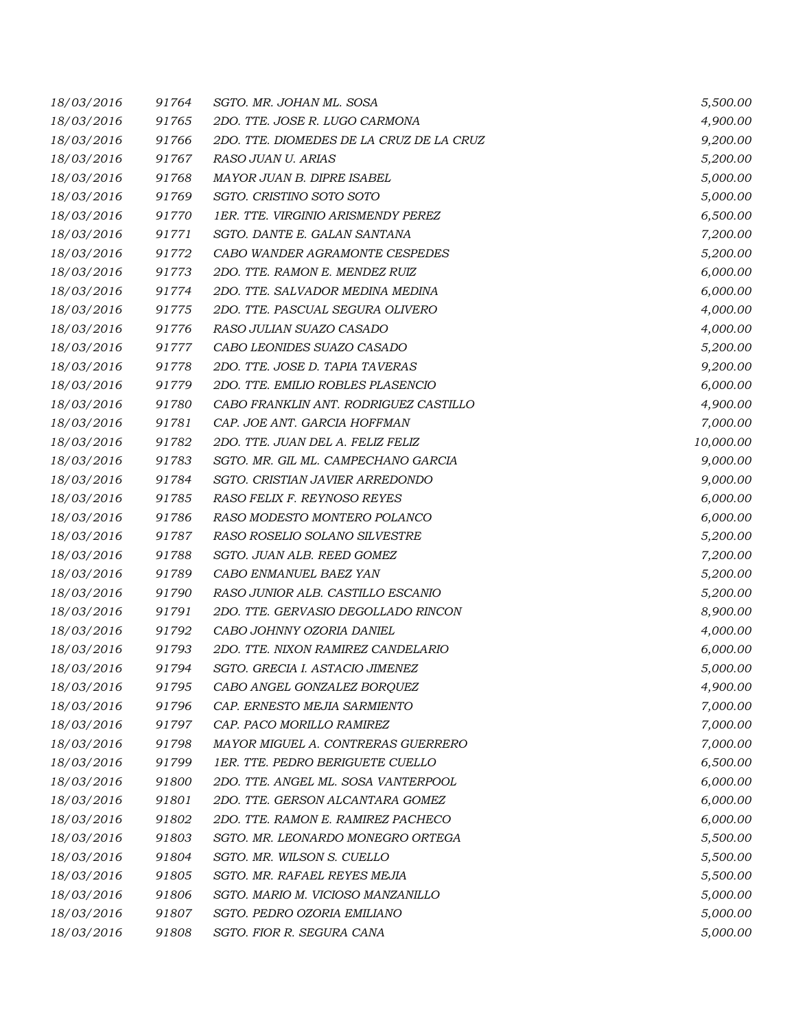| 18/03/2016 | 91764 | SGTO. MR. JOHAN ML. SOSA                 | 5,500.00  |
|------------|-------|------------------------------------------|-----------|
| 18/03/2016 | 91765 | 2DO. TTE. JOSE R. LUGO CARMONA           | 4,900.00  |
| 18/03/2016 | 91766 | 2DO. TTE. DIOMEDES DE LA CRUZ DE LA CRUZ | 9,200.00  |
| 18/03/2016 | 91767 | RASO JUAN U. ARIAS                       | 5,200.00  |
| 18/03/2016 | 91768 | MAYOR JUAN B. DIPRE ISABEL               | 5,000.00  |
| 18/03/2016 | 91769 | SGTO. CRISTINO SOTO SOTO                 | 5,000.00  |
| 18/03/2016 | 91770 | 1ER. TTE. VIRGINIO ARISMENDY PEREZ       | 6,500.00  |
| 18/03/2016 | 91771 | SGTO. DANTE E. GALAN SANTANA             | 7,200.00  |
| 18/03/2016 | 91772 | CABO WANDER AGRAMONTE CESPEDES           | 5,200.00  |
| 18/03/2016 | 91773 | 2DO. TTE. RAMON E. MENDEZ RUIZ           | 6,000.00  |
| 18/03/2016 | 91774 | 2DO. TTE. SALVADOR MEDINA MEDINA         | 6,000.00  |
| 18/03/2016 | 91775 | 2DO. TTE. PASCUAL SEGURA OLIVERO         | 4,000.00  |
| 18/03/2016 | 91776 | RASO JULIAN SUAZO CASADO                 | 4,000.00  |
| 18/03/2016 | 91777 | CABO LEONIDES SUAZO CASADO               | 5,200.00  |
| 18/03/2016 | 91778 | 2DO. TTE. JOSE D. TAPIA TAVERAS          | 9,200.00  |
| 18/03/2016 | 91779 | 2DO. TTE. EMILIO ROBLES PLASENCIO        | 6,000.00  |
| 18/03/2016 | 91780 | CABO FRANKLIN ANT. RODRIGUEZ CASTILLO    | 4,900.00  |
| 18/03/2016 | 91781 | CAP. JOE ANT. GARCIA HOFFMAN             | 7,000.00  |
| 18/03/2016 | 91782 | 2DO. TTE. JUAN DEL A. FELIZ FELIZ        | 10,000.00 |
| 18/03/2016 | 91783 | SGTO. MR. GIL ML. CAMPECHANO GARCIA      | 9,000.00  |
| 18/03/2016 | 91784 | SGTO. CRISTIAN JAVIER ARREDONDO          | 9,000.00  |
| 18/03/2016 | 91785 | RASO FELIX F. REYNOSO REYES              | 6,000.00  |
| 18/03/2016 | 91786 | RASO MODESTO MONTERO POLANCO             | 6,000.00  |
| 18/03/2016 | 91787 | RASO ROSELIO SOLANO SILVESTRE            | 5,200.00  |
| 18/03/2016 | 91788 | SGTO. JUAN ALB. REED GOMEZ               | 7,200.00  |
| 18/03/2016 | 91789 | CABO ENMANUEL BAEZ YAN                   | 5,200.00  |
| 18/03/2016 | 91790 | RASO JUNIOR ALB. CASTILLO ESCANIO        | 5,200.00  |
| 18/03/2016 | 91791 | 2DO. TTE. GERVASIO DEGOLLADO RINCON      | 8,900.00  |
| 18/03/2016 | 91792 | CABO JOHNNY OZORIA DANIEL                | 4,000.00  |
| 18/03/2016 | 91793 | 2DO. TTE. NIXON RAMIREZ CANDELARIO       | 6,000.00  |
| 18/03/2016 | 91794 | SGTO. GRECIA I. ASTACIO JIMENEZ          | 5,000.00  |
| 18/03/2016 | 91795 | CABO ANGEL GONZALEZ BORQUEZ              | 4,900.00  |
| 18/03/2016 | 91796 | CAP. ERNESTO MEJIA SARMIENTO             | 7,000.00  |
| 18/03/2016 | 91797 | CAP. PACO MORILLO RAMIREZ                | 7,000.00  |
| 18/03/2016 | 91798 | MAYOR MIGUEL A. CONTRERAS GUERRERO       | 7,000.00  |
| 18/03/2016 | 91799 | 1ER. TTE. PEDRO BERIGUETE CUELLO         | 6,500.00  |
| 18/03/2016 | 91800 | 2DO. TTE. ANGEL ML. SOSA VANTERPOOL      | 6,000.00  |
| 18/03/2016 | 91801 | 2DO. TTE. GERSON ALCANTARA GOMEZ         | 6,000.00  |
| 18/03/2016 | 91802 | 2DO. TTE. RAMON E. RAMIREZ PACHECO       | 6,000.00  |
| 18/03/2016 | 91803 | SGTO. MR. LEONARDO MONEGRO ORTEGA        | 5,500.00  |
| 18/03/2016 | 91804 | SGTO. MR. WILSON S. CUELLO               | 5,500.00  |
| 18/03/2016 | 91805 | SGTO. MR. RAFAEL REYES MEJIA             | 5,500.00  |
| 18/03/2016 | 91806 | SGTO. MARIO M. VICIOSO MANZANILLO        | 5,000.00  |
| 18/03/2016 | 91807 | SGTO. PEDRO OZORIA EMILIANO              | 5,000.00  |
| 18/03/2016 | 91808 | SGTO. FIOR R. SEGURA CANA                | 5,000.00  |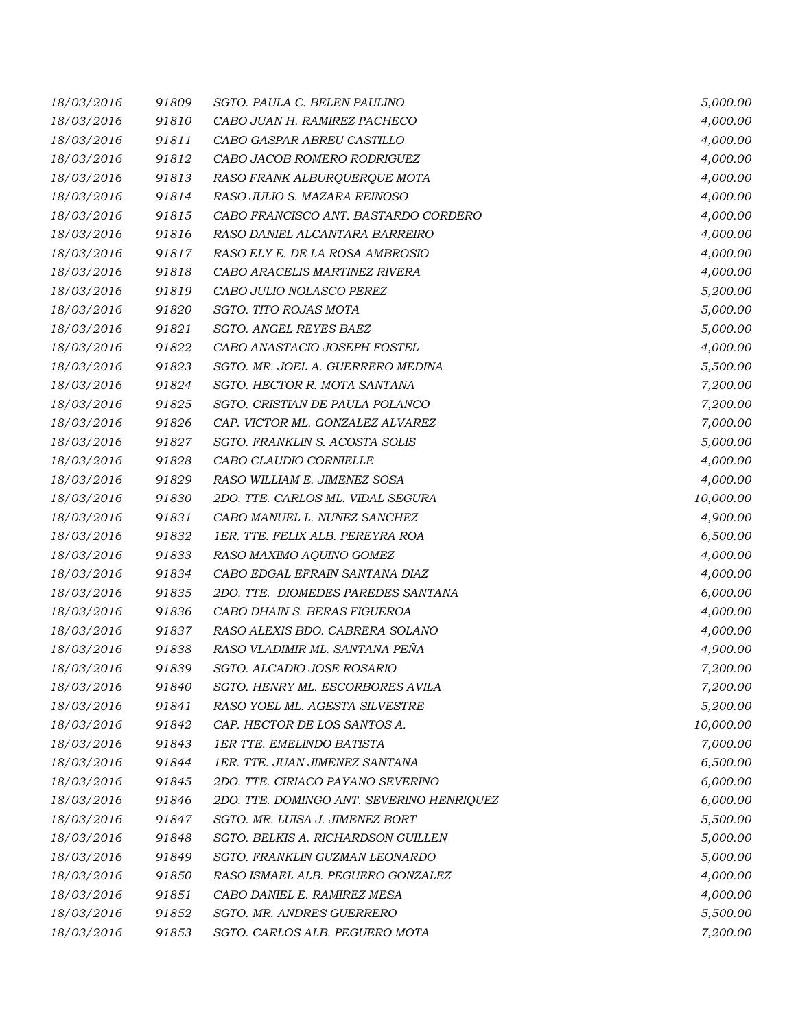| 18/03/2016 | 91809 | SGTO. PAULA C. BELEN PAULINO              | 5,000.00  |
|------------|-------|-------------------------------------------|-----------|
| 18/03/2016 | 91810 | CABO JUAN H. RAMIREZ PACHECO              | 4,000.00  |
| 18/03/2016 | 91811 | CABO GASPAR ABREU CASTILLO                | 4,000.00  |
| 18/03/2016 | 91812 | CABO JACOB ROMERO RODRIGUEZ               | 4,000.00  |
| 18/03/2016 | 91813 | RASO FRANK ALBURQUERQUE MOTA              | 4,000.00  |
| 18/03/2016 | 91814 | RASO JULIO S. MAZARA REINOSO              | 4,000.00  |
| 18/03/2016 | 91815 | CABO FRANCISCO ANT. BASTARDO CORDERO      | 4,000.00  |
| 18/03/2016 | 91816 | RASO DANIEL ALCANTARA BARREIRO            | 4,000.00  |
| 18/03/2016 | 91817 | RASO ELY E. DE LA ROSA AMBROSIO           | 4,000.00  |
| 18/03/2016 | 91818 | CABO ARACELIS MARTINEZ RIVERA             | 4,000.00  |
| 18/03/2016 | 91819 | CABO JULIO NOLASCO PEREZ                  | 5,200.00  |
| 18/03/2016 | 91820 | SGTO. TITO ROJAS MOTA                     | 5,000.00  |
| 18/03/2016 | 91821 | SGTO. ANGEL REYES BAEZ                    | 5,000.00  |
| 18/03/2016 | 91822 | CABO ANASTACIO JOSEPH FOSTEL              | 4,000.00  |
| 18/03/2016 | 91823 | SGTO. MR. JOEL A. GUERRERO MEDINA         | 5,500.00  |
| 18/03/2016 | 91824 | SGTO. HECTOR R. MOTA SANTANA              | 7,200.00  |
| 18/03/2016 | 91825 | SGTO. CRISTIAN DE PAULA POLANCO           | 7,200.00  |
| 18/03/2016 | 91826 | CAP. VICTOR ML. GONZALEZ ALVAREZ          | 7,000.00  |
| 18/03/2016 | 91827 | SGTO. FRANKLIN S. ACOSTA SOLIS            | 5,000.00  |
| 18/03/2016 | 91828 | CABO CLAUDIO CORNIELLE                    | 4,000.00  |
| 18/03/2016 | 91829 | RASO WILLIAM E. JIMENEZ SOSA              | 4,000.00  |
| 18/03/2016 | 91830 | 2DO. TTE. CARLOS ML. VIDAL SEGURA         | 10,000.00 |
| 18/03/2016 | 91831 | CABO MANUEL L. NUÑEZ SANCHEZ              | 4,900.00  |
| 18/03/2016 | 91832 | 1ER. TTE. FELIX ALB. PEREYRA ROA          | 6,500.00  |
| 18/03/2016 | 91833 | RASO MAXIMO AQUINO GOMEZ                  | 4,000.00  |
| 18/03/2016 | 91834 | CABO EDGAL EFRAIN SANTANA DIAZ            | 4,000.00  |
| 18/03/2016 | 91835 | 2DO. TTE. DIOMEDES PAREDES SANTANA        | 6,000.00  |
| 18/03/2016 | 91836 | CABO DHAIN S. BERAS FIGUEROA              | 4,000.00  |
| 18/03/2016 | 91837 | RASO ALEXIS BDO. CABRERA SOLANO           | 4,000.00  |
| 18/03/2016 | 91838 | RASO VLADIMIR ML. SANTANA PEÑA            | 4,900.00  |
| 18/03/2016 | 91839 | SGTO. ALCADIO JOSE ROSARIO                | 7,200.00  |
| 18/03/2016 | 91840 | SGTO. HENRY ML. ESCORBORES AVILA          | 7,200.00  |
| 18/03/2016 | 91841 | RASO YOEL ML. AGESTA SILVESTRE            | 5,200.00  |
| 18/03/2016 | 91842 | CAP. HECTOR DE LOS SANTOS A.              | 10,000.00 |
| 18/03/2016 | 91843 | 1ER TTE. EMELINDO BATISTA                 | 7,000.00  |
| 18/03/2016 | 91844 | 1ER. TTE. JUAN JIMENEZ SANTANA            | 6,500.00  |
| 18/03/2016 | 91845 | 2DO. TTE. CIRIACO PAYANO SEVERINO         | 6,000.00  |
| 18/03/2016 | 91846 | 2DO. TTE. DOMINGO ANT. SEVERINO HENRIQUEZ | 6,000.00  |
| 18/03/2016 | 91847 | SGTO. MR. LUISA J. JIMENEZ BORT           | 5,500.00  |
| 18/03/2016 | 91848 | SGTO. BELKIS A. RICHARDSON GUILLEN        | 5,000.00  |
| 18/03/2016 | 91849 | SGTO. FRANKLIN GUZMAN LEONARDO            | 5,000.00  |
| 18/03/2016 | 91850 | RASO ISMAEL ALB. PEGUERO GONZALEZ         | 4,000.00  |
| 18/03/2016 | 91851 | CABO DANIEL E. RAMIREZ MESA               | 4,000.00  |
| 18/03/2016 | 91852 | SGTO. MR. ANDRES GUERRERO                 | 5,500.00  |
| 18/03/2016 | 91853 | SGTO. CARLOS ALB. PEGUERO MOTA            | 7,200.00  |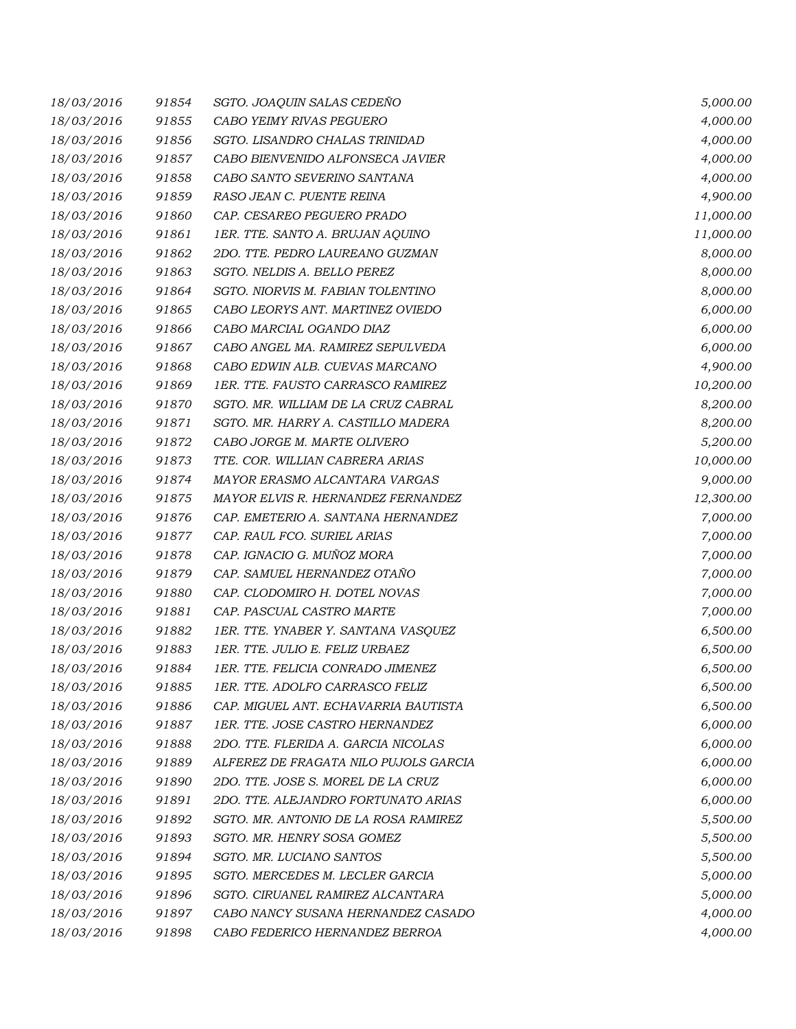| 18/03/2016 | 91854 | SGTO. JOAQUIN SALAS CEDEÑO            | 5,000.00  |
|------------|-------|---------------------------------------|-----------|
| 18/03/2016 | 91855 | CABO YEIMY RIVAS PEGUERO              | 4,000.00  |
| 18/03/2016 | 91856 | SGTO. LISANDRO CHALAS TRINIDAD        | 4,000.00  |
| 18/03/2016 | 91857 | CABO BIENVENIDO ALFONSECA JAVIER      | 4,000.00  |
| 18/03/2016 | 91858 | CABO SANTO SEVERINO SANTANA           | 4,000.00  |
| 18/03/2016 | 91859 | RASO JEAN C. PUENTE REINA             | 4,900.00  |
| 18/03/2016 | 91860 | CAP. CESAREO PEGUERO PRADO            | 11,000.00 |
| 18/03/2016 | 91861 | 1ER. TTE. SANTO A. BRUJAN AQUINO      | 11,000.00 |
| 18/03/2016 | 91862 | 2DO. TTE. PEDRO LAUREANO GUZMAN       | 8,000.00  |
| 18/03/2016 | 91863 | SGTO. NELDIS A. BELLO PEREZ           | 8,000.00  |
| 18/03/2016 | 91864 | SGTO. NIORVIS M. FABIAN TOLENTINO     | 8,000.00  |
| 18/03/2016 | 91865 | CABO LEORYS ANT. MARTINEZ OVIEDO      | 6,000.00  |
| 18/03/2016 | 91866 | CABO MARCIAL OGANDO DIAZ              | 6,000.00  |
| 18/03/2016 | 91867 | CABO ANGEL MA. RAMIREZ SEPULVEDA      | 6,000.00  |
| 18/03/2016 | 91868 | CABO EDWIN ALB. CUEVAS MARCANO        | 4,900.00  |
| 18/03/2016 | 91869 | 1ER. TTE. FAUSTO CARRASCO RAMIREZ     | 10,200.00 |
| 18/03/2016 | 91870 | SGTO. MR. WILLIAM DE LA CRUZ CABRAL   | 8,200.00  |
| 18/03/2016 | 91871 | SGTO. MR. HARRY A. CASTILLO MADERA    | 8,200.00  |
| 18/03/2016 | 91872 | CABO JORGE M. MARTE OLIVERO           | 5,200.00  |
| 18/03/2016 | 91873 | TTE. COR. WILLIAN CABRERA ARIAS       | 10,000.00 |
| 18/03/2016 | 91874 | MAYOR ERASMO ALCANTARA VARGAS         | 9,000.00  |
| 18/03/2016 | 91875 | MAYOR ELVIS R. HERNANDEZ FERNANDEZ    | 12,300.00 |
| 18/03/2016 | 91876 | CAP. EMETERIO A. SANTANA HERNANDEZ    | 7,000.00  |
| 18/03/2016 | 91877 | CAP. RAUL FCO. SURIEL ARIAS           | 7,000.00  |
| 18/03/2016 | 91878 | CAP. IGNACIO G. MUÑOZ MORA            | 7,000.00  |
| 18/03/2016 | 91879 | CAP. SAMUEL HERNANDEZ OTAÑO           | 7,000.00  |
| 18/03/2016 | 91880 | CAP. CLODOMIRO H. DOTEL NOVAS         | 7,000.00  |
| 18/03/2016 | 91881 | CAP. PASCUAL CASTRO MARTE             | 7,000.00  |
| 18/03/2016 | 91882 | 1ER. TTE. YNABER Y. SANTANA VASQUEZ   | 6,500.00  |
| 18/03/2016 | 91883 | 1ER. TTE. JULIO E. FELIZ URBAEZ       | 6,500.00  |
| 18/03/2016 | 91884 | 1ER. TTE. FELICIA CONRADO JIMENEZ     | 6,500.00  |
| 18/03/2016 | 91885 | 1ER. TTE. ADOLFO CARRASCO FELIZ       | 6,500.00  |
| 18/03/2016 | 91886 | CAP. MIGUEL ANT. ECHAVARRIA BAUTISTA  | 6,500.00  |
| 18/03/2016 | 91887 | 1ER. TTE. JOSE CASTRO HERNANDEZ       | 6,000.00  |
| 18/03/2016 | 91888 | 2DO. TTE. FLERIDA A. GARCIA NICOLAS   | 6,000.00  |
| 18/03/2016 | 91889 | ALFEREZ DE FRAGATA NILO PUJOLS GARCIA | 6,000.00  |
| 18/03/2016 | 91890 | 2DO. TTE. JOSE S. MOREL DE LA CRUZ    | 6,000.00  |
| 18/03/2016 | 91891 | 2DO. TTE. ALEJANDRO FORTUNATO ARIAS   | 6,000.00  |
| 18/03/2016 | 91892 | SGTO. MR. ANTONIO DE LA ROSA RAMIREZ  | 5,500.00  |
| 18/03/2016 | 91893 | SGTO. MR. HENRY SOSA GOMEZ            | 5,500.00  |
| 18/03/2016 | 91894 | SGTO. MR. LUCIANO SANTOS              | 5,500.00  |
| 18/03/2016 | 91895 | SGTO. MERCEDES M. LECLER GARCIA       | 5,000.00  |
| 18/03/2016 | 91896 | SGTO. CIRUANEL RAMIREZ ALCANTARA      | 5,000.00  |
| 18/03/2016 | 91897 | CABO NANCY SUSANA HERNANDEZ CASADO    | 4,000.00  |
| 18/03/2016 | 91898 | CABO FEDERICO HERNANDEZ BERROA        | 4,000.00  |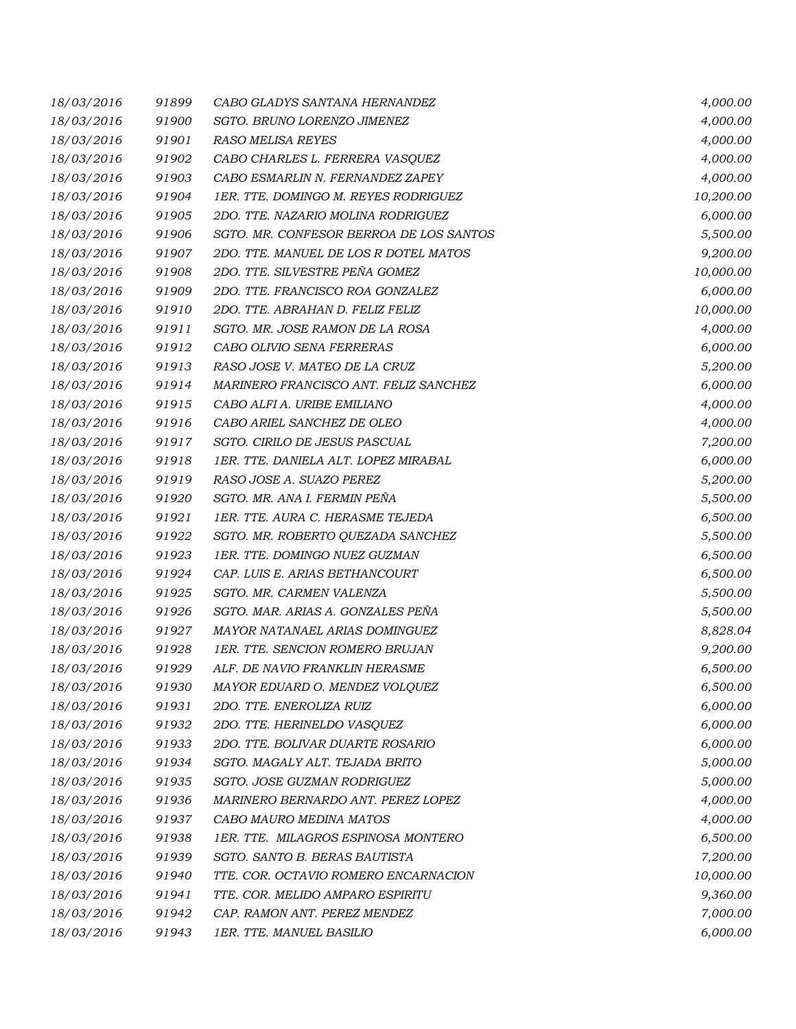| 18/03/2016 | 91899 | CABO GLADYS SANTANA HERNANDEZ           | 4,000.00  |
|------------|-------|-----------------------------------------|-----------|
| 18/03/2016 | 91900 | SGTO. BRUNO LORENZO JIMENEZ             | 4,000.00  |
| 18/03/2016 | 91901 | RASO MELISA REYES                       | 4,000.00  |
| 18/03/2016 | 91902 | CABO CHARLES L. FERRERA VASQUEZ         | 4,000.00  |
| 18/03/2016 | 91903 | CABO ESMARLIN N. FERNANDEZ ZAPEY        | 4,000.00  |
| 18/03/2016 | 91904 | 1ER. TTE. DOMINGO M. REYES RODRIGUEZ    | 10,200.00 |
| 18/03/2016 | 91905 | 2DO. TTE. NAZARIO MOLINA RODRIGUEZ      | 6,000.00  |
| 18/03/2016 | 91906 | SGTO. MR. CONFESOR BERROA DE LOS SANTOS | 5,500.00  |
| 18/03/2016 | 91907 | 2DO. TTE. MANUEL DE LOS R DOTEL MATOS   | 9,200.00  |
| 18/03/2016 | 91908 | 2DO. TTE. SILVESTRE PEÑA GOMEZ          | 10,000.00 |
| 18/03/2016 | 91909 | 2DO. TTE. FRANCISCO ROA GONZALEZ        | 6,000.00  |
| 18/03/2016 | 91910 | 2DO. TTE. ABRAHAN D. FELIZ FELIZ        | 10,000.00 |
| 18/03/2016 | 91911 | SGTO. MR. JOSE RAMON DE LA ROSA         | 4,000.00  |
| 18/03/2016 | 91912 | CABO OLIVIO SENA FERRERAS               | 6,000.00  |
| 18/03/2016 | 91913 | RASO JOSE V. MATEO DE LA CRUZ           | 5,200.00  |
| 18/03/2016 | 91914 | MARINERO FRANCISCO ANT. FELIZ SANCHEZ   | 6,000.00  |
| 18/03/2016 | 91915 | CABO ALFI A. URIBE EMILIANO             | 4,000.00  |
| 18/03/2016 | 91916 | CABO ARIEL SANCHEZ DE OLEO              | 4,000.00  |
| 18/03/2016 | 91917 | SGTO. CIRILO DE JESUS PASCUAL           | 7,200.00  |
| 18/03/2016 | 91918 | 1ER. TTE. DANIELA ALT. LOPEZ MIRABAL    | 6,000.00  |
| 18/03/2016 | 91919 | RASO JOSE A. SUAZO PEREZ                | 5,200.00  |
| 18/03/2016 | 91920 | SGTO. MR. ANA I. FERMIN PEÑA            | 5,500.00  |
| 18/03/2016 | 91921 | 1ER. TTE. AURA C. HERASME TEJEDA        | 6,500.00  |
| 18/03/2016 | 91922 | SGTO. MR. ROBERTO QUEZADA SANCHEZ       | 5,500.00  |
| 18/03/2016 | 91923 | 1ER. TTE. DOMINGO NUEZ GUZMAN           | 6,500.00  |
| 18/03/2016 | 91924 | CAP. LUIS E. ARIAS BETHANCOURT          | 6,500.00  |
| 18/03/2016 | 91925 | SGTO. MR. CARMEN VALENZA                | 5,500.00  |
| 18/03/2016 | 91926 | SGTO. MAR. ARIAS A. GONZALES PEÑA       | 5,500.00  |
| 18/03/2016 | 91927 | MAYOR NATANAEL ARIAS DOMINGUEZ          | 8,828.04  |
| 18/03/2016 | 91928 | 1ER. TTE. SENCION ROMERO BRUJAN         | 9,200.00  |
| 18/03/2016 | 91929 | ALF. DE NAVIO FRANKLIN HERASME          | 6,500.00  |
| 18/03/2016 | 91930 | MAYOR EDUARD O. MENDEZ VOLQUEZ          | 6,500.00  |
| 18/03/2016 | 91931 | 2DO. TTE. ENEROLIZA RUIZ                | 6,000.00  |
| 18/03/2016 | 91932 | 2DO. TTE. HERINELDO VASQUEZ             | 6,000.00  |
| 18/03/2016 | 91933 | 2DO. TTE. BOLIVAR DUARTE ROSARIO        | 6,000.00  |
| 18/03/2016 | 91934 | SGTO. MAGALY ALT. TEJADA BRITO          | 5,000.00  |
| 18/03/2016 | 91935 | SGTO. JOSE GUZMAN RODRIGUEZ             | 5,000.00  |
| 18/03/2016 | 91936 | MARINERO BERNARDO ANT. PEREZ LOPEZ      | 4,000.00  |
| 18/03/2016 | 91937 | CABO MAURO MEDINA MATOS                 | 4,000.00  |
| 18/03/2016 | 91938 | 1ER. TTE. MILAGROS ESPINOSA MONTERO     | 6,500.00  |
| 18/03/2016 | 91939 | SGTO. SANTO B. BERAS BAUTISTA           | 7,200.00  |
| 18/03/2016 | 91940 | TTE. COR. OCTAVIO ROMERO ENCARNACION    | 10,000.00 |
| 18/03/2016 | 91941 | TTE. COR. MELIDO AMPARO ESPIRITU        | 9,360.00  |
| 18/03/2016 | 91942 | CAP. RAMON ANT. PEREZ MENDEZ            | 7,000.00  |
| 18/03/2016 | 91943 | 1ER. TTE. MANUEL BASILIO                | 6,000.00  |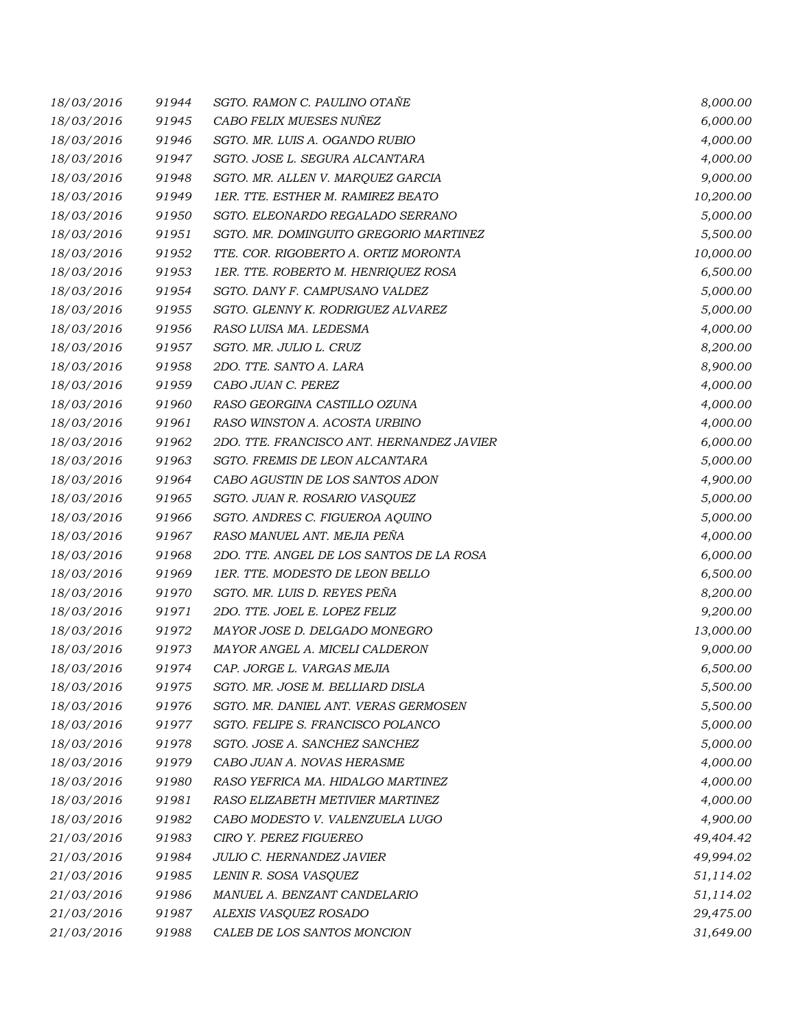| 18/03/2016 | 91944 | SGTO. RAMON C. PAULINO OTAÑE              | 8,000.00  |
|------------|-------|-------------------------------------------|-----------|
| 18/03/2016 | 91945 | CABO FELIX MUESES NUÑEZ                   | 6,000.00  |
| 18/03/2016 | 91946 | SGTO. MR. LUIS A. OGANDO RUBIO            | 4,000.00  |
| 18/03/2016 | 91947 | SGTO. JOSE L. SEGURA ALCANTARA            | 4,000.00  |
| 18/03/2016 | 91948 | SGTO. MR. ALLEN V. MARQUEZ GARCIA         | 9,000.00  |
| 18/03/2016 | 91949 | 1ER. TTE. ESTHER M. RAMIREZ BEATO         | 10,200.00 |
| 18/03/2016 | 91950 | SGTO. ELEONARDO REGALADO SERRANO          | 5,000.00  |
| 18/03/2016 | 91951 | SGTO. MR. DOMINGUITO GREGORIO MARTINEZ    | 5,500.00  |
| 18/03/2016 | 91952 | TTE. COR. RIGOBERTO A. ORTIZ MORONTA      | 10,000.00 |
| 18/03/2016 | 91953 | 1ER. TTE. ROBERTO M. HENRIQUEZ ROSA       | 6,500.00  |
| 18/03/2016 | 91954 | SGTO. DANY F. CAMPUSANO VALDEZ            | 5,000.00  |
| 18/03/2016 | 91955 | SGTO. GLENNY K. RODRIGUEZ ALVAREZ         | 5,000.00  |
| 18/03/2016 | 91956 | RASO LUISA MA. LEDESMA                    | 4,000.00  |
| 18/03/2016 | 91957 | SGTO. MR. JULIO L. CRUZ                   | 8,200.00  |
| 18/03/2016 | 91958 | 2DO. TTE, SANTO A. LARA                   | 8,900.00  |
| 18/03/2016 | 91959 | CABO JUAN C. PEREZ                        | 4,000.00  |
| 18/03/2016 | 91960 | RASO GEORGINA CASTILLO OZUNA              | 4,000.00  |
| 18/03/2016 | 91961 | RASO WINSTON A. ACOSTA URBINO             | 4,000.00  |
| 18/03/2016 | 91962 | 2DO. TTE. FRANCISCO ANT. HERNANDEZ JAVIER | 6,000.00  |
| 18/03/2016 | 91963 | SGTO. FREMIS DE LEON ALCANTARA            | 5,000.00  |
| 18/03/2016 | 91964 | CABO AGUSTIN DE LOS SANTOS ADON           | 4,900.00  |
| 18/03/2016 | 91965 | SGTO. JUAN R. ROSARIO VASQUEZ             | 5,000.00  |
| 18/03/2016 | 91966 | SGTO. ANDRES C. FIGUEROA AQUINO           | 5,000.00  |
| 18/03/2016 | 91967 | RASO MANUEL ANT. MEJIA PEÑA               | 4,000.00  |
| 18/03/2016 | 91968 | 2DO. TTE. ANGEL DE LOS SANTOS DE LA ROSA  | 6,000.00  |
| 18/03/2016 | 91969 | 1ER. TTE. MODESTO DE LEON BELLO           | 6,500.00  |
| 18/03/2016 | 91970 | SGTO. MR. LUIS D. REYES PEÑA              | 8,200.00  |
| 18/03/2016 | 91971 | 2DO. TTE. JOEL E. LOPEZ FELIZ             | 9,200.00  |
| 18/03/2016 | 91972 | MAYOR JOSE D. DELGADO MONEGRO             | 13,000.00 |
| 18/03/2016 | 91973 | MAYOR ANGEL A. MICELI CALDERON            | 9,000.00  |
| 18/03/2016 | 91974 | CAP. JORGE L. VARGAS MEJIA                | 6,500.00  |
| 18/03/2016 | 91975 | SGTO. MR. JOSE M. BELLIARD DISLA          | 5,500.00  |
| 18/03/2016 | 91976 | SGTO. MR. DANIEL ANT. VERAS GERMOSEN      | 5,500.00  |
| 18/03/2016 | 91977 | SGTO. FELIPE S. FRANCISCO POLANCO         | 5,000.00  |
| 18/03/2016 | 91978 | SGTO. JOSE A. SANCHEZ SANCHEZ             | 5,000.00  |
| 18/03/2016 | 91979 | CABO JUAN A. NOVAS HERASME                | 4,000.00  |
| 18/03/2016 | 91980 | RASO YEFRICA MA. HIDALGO MARTINEZ         | 4,000.00  |
| 18/03/2016 | 91981 | RASO ELIZABETH METIVIER MARTINEZ          | 4,000.00  |
| 18/03/2016 | 91982 | CABO MODESTO V. VALENZUELA LUGO           | 4,900.00  |
| 21/03/2016 | 91983 | CIRO Y. PEREZ FIGUEREO                    | 49,404.42 |
| 21/03/2016 | 91984 | JULIO C. HERNANDEZ JAVIER                 | 49,994.02 |
| 21/03/2016 | 91985 | LENIN R. SOSA VASQUEZ                     | 51,114.02 |
| 21/03/2016 | 91986 | MANUEL A. BENZANT CANDELARIO              | 51,114.02 |
| 21/03/2016 | 91987 | ALEXIS VASQUEZ ROSADO                     | 29,475.00 |
| 21/03/2016 | 91988 | CALEB DE LOS SANTOS MONCION               | 31,649.00 |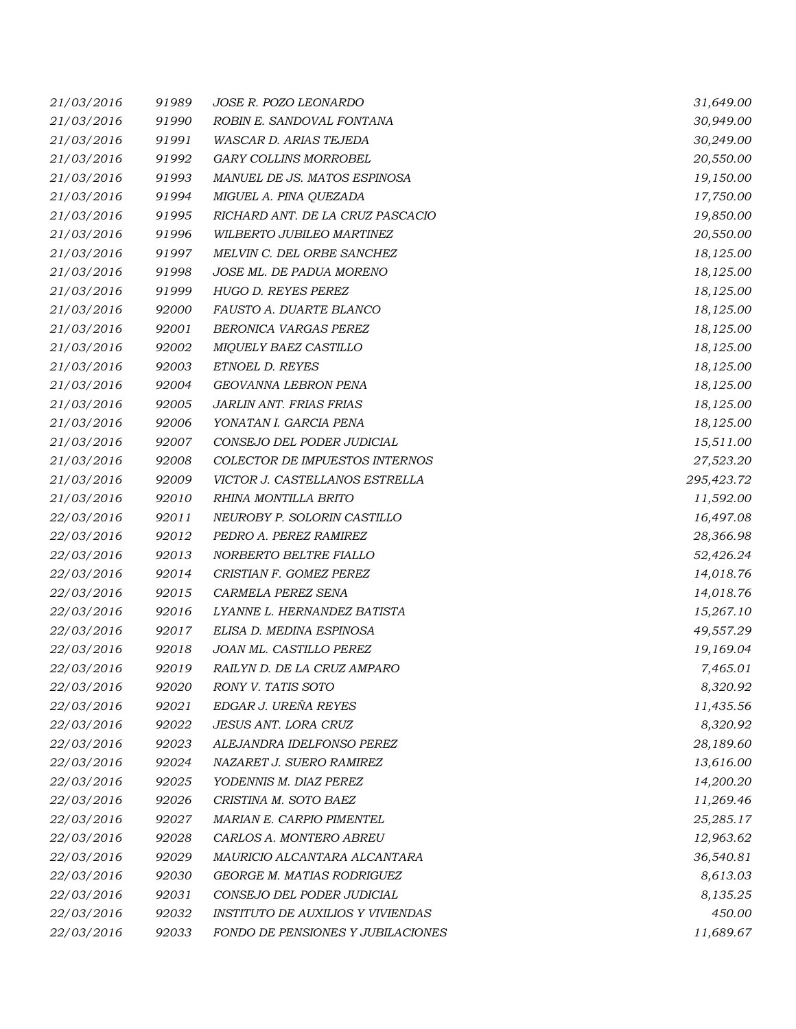| 21/03/2016 | 91989 | JOSE R. POZO LEONARDO                    | 31,649.00  |
|------------|-------|------------------------------------------|------------|
| 21/03/2016 | 91990 | ROBIN E. SANDOVAL FONTANA                | 30,949.00  |
| 21/03/2016 | 91991 | WASCAR D. ARIAS TEJEDA                   | 30,249.00  |
| 21/03/2016 | 91992 | GARY COLLINS MORROBEL                    | 20,550.00  |
| 21/03/2016 | 91993 | MANUEL DE JS. MATOS ESPINOSA             | 19,150.00  |
| 21/03/2016 | 91994 | MIGUEL A. PINA QUEZADA                   | 17,750.00  |
| 21/03/2016 | 91995 | RICHARD ANT. DE LA CRUZ PASCACIO         | 19,850.00  |
| 21/03/2016 | 91996 | WILBERTO JUBILEO MARTINEZ                | 20,550.00  |
| 21/03/2016 | 91997 | MELVIN C. DEL ORBE SANCHEZ               | 18,125.00  |
| 21/03/2016 | 91998 | JOSE ML. DE PADUA MORENO                 | 18,125.00  |
| 21/03/2016 | 91999 | HUGO D. REYES PEREZ                      | 18,125.00  |
| 21/03/2016 | 92000 | FAUSTO A. DUARTE BLANCO                  | 18,125.00  |
| 21/03/2016 | 92001 | BERONICA VARGAS PEREZ                    | 18,125.00  |
| 21/03/2016 | 92002 | MIQUELY BAEZ CASTILLO                    | 18,125.00  |
| 21/03/2016 | 92003 | ETNOEL D. REYES                          | 18,125.00  |
| 21/03/2016 | 92004 | GEOVANNA LEBRON PENA                     | 18,125.00  |
| 21/03/2016 | 92005 | JARLIN ANT. FRIAS FRIAS                  | 18,125.00  |
| 21/03/2016 | 92006 | YONATAN I. GARCIA PENA                   | 18,125.00  |
| 21/03/2016 | 92007 | CONSEJO DEL PODER JUDICIAL               | 15,511.00  |
| 21/03/2016 | 92008 | COLECTOR DE IMPUESTOS INTERNOS           | 27,523.20  |
| 21/03/2016 | 92009 | VICTOR J. CASTELLANOS ESTRELLA           | 295,423.72 |
| 21/03/2016 | 92010 | RHINA MONTILLA BRITO                     | 11,592.00  |
| 22/03/2016 | 92011 | NEUROBY P. SOLORIN CASTILLO              | 16,497.08  |
| 22/03/2016 | 92012 | PEDRO A. PEREZ RAMIREZ                   | 28,366.98  |
| 22/03/2016 | 92013 | NORBERTO BELTRE FIALLO                   | 52,426.24  |
| 22/03/2016 | 92014 | CRISTIAN F. GOMEZ PEREZ                  | 14,018.76  |
| 22/03/2016 | 92015 | CARMELA PEREZ SENA                       | 14,018.76  |
| 22/03/2016 | 92016 | LYANNE L. HERNANDEZ BATISTA              | 15,267.10  |
| 22/03/2016 | 92017 | ELISA D. MEDINA ESPINOSA                 | 49,557.29  |
| 22/03/2016 | 92018 | JOAN ML. CASTILLO PEREZ                  | 19,169.04  |
| 22/03/2016 | 92019 | RAILYN D. DE LA CRUZ AMPARO              | 7,465.01   |
| 22/03/2016 | 92020 | RONY V. TATIS SOTO                       | 8,320.92   |
| 22/03/2016 | 92021 | EDGAR J. UREÑA REYES                     | 11,435.56  |
| 22/03/2016 | 92022 | <b>JESUS ANT. LORA CRUZ</b>              | 8,320.92   |
| 22/03/2016 | 92023 | ALEJANDRA IDELFONSO PEREZ                | 28,189.60  |
| 22/03/2016 | 92024 | NAZARET J. SUERO RAMIREZ                 | 13,616.00  |
| 22/03/2016 | 92025 | YODENNIS M. DIAZ PEREZ                   | 14,200.20  |
| 22/03/2016 | 92026 | CRISTINA M. SOTO BAEZ                    | 11,269.46  |
| 22/03/2016 | 92027 | MARIAN E. CARPIO PIMENTEL                | 25,285.17  |
| 22/03/2016 | 92028 | CARLOS A. MONTERO ABREU                  | 12,963.62  |
| 22/03/2016 | 92029 | MAURICIO ALCANTARA ALCANTARA             | 36,540.81  |
| 22/03/2016 | 92030 | GEORGE M. MATIAS RODRIGUEZ               | 8,613.03   |
| 22/03/2016 | 92031 | CONSEJO DEL PODER JUDICIAL               | 8,135.25   |
| 22/03/2016 | 92032 | <b>INSTITUTO DE AUXILIOS Y VIVIENDAS</b> | 450.00     |
| 22/03/2016 | 92033 | FONDO DE PENSIONES Y JUBILACIONES        | 11,689.67  |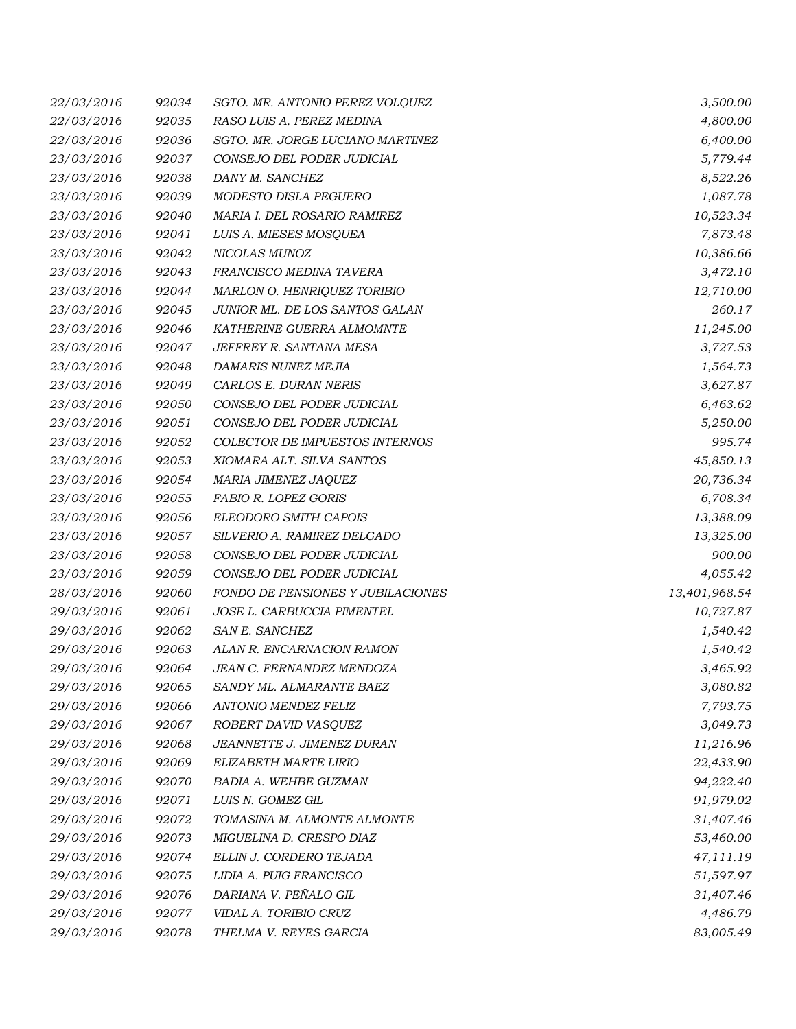| 22/03/2016 | 92034 | SGTO. MR. ANTONIO PEREZ VOLQUEZ   | 3,500.00      |
|------------|-------|-----------------------------------|---------------|
| 22/03/2016 | 92035 | RASO LUIS A. PEREZ MEDINA         | 4,800.00      |
| 22/03/2016 | 92036 | SGTO. MR. JORGE LUCIANO MARTINEZ  | 6,400.00      |
| 23/03/2016 | 92037 | CONSEJO DEL PODER JUDICIAL        | 5,779.44      |
| 23/03/2016 | 92038 | DANY M. SANCHEZ                   | 8,522.26      |
| 23/03/2016 | 92039 | MODESTO DISLA PEGUERO             | 1,087.78      |
| 23/03/2016 | 92040 | MARIA I. DEL ROSARIO RAMIREZ      | 10,523.34     |
| 23/03/2016 | 92041 | LUIS A. MIESES MOSQUEA            | 7,873.48      |
| 23/03/2016 | 92042 | NICOLAS MUNOZ                     | 10,386.66     |
| 23/03/2016 | 92043 | FRANCISCO MEDINA TAVERA           | 3,472.10      |
| 23/03/2016 | 92044 | MARLON O. HENRIQUEZ TORIBIO       | 12,710.00     |
| 23/03/2016 | 92045 | JUNIOR ML. DE LOS SANTOS GALAN    | 260.17        |
| 23/03/2016 | 92046 | KATHERINE GUERRA ALMOMNTE         | 11,245.00     |
| 23/03/2016 | 92047 | JEFFREY R. SANTANA MESA           | 3,727.53      |
| 23/03/2016 | 92048 | <b>DAMARIS NUNEZ MEJIA</b>        | 1,564.73      |
| 23/03/2016 | 92049 | CARLOS E. DURAN NERIS             | 3,627.87      |
| 23/03/2016 | 92050 | CONSEJO DEL PODER JUDICIAL        | 6,463.62      |
| 23/03/2016 | 92051 | CONSEJO DEL PODER JUDICIAL        | 5,250.00      |
| 23/03/2016 | 92052 | COLECTOR DE IMPUESTOS INTERNOS    | 995.74        |
| 23/03/2016 | 92053 | XIOMARA ALT. SILVA SANTOS         | 45,850.13     |
| 23/03/2016 | 92054 | MARIA JIMENEZ JAQUEZ              | 20,736.34     |
| 23/03/2016 | 92055 | FABIO R. LOPEZ GORIS              | 6,708.34      |
| 23/03/2016 | 92056 | ELEODORO SMITH CAPOIS             | 13,388.09     |
| 23/03/2016 | 92057 | SILVERIO A. RAMIREZ DELGADO       | 13,325.00     |
| 23/03/2016 | 92058 | CONSEJO DEL PODER JUDICIAL        | 900.00        |
| 23/03/2016 | 92059 | CONSEJO DEL PODER JUDICIAL        | 4,055.42      |
| 28/03/2016 | 92060 | FONDO DE PENSIONES Y JUBILACIONES | 13,401,968.54 |
| 29/03/2016 | 92061 | JOSE L. CARBUCCIA PIMENTEL        | 10,727.87     |
| 29/03/2016 | 92062 | SAN E. SANCHEZ                    | 1,540.42      |
| 29/03/2016 | 92063 | ALAN R. ENCARNACION RAMON         | 1,540.42      |
| 29/03/2016 | 92064 | <b>JEAN C. FERNANDEZ MENDOZA</b>  | 3,465.92      |
| 29/03/2016 | 92065 | SANDY ML. ALMARANTE BAEZ          | 3,080.82      |
| 29/03/2016 | 92066 | ANTONIO MENDEZ FELIZ              | 7,793.75      |
| 29/03/2016 | 92067 | ROBERT DAVID VASQUEZ              | 3,049.73      |
| 29/03/2016 | 92068 | JEANNETTE J. JIMENEZ DURAN        | 11,216.96     |
| 29/03/2016 | 92069 | ELIZABETH MARTE LIRIO             | 22,433.90     |
| 29/03/2016 | 92070 | <b>BADIA A. WEHBE GUZMAN</b>      | 94,222.40     |
| 29/03/2016 | 92071 | LUIS N. GOMEZ GIL                 | 91,979.02     |
| 29/03/2016 | 92072 | TOMASINA M. ALMONTE ALMONTE       | 31,407.46     |
| 29/03/2016 | 92073 | MIGUELINA D. CRESPO DIAZ          | 53,460.00     |
| 29/03/2016 | 92074 | ELLIN J. CORDERO TEJADA           | 47,111.19     |
| 29/03/2016 | 92075 | LIDIA A. PUIG FRANCISCO           | 51,597.97     |
| 29/03/2016 | 92076 | DARIANA V. PEÑALO GIL             | 31,407.46     |
| 29/03/2016 | 92077 | VIDAL A. TORIBIO CRUZ             | 4,486.79      |
| 29/03/2016 | 92078 | THELMA V. REYES GARCIA            | 83,005.49     |
|            |       |                                   |               |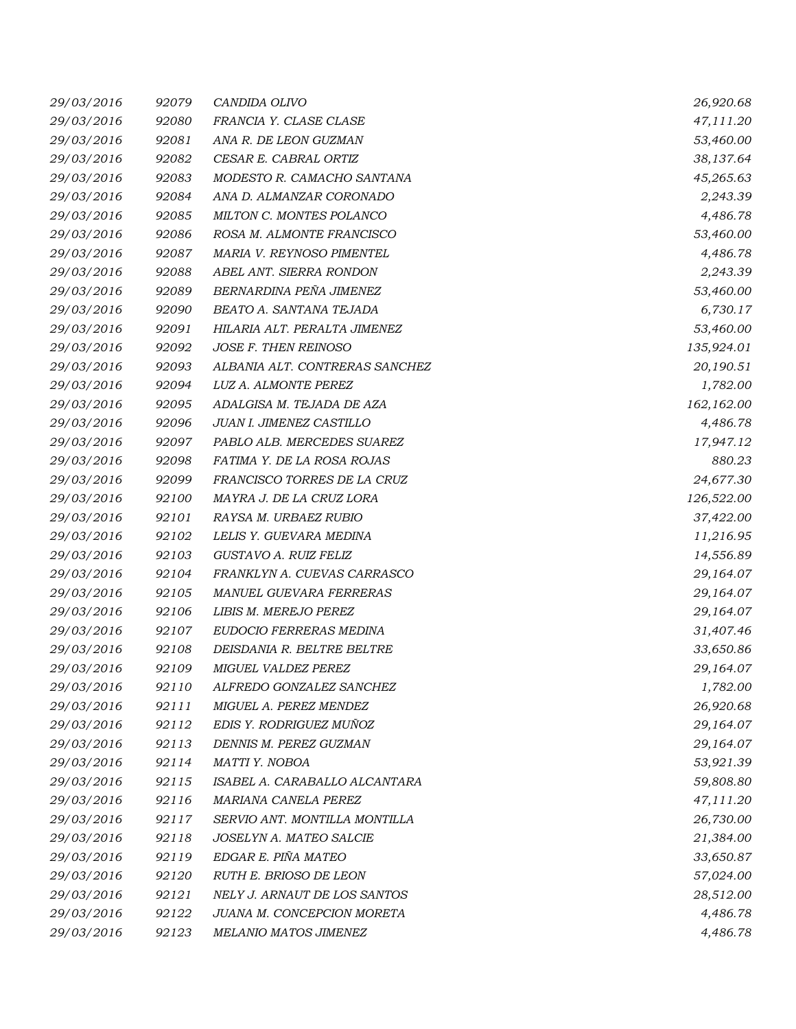| 29/03/2016 | 92079 | CANDIDA OLIVO                  | 26,920.68  |
|------------|-------|--------------------------------|------------|
| 29/03/2016 | 92080 | FRANCIA Y. CLASE CLASE         | 47,111.20  |
| 29/03/2016 | 92081 | ANA R. DE LEON GUZMAN          | 53,460.00  |
| 29/03/2016 | 92082 | CESAR E. CABRAL ORTIZ          | 38,137.64  |
| 29/03/2016 | 92083 | MODESTO R. CAMACHO SANTANA     | 45,265.63  |
| 29/03/2016 | 92084 | ANA D. ALMANZAR CORONADO       | 2,243.39   |
| 29/03/2016 | 92085 | MILTON C. MONTES POLANCO       | 4,486.78   |
| 29/03/2016 | 92086 | ROSA M. ALMONTE FRANCISCO      | 53,460.00  |
| 29/03/2016 | 92087 | MARIA V. REYNOSO PIMENTEL      | 4,486.78   |
| 29/03/2016 | 92088 | ABEL ANT. SIERRA RONDON        | 2,243.39   |
| 29/03/2016 | 92089 | BERNARDINA PEÑA JIMENEZ        | 53,460.00  |
| 29/03/2016 | 92090 | BEATO A. SANTANA TEJADA        | 6,730.17   |
| 29/03/2016 | 92091 | HILARIA ALT. PERALTA JIMENEZ   | 53,460.00  |
| 29/03/2016 | 92092 | JOSE F. THEN REINOSO           | 135,924.01 |
| 29/03/2016 | 92093 | ALBANIA ALT. CONTRERAS SANCHEZ | 20,190.51  |
| 29/03/2016 | 92094 | LUZ A. ALMONTE PEREZ           | 1,782.00   |
| 29/03/2016 | 92095 | ADALGISA M. TEJADA DE AZA      | 162,162.00 |
| 29/03/2016 | 92096 | JUAN I. JIMENEZ CASTILLO       | 4,486.78   |
| 29/03/2016 | 92097 | PABLO ALB. MERCEDES SUAREZ     | 17,947.12  |
| 29/03/2016 | 92098 | FATIMA Y. DE LA ROSA ROJAS     | 880.23     |
| 29/03/2016 | 92099 | FRANCISCO TORRES DE LA CRUZ    | 24,677.30  |
| 29/03/2016 | 92100 | MAYRA J. DE LA CRUZ LORA       | 126,522.00 |
| 29/03/2016 | 92101 | RAYSA M. URBAEZ RUBIO          | 37,422.00  |
| 29/03/2016 | 92102 | LELIS Y. GUEVARA MEDINA        | 11,216.95  |
| 29/03/2016 | 92103 | GUSTAVO A. RUIZ FELIZ          | 14,556.89  |
| 29/03/2016 | 92104 | FRANKLYN A. CUEVAS CARRASCO    | 29,164.07  |
| 29/03/2016 | 92105 | MANUEL GUEVARA FERRERAS        | 29,164.07  |
| 29/03/2016 | 92106 | LIBIS M. MEREJO PEREZ          | 29,164.07  |
| 29/03/2016 | 92107 | EUDOCIO FERRERAS MEDINA        | 31,407.46  |
| 29/03/2016 | 92108 | DEISDANIA R. BELTRE BELTRE     | 33,650.86  |
| 29/03/2016 | 92109 | MIGUEL VALDEZ PEREZ            | 29,164.07  |
| 29/03/2016 | 92110 | ALFREDO GONZALEZ SANCHEZ       | 1,782.00   |
| 29/03/2016 | 92111 | MIGUEL A. PEREZ MENDEZ         | 26,920.68  |
| 29/03/2016 | 92112 | EDIS Y. RODRIGUEZ MUÑOZ        | 29,164.07  |
| 29/03/2016 | 92113 | DENNIS M. PEREZ GUZMAN         | 29,164.07  |
| 29/03/2016 | 92114 | MATTI Y. NOBOA                 | 53,921.39  |
| 29/03/2016 | 92115 | ISABEL A. CARABALLO ALCANTARA  | 59,808.80  |
| 29/03/2016 | 92116 | MARIANA CANELA PEREZ           | 47,111.20  |
| 29/03/2016 | 92117 | SERVIO ANT. MONTILLA MONTILLA  | 26,730.00  |
| 29/03/2016 | 92118 | JOSELYN A. MATEO SALCIE        | 21,384.00  |
| 29/03/2016 | 92119 | EDGAR E. PIÑA MATEO            | 33,650.87  |
| 29/03/2016 | 92120 | RUTH E. BRIOSO DE LEON         | 57,024.00  |
| 29/03/2016 | 92121 | NELY J. ARNAUT DE LOS SANTOS   | 28,512.00  |
| 29/03/2016 | 92122 | JUANA M. CONCEPCION MORETA     | 4,486.78   |
| 29/03/2016 | 92123 | MELANIO MATOS JIMENEZ          | 4,486.78   |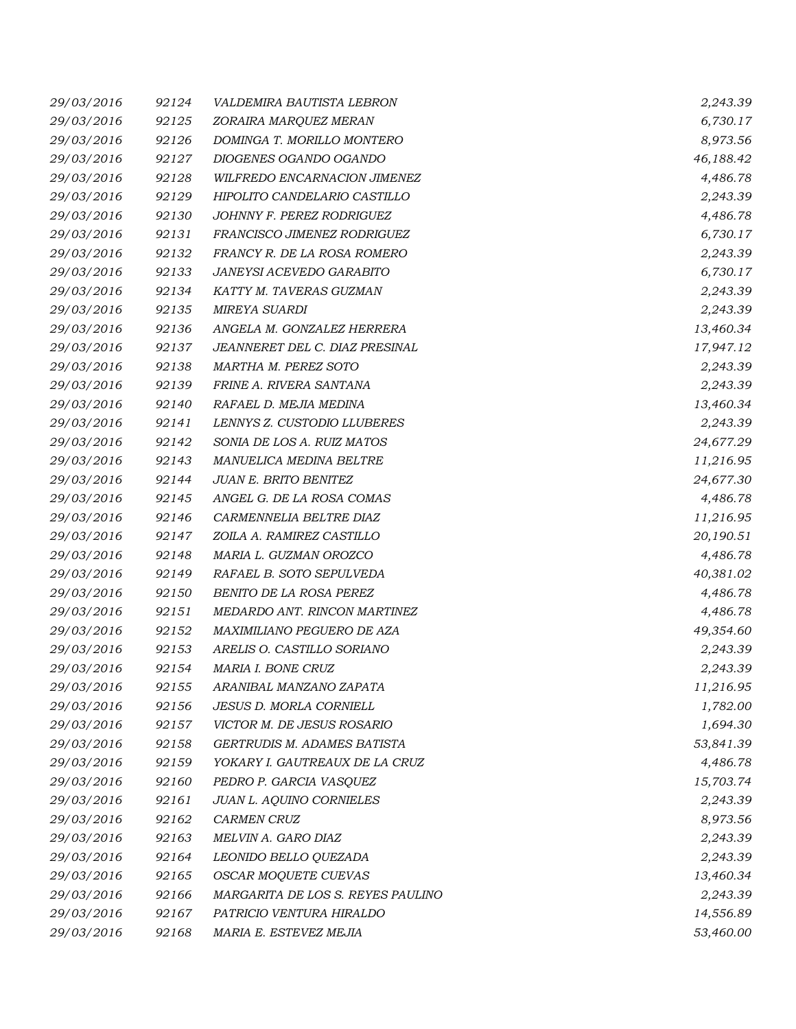| 29/03/2016 | 92124 | VALDEMIRA BAUTISTA LEBRON         | 2,243.39  |
|------------|-------|-----------------------------------|-----------|
| 29/03/2016 | 92125 | ZORAIRA MARQUEZ MERAN             | 6,730.17  |
| 29/03/2016 | 92126 | DOMINGA T. MORILLO MONTERO        | 8,973.56  |
| 29/03/2016 | 92127 | DIOGENES OGANDO OGANDO            | 46,188.42 |
| 29/03/2016 | 92128 | WILFREDO ENCARNACION JIMENEZ      | 4,486.78  |
| 29/03/2016 | 92129 | HIPOLITO CANDELARIO CASTILLO      | 2,243.39  |
| 29/03/2016 | 92130 | JOHNNY F. PEREZ RODRIGUEZ         | 4,486.78  |
| 29/03/2016 | 92131 | FRANCISCO JIMENEZ RODRIGUEZ       | 6,730.17  |
| 29/03/2016 | 92132 | FRANCY R. DE LA ROSA ROMERO       | 2,243.39  |
| 29/03/2016 | 92133 | JANEYSI ACEVEDO GARABITO          | 6,730.17  |
| 29/03/2016 | 92134 | KATTY M. TAVERAS GUZMAN           | 2,243.39  |
| 29/03/2016 | 92135 | <b>MIREYA SUARDI</b>              | 2,243.39  |
| 29/03/2016 | 92136 | ANGELA M. GONZALEZ HERRERA        | 13,460.34 |
| 29/03/2016 | 92137 | JEANNERET DEL C. DIAZ PRESINAL    | 17,947.12 |
| 29/03/2016 | 92138 | <b>MARTHA M. PEREZ SOTO</b>       | 2,243.39  |
| 29/03/2016 | 92139 | FRINE A. RIVERA SANTANA           | 2,243.39  |
| 29/03/2016 | 92140 | RAFAEL D. MEJIA MEDINA            | 13,460.34 |
| 29/03/2016 | 92141 | LENNYS Z. CUSTODIO LLUBERES       | 2,243.39  |
| 29/03/2016 | 92142 | SONIA DE LOS A. RUIZ MATOS        | 24,677.29 |
| 29/03/2016 | 92143 | MANUELICA MEDINA BELTRE           | 11,216.95 |
| 29/03/2016 | 92144 | JUAN E. BRITO BENITEZ             | 24,677.30 |
| 29/03/2016 | 92145 | ANGEL G. DE LA ROSA COMAS         | 4,486.78  |
| 29/03/2016 | 92146 | CARMENNELIA BELTRE DIAZ           | 11,216.95 |
| 29/03/2016 | 92147 | ZOILA A. RAMIREZ CASTILLO         | 20,190.51 |
| 29/03/2016 | 92148 | MARIA L. GUZMAN OROZCO            | 4,486.78  |
| 29/03/2016 | 92149 | RAFAEL B. SOTO SEPULVEDA          | 40,381.02 |
| 29/03/2016 | 92150 | BENITO DE LA ROSA PEREZ           | 4,486.78  |
| 29/03/2016 | 92151 | MEDARDO ANT. RINCON MARTINEZ      | 4,486.78  |
| 29/03/2016 | 92152 | MAXIMILIANO PEGUERO DE AZA        | 49,354.60 |
| 29/03/2016 | 92153 | ARELIS O. CASTILLO SORIANO        | 2,243.39  |
| 29/03/2016 | 92154 | <b>MARIA I. BONE CRUZ</b>         | 2,243.39  |
| 29/03/2016 | 92155 | ARANIBAL MANZANO ZAPATA           | 11,216.95 |
| 29/03/2016 | 92156 | JESUS D. MORLA CORNIELL           | 1,782.00  |
| 29/03/2016 | 92157 | VICTOR M. DE JESUS ROSARIO        | 1,694.30  |
| 29/03/2016 | 92158 | GERTRUDIS M. ADAMES BATISTA       | 53,841.39 |
| 29/03/2016 | 92159 | YOKARY I. GAUTREAUX DE LA CRUZ    | 4,486.78  |
| 29/03/2016 | 92160 | PEDRO P. GARCIA VASQUEZ           | 15,703.74 |
| 29/03/2016 | 92161 | JUAN L. AQUINO CORNIELES          | 2,243.39  |
| 29/03/2016 | 92162 | <b>CARMEN CRUZ</b>                | 8,973.56  |
| 29/03/2016 | 92163 | MELVIN A. GARO DIAZ               | 2,243.39  |
| 29/03/2016 | 92164 | LEONIDO BELLO QUEZADA             | 2,243.39  |
| 29/03/2016 | 92165 | OSCAR MOQUETE CUEVAS              | 13,460.34 |
| 29/03/2016 | 92166 | MARGARITA DE LOS S. REYES PAULINO | 2,243.39  |
| 29/03/2016 | 92167 | PATRICIO VENTURA HIRALDO          | 14,556.89 |
| 29/03/2016 | 92168 | MARIA E. ESTEVEZ MEJIA            | 53,460.00 |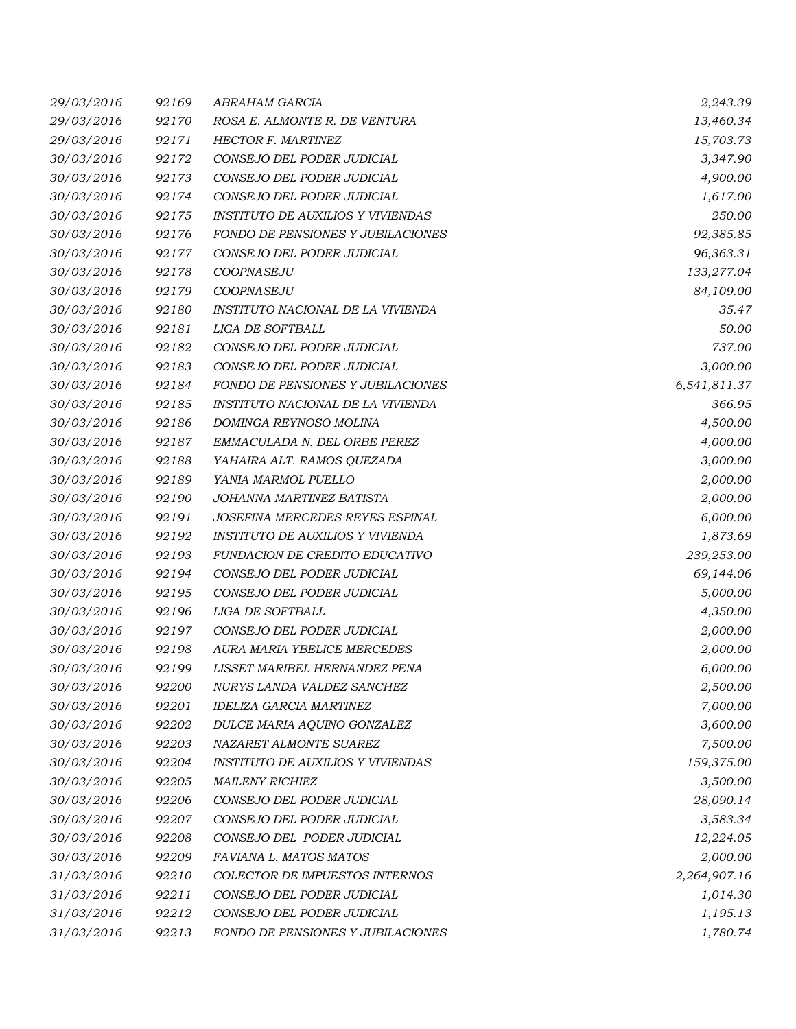| 29/03/2016 | 92169 | ABRAHAM GARCIA                           | 2,243.39     |
|------------|-------|------------------------------------------|--------------|
| 29/03/2016 | 92170 | ROSA E. ALMONTE R. DE VENTURA            | 13,460.34    |
| 29/03/2016 | 92171 | HECTOR F. MARTINEZ                       | 15,703.73    |
| 30/03/2016 | 92172 | CONSEJO DEL PODER JUDICIAL               | 3,347.90     |
| 30/03/2016 | 92173 | CONSEJO DEL PODER JUDICIAL               | 4,900.00     |
| 30/03/2016 | 92174 | CONSEJO DEL PODER JUDICIAL               | 1,617.00     |
| 30/03/2016 | 92175 | <b>INSTITUTO DE AUXILIOS Y VIVIENDAS</b> | 250.00       |
| 30/03/2016 | 92176 | FONDO DE PENSIONES Y JUBILACIONES        | 92,385.85    |
| 30/03/2016 | 92177 | CONSEJO DEL PODER JUDICIAL               | 96,363.31    |
| 30/03/2016 | 92178 | COOPNASEJU                               | 133,277.04   |
| 30/03/2016 | 92179 | COOPNASEJU                               | 84,109.00    |
| 30/03/2016 | 92180 | INSTITUTO NACIONAL DE LA VIVIENDA        | 35.47        |
| 30/03/2016 | 92181 | LIGA DE SOFTBALL                         | 50.00        |
| 30/03/2016 | 92182 | CONSEJO DEL PODER JUDICIAL               | 737.00       |
| 30/03/2016 | 92183 | CONSEJO DEL PODER JUDICIAL               | 3,000.00     |
| 30/03/2016 | 92184 | FONDO DE PENSIONES Y JUBILACIONES        | 6,541,811.37 |
| 30/03/2016 | 92185 | INSTITUTO NACIONAL DE LA VIVIENDA        | 366.95       |
| 30/03/2016 | 92186 | DOMINGA REYNOSO MOLINA                   | 4,500.00     |
| 30/03/2016 | 92187 | EMMACULADA N. DEL ORBE PEREZ             | 4,000.00     |
| 30/03/2016 | 92188 | YAHAIRA ALT. RAMOS QUEZADA               | 3,000.00     |
| 30/03/2016 | 92189 | YANIA MARMOL PUELLO                      | 2,000.00     |
| 30/03/2016 | 92190 | JOHANNA MARTINEZ BATISTA                 | 2,000.00     |
| 30/03/2016 | 92191 | JOSEFINA MERCEDES REYES ESPINAL          | 6,000.00     |
| 30/03/2016 | 92192 | INSTITUTO DE AUXILIOS Y VIVIENDA         | 1,873.69     |
| 30/03/2016 | 92193 | FUNDACION DE CREDITO EDUCATIVO           | 239,253.00   |
| 30/03/2016 | 92194 | CONSEJO DEL PODER JUDICIAL               | 69,144.06    |
| 30/03/2016 | 92195 | CONSEJO DEL PODER JUDICIAL               | 5,000.00     |
| 30/03/2016 | 92196 | LIGA DE SOFTBALL                         | 4,350.00     |
| 30/03/2016 | 92197 | CONSEJO DEL PODER JUDICIAL               | 2,000.00     |
| 30/03/2016 | 92198 | AURA MARIA YBELICE MERCEDES              | 2,000.00     |
| 30/03/2016 | 92199 | LISSET MARIBEL HERNANDEZ PENA            | 6,000.00     |
| 30/03/2016 | 92200 | NURYS LANDA VALDEZ SANCHEZ               | 2,500.00     |
| 30/03/2016 | 92201 | <b>IDELIZA GARCIA MARTINEZ</b>           | 7,000.00     |
| 30/03/2016 | 92202 | DULCE MARIA AQUINO GONZALEZ              | 3,600.00     |
| 30/03/2016 | 92203 | NAZARET ALMONTE SUAREZ                   | 7,500.00     |
| 30/03/2016 | 92204 | <b>INSTITUTO DE AUXILIOS Y VIVIENDAS</b> | 159,375.00   |
| 30/03/2016 | 92205 | <b>MAILENY RICHIEZ</b>                   | 3,500.00     |
| 30/03/2016 | 92206 | CONSEJO DEL PODER JUDICIAL               | 28,090.14    |
| 30/03/2016 | 92207 | CONSEJO DEL PODER JUDICIAL               | 3,583.34     |
| 30/03/2016 | 92208 | CONSEJO DEL PODER JUDICIAL               | 12,224.05    |
| 30/03/2016 | 92209 | FAVIANA L. MATOS MATOS                   | 2,000.00     |
| 31/03/2016 | 92210 | <b>COLECTOR DE IMPUESTOS INTERNOS</b>    | 2,264,907.16 |
| 31/03/2016 | 92211 | CONSEJO DEL PODER JUDICIAL               | 1,014.30     |
| 31/03/2016 | 92212 | CONSEJO DEL PODER JUDICIAL               | 1,195.13     |
| 31/03/2016 | 92213 | FONDO DE PENSIONES Y JUBILACIONES        | 1,780.74     |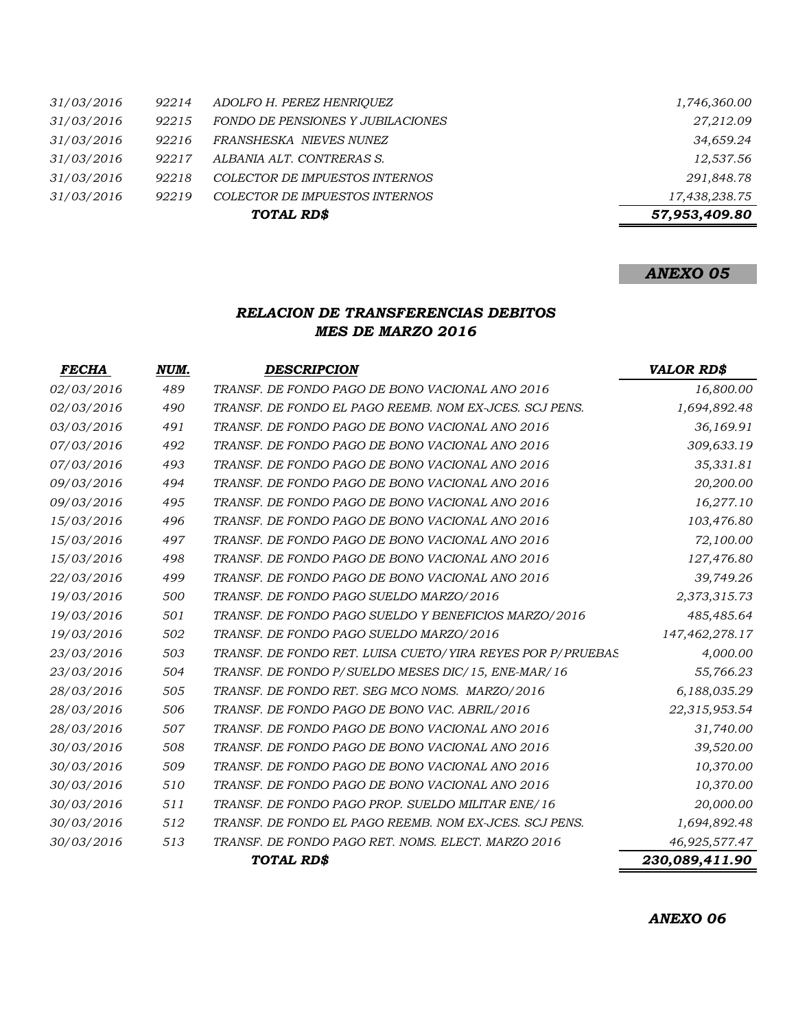|            |       | TOTAL RD\$                               | 57,953,409.80 |
|------------|-------|------------------------------------------|---------------|
| 31/03/2016 | 92219 | COLECTOR DE IMPUESTOS INTERNOS           | 17,438,238.75 |
| 31/03/2016 | 92218 | COLECTOR DE IMPUESTOS INTERNOS           | 291,848.78    |
| 31/03/2016 | 92217 | ALBANIA ALT. CONTRERAS S.                | 12,537.56     |
| 31/03/2016 | 92216 | FRANSHESKA NIEVES NUNEZ                  | 34,659.24     |
| 31/03/2016 | 92215 | <b>FONDO DE PENSIONES Y JUBILACIONES</b> | 27,212.09     |
| 31/03/2016 | 92214 | ADOLFO H. PEREZ HENRIOUEZ                | 1,746,360.00  |

### *ANEXO 05*

### *RELACION DE TRANSFERENCIAS DEBITOS MES DE MARZO 2016*

| <b>FECHA</b>      | NUM. | <b>DESCRIPCION</b>                                         | <b>VALOR RD\$</b> |
|-------------------|------|------------------------------------------------------------|-------------------|
| 02/03/2016        | 489  | TRANSF. DE FONDO PAGO DE BONO VACIONAL ANO 2016            | 16,800.00         |
| 02/03/2016        | 490  | TRANSF. DE FONDO EL PAGO REEMB. NOM EX-JCES. SCJ PENS.     | 1,694,892.48      |
| 03/03/2016        | 491  | TRANSF. DE FONDO PAGO DE BONO VACIONAL ANO 2016            | 36,169.91         |
| 07/03/2016        | 492  | TRANSF. DE FONDO PAGO DE BONO VACIONAL ANO 2016            | 309,633.19        |
| 07/03/2016        | 493  | TRANSF. DE FONDO PAGO DE BONO VACIONAL ANO 2016            | 35,331.81         |
| 09/03/2016        | 494  | TRANSF. DE FONDO PAGO DE BONO VACIONAL ANO 2016            | 20,200.00         |
| 09/03/2016        | 495  | TRANSF. DE FONDO PAGO DE BONO VACIONAL ANO 2016            | 16,277.10         |
| 15/03/2016        | 496  | TRANSF. DE FONDO PAGO DE BONO VACIONAL ANO 2016            | 103,476.80        |
| 15/03/2016        | 497  | TRANSF. DE FONDO PAGO DE BONO VACIONAL ANO 2016            | 72,100.00         |
| 15/03/2016        | 498  | TRANSF. DE FONDO PAGO DE BONO VACIONAL ANO 2016            | 127,476.80        |
| <i>22/03/2016</i> | 499  | TRANSF. DE FONDO PAGO DE BONO VACIONAL ANO 2016            | 39,749.26         |
| 19/03/2016        | 500  | TRANSF. DE FONDO PAGO SUELDO MARZO/2016                    | 2,373,315.73      |
| 19/03/2016        | 501  | TRANSF. DE FONDO PAGO SUELDO Y BENEFICIOS MARZO/2016       | 485,485.64        |
| 19/03/2016        | 502  | TRANSF. DE FONDO PAGO SUELDO MARZO/2016                    | 147,462,278.17    |
| 23/03/2016        | 503  | TRANSF. DE FONDO RET. LUISA CUETO/YIRA REYES POR P/PRUEBAS | 4,000.00          |
| 23/03/2016        | 504  | TRANSF. DE FONDO P/SUELDO MESES DIC/15, ENE-MAR/16         | 55,766.23         |
| 28/03/2016        | 505  | TRANSF. DE FONDO RET. SEG MCO NOMS. MARZO/2016             | 6,188,035.29      |
| 28/03/2016        | 506  | TRANSF. DE FONDO PAGO DE BONO VAC. ABRIL/2016              | 22,315,953.54     |
| 28/03/2016        | 507  | TRANSF. DE FONDO PAGO DE BONO VACIONAL ANO 2016            | 31,740.00         |
| 30/03/2016        | 508  | TRANSF. DE FONDO PAGO DE BONO VACIONAL ANO 2016            | 39,520.00         |
| 30/03/2016        | 509  | TRANSF. DE FONDO PAGO DE BONO VACIONAL ANO 2016            | 10,370.00         |
| 30/03/2016        | 510  | TRANSF. DE FONDO PAGO DE BONO VACIONAL ANO 2016            | 10,370.00         |
| 30/03/2016        | 511  | TRANSF. DE FONDO PAGO PROP. SUELDO MILITAR ENE/16          | 20,000.00         |
| 30/03/2016        | 512  | TRANSF. DE FONDO EL PAGO REEMB. NOM EX-JCES. SCJ PENS.     | 1,694,892.48      |
| 30/03/2016        | 513  | TRANSF. DE FONDO PAGO RET. NOMS. ELECT. MARZO 2016         | 46,925,577.47     |
|                   |      | TOTAL RD\$                                                 | 230,089,411.90    |

*ANEXO 06*